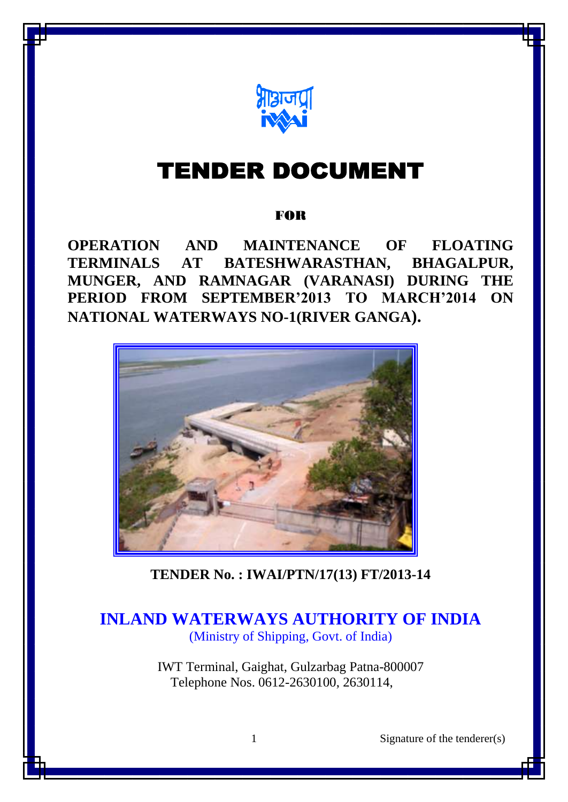

# **TENDER DOCUMENT**

# FOR

**OPERATION AND MAINTENANCE OF FLOATING TERMINALS AT BATESHWARASTHAN, BHAGALPUR, MUNGER, AND RAMNAGAR (VARANASI) DURING THE PERIOD FROM SEPTEMBER'2013 TO MARCH'2014 ON NATIONAL WATERWAYS NO-1(RIVER GANGA).**



**TENDER No. : IWAI/PTN/17(13) FT/2013-14**

# **INLAND WATERWAYS AUTHORITY OF INDIA** (Ministry of Shipping, Govt. of India)

IWT Terminal, Gaighat, Gulzarbag Patna-800007 Telephone Nos. 0612-2630100, 2630114,

1 Signature of the tenderer(s)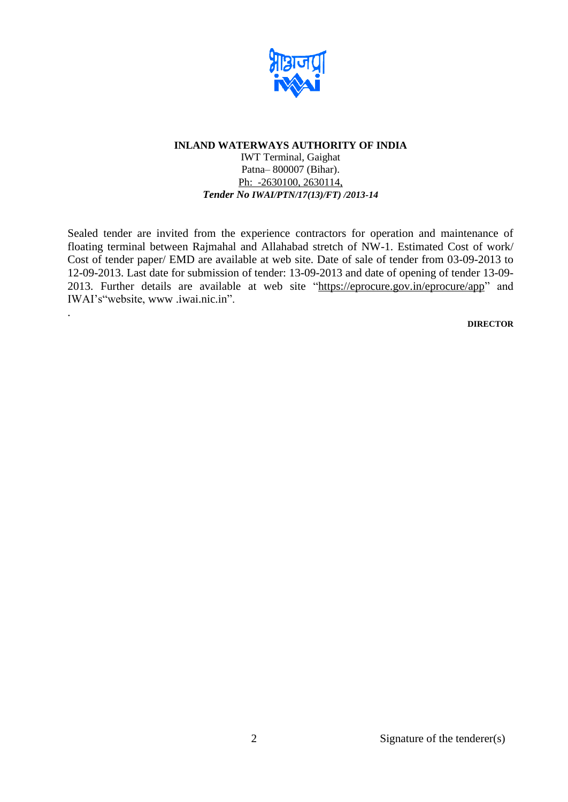

IWT Terminal, Gaighat Patna– 800007 (Bihar). Ph: -2630100, 2630114, *Tender No IWAI/PTN/17(13)/FT) /2013-14*

Sealed tender are invited from the experience contractors for operation and maintenance of floating terminal between Rajmahal and Allahabad stretch of NW-1. Estimated Cost of work/ Cost of tender paper/ EMD are available at web site. Date of sale of tender from 03-09-2013 to 12-09-2013. Last date for submission of tender: 13-09-2013 and date of opening of tender 13-09- 2013. Further details are available at web site ["https://eprocure.gov.in/eprocure/app"](https://eprocure.gov.in/eprocure/app) and IWAI's"website, [www .iwai.nic.in"](http://www.iwai.nic.in/).

.

**DIRECTOR**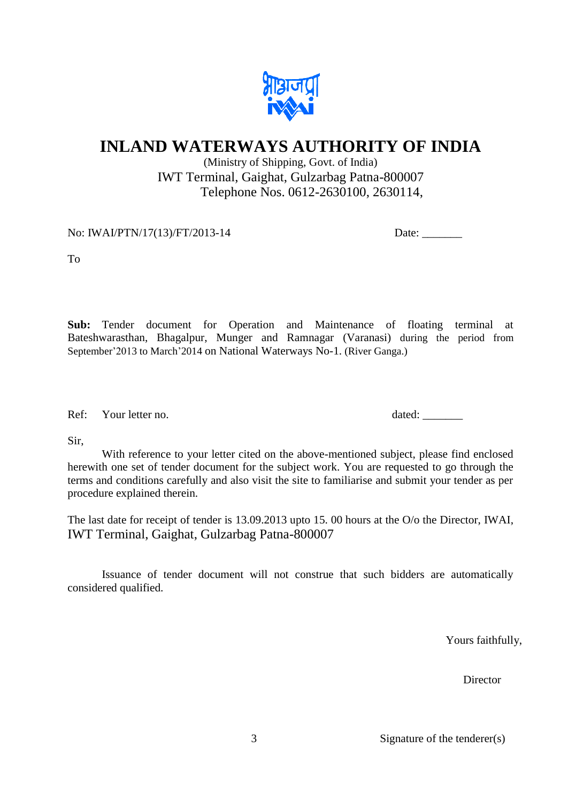

(Ministry of Shipping, Govt. of India) IWT Terminal, Gaighat, Gulzarbag Patna-800007 Telephone Nos. 0612-2630100, 2630114,

No: IWAI/PTN/17(13)/FT/2013-14 Date: Date:

To

**Sub:** Tender document for Operation and Maintenance of floating terminal at Bateshwarasthan, Bhagalpur, Munger and Ramnagar (Varanasi) during the period from September'2013 to March'2014 on National Waterways No-1. (River Ganga.)

Ref: Your letter no. dated: \_\_\_\_\_\_\_\_

Sir,

With reference to your letter cited on the above-mentioned subject, please find enclosed herewith one set of tender document for the subject work. You are requested to go through the terms and conditions carefully and also visit the site to familiarise and submit your tender as per procedure explained therein.

The last date for receipt of tender is 13.09.2013 upto 15. 00 hours at the O/o the Director, IWAI, IWT Terminal, Gaighat, Gulzarbag Patna-800007

Issuance of tender document will not construe that such bidders are automatically considered qualified.

Yours faithfully,

Director

3 Signature of the tenderer(s)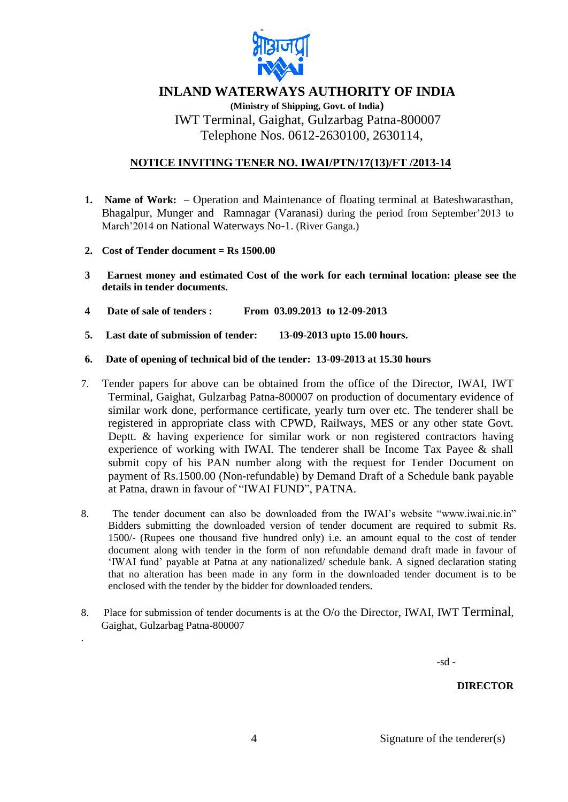

**(Ministry of Shipping, Govt. of India)** IWT Terminal, Gaighat, Gulzarbag Patna-800007 Telephone Nos. 0612-2630100, 2630114,

# **NOTICE INVITING TENER NO. IWAI/PTN/17(13)/FT /2013-14**

- **1. Name of Work: –** Operation and Maintenance of floating terminal at Bateshwarasthan, Bhagalpur, Munger and Ramnagar (Varanasi) during the period from September'2013 to March'2014 on National Waterways No-1. (River Ganga.)
- **2. Cost of Tender document = Rs 1500.00**

.

- **3 Earnest money and estimated Cost of the work for each terminal location: please see the details in tender documents.**
- **4 Date of sale of tenders : From 03.09.2013 to 12-09-2013**
- **5. Last date of submission of tender: 13-09-2013 upto 15.00 hours.**
- **6. Date of opening of technical bid of the tender: 13-09-2013 at 15.30 hours**
- 7. Tender papers for above can be obtained from the office of the Director, IWAI, IWT Terminal, Gaighat, Gulzarbag Patna-800007 on production of documentary evidence of similar work done, performance certificate, yearly turn over etc. The tenderer shall be registered in appropriate class with CPWD, Railways, MES or any other state Govt. Deptt. & having experience for similar work or non registered contractors having experience of working with IWAI. The tenderer shall be Income Tax Payee & shall submit copy of his PAN number along with the request for Tender Document on payment of Rs.1500.00 (Non-refundable) by Demand Draft of a Schedule bank payable at Patna, drawn in favour of "IWAI FUND", PATNA.
- 8. The tender document can also be downloaded from the IWAI's website "www.iwai.nic.in" Bidders submitting the downloaded version of tender document are required to submit Rs. 1500/- (Rupees one thousand five hundred only) i.e. an amount equal to the cost of tender document along with tender in the form of non refundable demand draft made in favour of 'IWAI fund' payable at Patna at any nationalized/ schedule bank. A signed declaration stating that no alteration has been made in any form in the downloaded tender document is to be enclosed with the tender by the bidder for downloaded tenders.
- 8. Place for submission of tender documents is at the O/o the Director, IWAI, IWT Terminal, Gaighat, Gulzarbag Patna-800007

 $-sd -$ 

#### **DIRECTOR**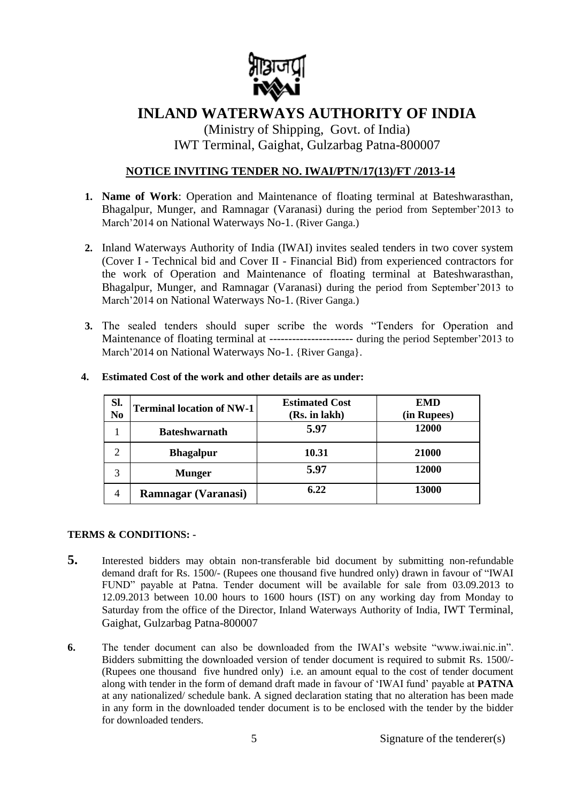

(Ministry of Shipping, Govt. of India) IWT Terminal, Gaighat, Gulzarbag Patna-800007

# **NOTICE INVITING TENDER NO. IWAI/PTN/17(13)/FT /2013-14**

- **1. Name of Work**: Operation and Maintenance of floating terminal at Bateshwarasthan, Bhagalpur, Munger, and Ramnagar (Varanasi) during the period from September'2013 to March'2014 on National Waterways No-1. (River Ganga.)
- **2.** Inland Waterways Authority of India (IWAI) invites sealed tenders in two cover system (Cover I - Technical bid and Cover II - Financial Bid) from experienced contractors for the work of Operation and Maintenance of floating terminal at Bateshwarasthan, Bhagalpur, Munger, and Ramnagar (Varanasi) during the period from September'2013 to March'2014 on National Waterways No-1. (River Ganga.)
- **3.** The sealed tenders should super scribe the words "Tenders for Operation and Maintenance of floating terminal at ---------------------- during the period September'2013 to March'2014 on National Waterways No-1. {River Ganga}.

| Sl.<br>N <sub>0</sub> | <b>Terminal location of NW-1</b> | <b>Estimated Cost</b><br>(Rs. in lakh) | <b>EMD</b><br>(in Rupees) |
|-----------------------|----------------------------------|----------------------------------------|---------------------------|
|                       | <b>Bateshwarnath</b>             | 5.97                                   | 12000                     |
|                       | <b>Bhagalpur</b>                 | 10.31                                  | 21000                     |
| 3                     | <b>Munger</b>                    | 5.97                                   | 12000                     |
| 4                     | <b>Ramnagar (Varanasi)</b>       | 6.22                                   | 13000                     |

#### **4. Estimated Cost of the work and other details are as under:**

#### **TERMS & CONDITIONS: -**

- **5.** Interested bidders may obtain non-transferable bid document by submitting non-refundable demand draft for Rs. 1500/- (Rupees one thousand five hundred only) drawn in favour of "IWAI FUND" payable at Patna. Tender document will be available for sale from 03.09.2013 to 12.09.2013 between 10.00 hours to 1600 hours (IST) on any working day from Monday to Saturday from the office of the Director, Inland Waterways Authority of India, IWT Terminal, Gaighat, Gulzarbag Patna-800007
- **6.** The tender document can also be downloaded from the IWAI's website "www.iwai.nic.in". Bidders submitting the downloaded version of tender document is required to submit Rs. 1500/- (Rupees one thousand five hundred only) i.e. an amount equal to the cost of tender document along with tender in the form of demand draft made in favour of 'IWAI fund' payable at **PATNA**  at any nationalized/ schedule bank. A signed declaration stating that no alteration has been made in any form in the downloaded tender document is to be enclosed with the tender by the bidder for downloaded tenders.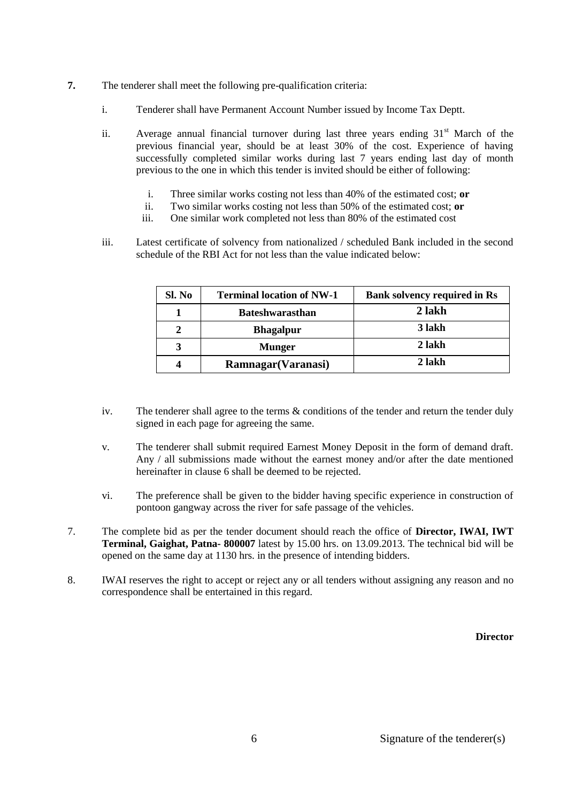- **7.** The tenderer shall meet the following pre-qualification criteria:
	- i. Tenderer shall have Permanent Account Number issued by Income Tax Deptt.
	- ii. Average annual financial turnover during last three years ending  $31<sup>st</sup>$  March of the previous financial year, should be at least 30% of the cost. Experience of having successfully completed similar works during last 7 years ending last day of month previous to the one in which this tender is invited should be either of following:
		- i. Three similar works costing not less than 40% of the estimated cost; **or**
		- ii. Two similar works costing not less than 50% of the estimated cost; **or**
		- iii. One similar work completed not less than 80% of the estimated cost
	- iii. Latest certificate of solvency from nationalized / scheduled Bank included in the second schedule of the RBI Act for not less than the value indicated below:

| Sl. No | <b>Terminal location of NW-1</b> | <b>Bank solvency required in Rs</b> |
|--------|----------------------------------|-------------------------------------|
|        | <b>Bateshwarasthan</b>           | 2 lakh                              |
|        | <b>Bhagalpur</b>                 | 3 lakh                              |
| 3      | <b>Munger</b>                    | 2 lakh                              |
| 4      | Ramnagar (Varanasi)              | 2 lakh                              |

- iv. The tenderer shall agree to the terms  $\&$  conditions of the tender and return the tender duly signed in each page for agreeing the same.
- v. The tenderer shall submit required Earnest Money Deposit in the form of demand draft. Any / all submissions made without the earnest money and/or after the date mentioned hereinafter in clause 6 shall be deemed to be rejected.
- vi. The preference shall be given to the bidder having specific experience in construction of pontoon gangway across the river for safe passage of the vehicles.
- 7. The complete bid as per the tender document should reach the office of **Director, IWAI, IWT Terminal, Gaighat, Patna- 800007** latest by 15.00 hrs. on 13.09.2013. The technical bid will be opened on the same day at 1130 hrs. in the presence of intending bidders.
- 8. IWAI reserves the right to accept or reject any or all tenders without assigning any reason and no correspondence shall be entertained in this regard.

**Director**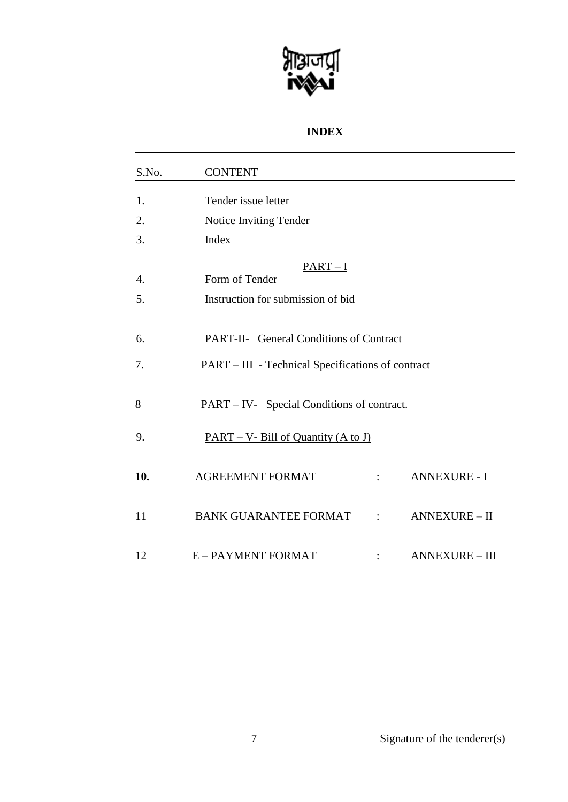

# **INDEX**

| S.No.                  | <b>CONTENT</b>                                                  |                       |
|------------------------|-----------------------------------------------------------------|-----------------------|
| 1.                     | Tender issue letter                                             |                       |
| 2.                     | Notice Inviting Tender                                          |                       |
| 3.                     | Index                                                           |                       |
| $\overline{4}$ .<br>5. | $PART-I$<br>Form of Tender<br>Instruction for submission of bid |                       |
| 6.                     | <b>PART-II-</b> General Conditions of Contract                  |                       |
| 7.                     | PART – III - Technical Specifications of contract               |                       |
| 8                      | PART – IV- Special Conditions of contract.                      |                       |
| 9.                     | $PART - V - Bill of Quantity (A to J)$                          |                       |
| 10.                    | <b>AGREEMENT FORMAT</b>                                         | <b>ANNEXURE - I</b>   |
| 11                     | BANK GUARANTEE FORMAT :                                         | <b>ANNEXURE - II</b>  |
| 12                     | E-PAYMENT FORMAT                                                | <b>ANNEXURE - III</b> |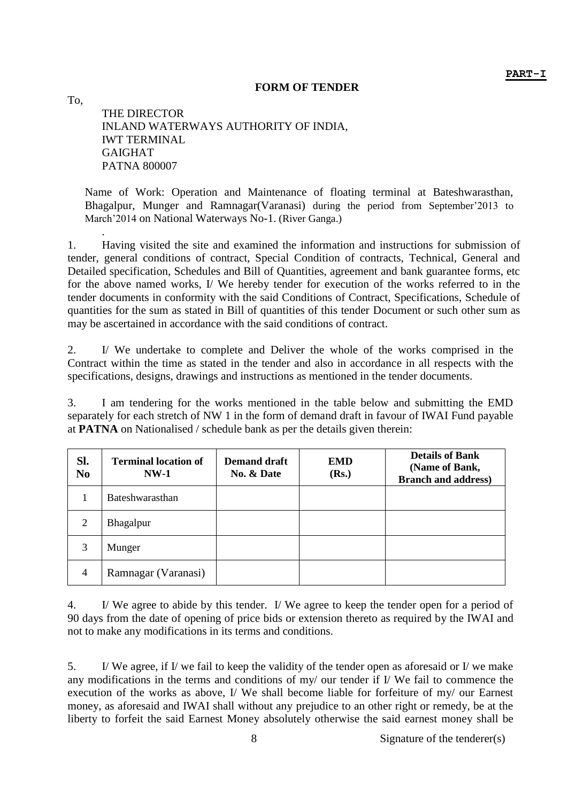#### **FORM OF TENDER**

THE DIRECTOR INLAND WATERWAYS AUTHORITY OF INDIA, IWT TERMINAL GAIGHAT PATNA 800007

To,

Name of Work: Operation and Maintenance of floating terminal at Bateshwarasthan, Bhagalpur, Munger and Ramnagar(Varanasi) during the period from September'2013 to March'2014 on National Waterways No-1. (River Ganga.)

. 1. Having visited the site and examined the information and instructions for submission of tender, general conditions of contract, Special Condition of contracts, Technical, General and Detailed specification, Schedules and Bill of Quantities, agreement and bank guarantee forms, etc for the above named works, I/ We hereby tender for execution of the works referred to in the tender documents in conformity with the said Conditions of Contract, Specifications, Schedule of quantities for the sum as stated in Bill of quantities of this tender Document or such other sum as may be ascertained in accordance with the said conditions of contract.

2. I/ We undertake to complete and Deliver the whole of the works comprised in the Contract within the time as stated in the tender and also in accordance in all respects with the specifications, designs, drawings and instructions as mentioned in the tender documents.

3. I am tendering for the works mentioned in the table below and submitting the EMD separately for each stretch of NW 1 in the form of demand draft in favour of IWAI Fund payable at **PATNA** on Nationalised / schedule bank as per the details given therein:

| Sl.<br>N <sub>0</sub> | <b>Terminal location of</b><br>$NW-1$ | <b>Demand draft</b><br>No. & Date | <b>EMD</b><br>(Rs.) | <b>Details of Bank</b><br>(Name of Bank,<br><b>Branch and address)</b> |
|-----------------------|---------------------------------------|-----------------------------------|---------------------|------------------------------------------------------------------------|
|                       | Bateshwarasthan                       |                                   |                     |                                                                        |
| 2                     | Bhagalpur                             |                                   |                     |                                                                        |
| 3                     | Munger                                |                                   |                     |                                                                        |
| $\overline{4}$        | Ramnagar (Varanasi)                   |                                   |                     |                                                                        |

4. I/ We agree to abide by this tender. I/ We agree to keep the tender open for a period of 90 days from the date of opening of price bids or extension thereto as required by the IWAI and not to make any modifications in its terms and conditions.

5. I/ We agree, if I/ we fail to keep the validity of the tender open as aforesaid or I/ we make any modifications in the terms and conditions of my/ our tender if I/ We fail to commence the execution of the works as above, I/ We shall become liable for forfeiture of my/ our Earnest money, as aforesaid and IWAI shall without any prejudice to an other right or remedy, be at the liberty to forfeit the said Earnest Money absolutely otherwise the said earnest money shall be

8 Signature of the tenderer(s)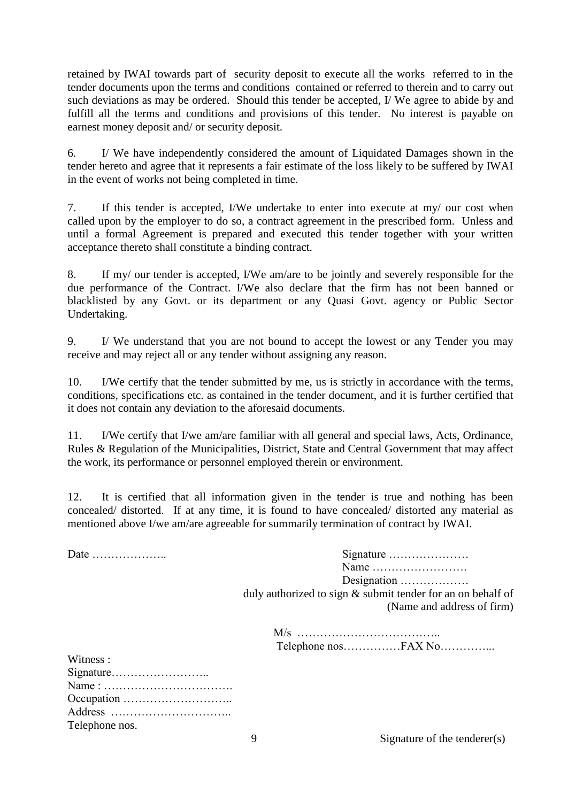retained by IWAI towards part of security deposit to execute all the works referred to in the tender documents upon the terms and conditions contained or referred to therein and to carry out such deviations as may be ordered. Should this tender be accepted, I/ We agree to abide by and fulfill all the terms and conditions and provisions of this tender. No interest is payable on earnest money deposit and/ or security deposit.

6. I/ We have independently considered the amount of Liquidated Damages shown in the tender hereto and agree that it represents a fair estimate of the loss likely to be suffered by IWAI in the event of works not being completed in time.

7. If this tender is accepted, I/We undertake to enter into execute at my/ our cost when called upon by the employer to do so, a contract agreement in the prescribed form. Unless and until a formal Agreement is prepared and executed this tender together with your written acceptance thereto shall constitute a binding contract.

8. If my/ our tender is accepted, I/We am/are to be jointly and severely responsible for the due performance of the Contract. I/We also declare that the firm has not been banned or blacklisted by any Govt. or its department or any Quasi Govt. agency or Public Sector Undertaking.

9. I/ We understand that you are not bound to accept the lowest or any Tender you may receive and may reject all or any tender without assigning any reason.

10. I/We certify that the tender submitted by me, us is strictly in accordance with the terms, conditions, specifications etc. as contained in the tender document, and it is further certified that it does not contain any deviation to the aforesaid documents.

11. I/We certify that I/we am/are familiar with all general and special laws, Acts, Ordinance, Rules & Regulation of the Municipalities, District, State and Central Government that may affect the work, its performance or personnel employed therein or environment.

12. It is certified that all information given in the tender is true and nothing has been concealed/ distorted. If at any time, it is found to have concealed/ distorted any material as mentioned above I/we am/are agreeable for summarily termination of contract by IWAI.

Date ……………….. Signature ………………… Name ……………………. Designation ……………… duly authorized to sign & submit tender for an on behalf of

(Name and address of firm)

| Witness:       |
|----------------|
|                |
|                |
|                |
|                |
| Telephone nos. |

9 Signature of the tenderer(s)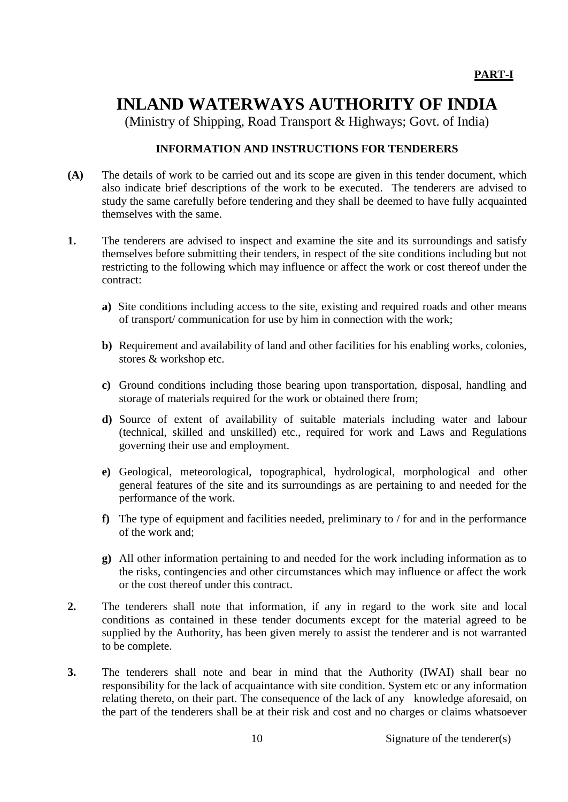(Ministry of Shipping, Road Transport & Highways; Govt. of India)

# **INFORMATION AND INSTRUCTIONS FOR TENDERERS**

- **(A)** The details of work to be carried out and its scope are given in this tender document, which also indicate brief descriptions of the work to be executed. The tenderers are advised to study the same carefully before tendering and they shall be deemed to have fully acquainted themselves with the same.
- **1.** The tenderers are advised to inspect and examine the site and its surroundings and satisfy themselves before submitting their tenders, in respect of the site conditions including but not restricting to the following which may influence or affect the work or cost thereof under the contract:
	- **a)** Site conditions including access to the site, existing and required roads and other means of transport/ communication for use by him in connection with the work;
	- **b)** Requirement and availability of land and other facilities for his enabling works, colonies, stores & workshop etc.
	- **c)** Ground conditions including those bearing upon transportation, disposal, handling and storage of materials required for the work or obtained there from;
	- **d)** Source of extent of availability of suitable materials including water and labour (technical, skilled and unskilled) etc., required for work and Laws and Regulations governing their use and employment.
	- **e)** Geological, meteorological, topographical, hydrological, morphological and other general features of the site and its surroundings as are pertaining to and needed for the performance of the work.
	- **f)** The type of equipment and facilities needed, preliminary to / for and in the performance of the work and;
	- **g)** All other information pertaining to and needed for the work including information as to the risks, contingencies and other circumstances which may influence or affect the work or the cost thereof under this contract.
- **2.** The tenderers shall note that information, if any in regard to the work site and local conditions as contained in these tender documents except for the material agreed to be supplied by the Authority, has been given merely to assist the tenderer and is not warranted to be complete.
- **3.** The tenderers shall note and bear in mind that the Authority (IWAI) shall bear no responsibility for the lack of acquaintance with site condition. System etc or any information relating thereto, on their part. The consequence of the lack of any knowledge aforesaid, on the part of the tenderers shall be at their risk and cost and no charges or claims whatsoever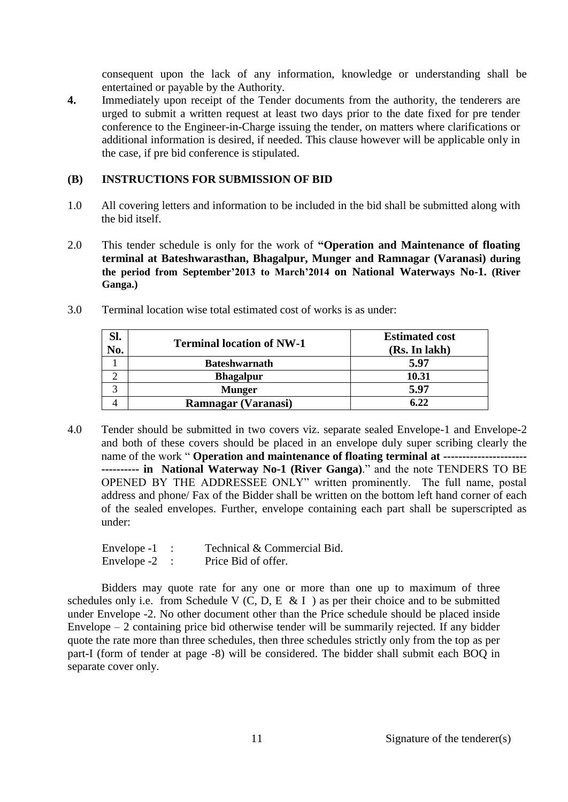consequent upon the lack of any information, knowledge or understanding shall be entertained or payable by the Authority.

**4.** Immediately upon receipt of the Tender documents from the authority, the tenderers are urged to submit a written request at least two days prior to the date fixed for pre tender conference to the Engineer-in-Charge issuing the tender, on matters where clarifications or additional information is desired, if needed. This clause however will be applicable only in the case, if pre bid conference is stipulated.

# **(B) INSTRUCTIONS FOR SUBMISSION OF BID**

- 1.0 All covering letters and information to be included in the bid shall be submitted along with the bid itself.
- 2.0 This tender schedule is only for the work of **"Operation and Maintenance of floating terminal at Bateshwarasthan, Bhagalpur, Munger and Ramnagar (Varanasi) during the period from September'2013 to March'2014 on National Waterways No-1. (River Ganga.)**
- 3.0 Terminal location wise total estimated cost of works is as under:

| Sl. | <b>Terminal location of NW-1</b> | <b>Estimated cost</b> |
|-----|----------------------------------|-----------------------|
| No. |                                  | (Rs. In lakh)         |
|     | <b>Bateshwarnath</b>             | 5.97                  |
|     | <b>Bhagalpur</b>                 | 10.31                 |
|     | <b>Munger</b>                    | 5.97                  |
|     | <b>Ramnagar (Varanasi)</b>       | 6.22                  |

4.0 Tender should be submitted in two covers viz. separate sealed Envelope-1 and Envelope-2 and both of these covers should be placed in an envelope duly super scribing clearly the name of the work " **Operation and maintenance of floating terminal at ---------------------- ---------- in National Waterway No-1 (River Ganga)**." and the note TENDERS TO BE OPENED BY THE ADDRESSEE ONLY" written prominently. The full name, postal address and phone/ Fax of the Bidder shall be written on the bottom left hand corner of each of the sealed envelopes. Further, envelope containing each part shall be superscripted as under:

| Envelope -1          | Technical & Commercial Bid. |
|----------------------|-----------------------------|
| $\Gamma$ 1 $\Lambda$ | ית יחיד                     |

Envelope -2 : Price Bid of offer.

Bidders may quote rate for any one or more than one up to maximum of three schedules only i.e. from Schedule V (C, D, E & I) as per their choice and to be submitted under Envelope -2. No other document other than the Price schedule should be placed inside Envelope – 2 containing price bid otherwise tender will be summarily rejected. If any bidder quote the rate more than three schedules, then three schedules strictly only from the top as per part-I (form of tender at page -8) will be considered. The bidder shall submit each BOQ in separate cover only.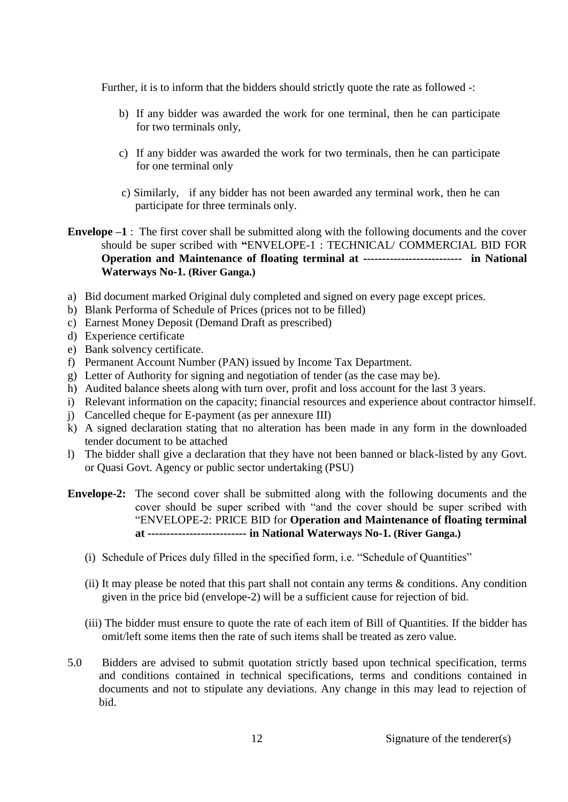Further, it is to inform that the bidders should strictly quote the rate as followed -:

- b) If any bidder was awarded the work for one terminal, then he can participate for two terminals only,
- c) If any bidder was awarded the work for two terminals, then he can participate for one terminal only
- c) Similarly, if any bidder has not been awarded any terminal work, then he can participate for three terminals only.
- **Envelope –1** : The first cover shall be submitted along with the following documents and the cover should be super scribed with **"**ENVELOPE-1 : TECHNICAL/ COMMERCIAL BID FOR **Operation and Maintenance of floating terminal at -------------------------- in National Waterways No-1. (River Ganga.)**
- a) Bid document marked Original duly completed and signed on every page except prices.
- b) Blank Performa of Schedule of Prices (prices not to be filled)
- c) Earnest Money Deposit (Demand Draft as prescribed)
- d) Experience certificate
- e) Bank solvency certificate.
- f) Permanent Account Number (PAN) issued by Income Tax Department.
- g) Letter of Authority for signing and negotiation of tender (as the case may be).
- h) Audited balance sheets along with turn over, profit and loss account for the last 3 years.
- i) Relevant information on the capacity; financial resources and experience about contractor himself.
- j) Cancelled cheque for E-payment (as per annexure III)
- k) A signed declaration stating that no alteration has been made in any form in the downloaded tender document to be attached
- l) The bidder shall give a declaration that they have not been banned or black-listed by any Govt. or Quasi Govt. Agency or public sector undertaking (PSU)
- **Envelope-2:** The second cover shall be submitted along with the following documents and the cover should be super scribed with "and the cover should be super scribed with "ENVELOPE-2: PRICE BID for **Operation and Maintenance of floating terminal at -------------------------- in National Waterways No-1. (River Ganga.)**
	- (i) Schedule of Prices duly filled in the specified form, i.e. "Schedule of Quantities"
	- (ii) It may please be noted that this part shall not contain any terms  $\&$  conditions. Any condition given in the price bid (envelope-2) will be a sufficient cause for rejection of bid.
	- (iii) The bidder must ensure to quote the rate of each item of Bill of Quantities. If the bidder has omit/left some items then the rate of such items shall be treated as zero value.
- 5.0 Bidders are advised to submit quotation strictly based upon technical specification, terms and conditions contained in technical specifications, terms and conditions contained in documents and not to stipulate any deviations. Any change in this may lead to rejection of bid.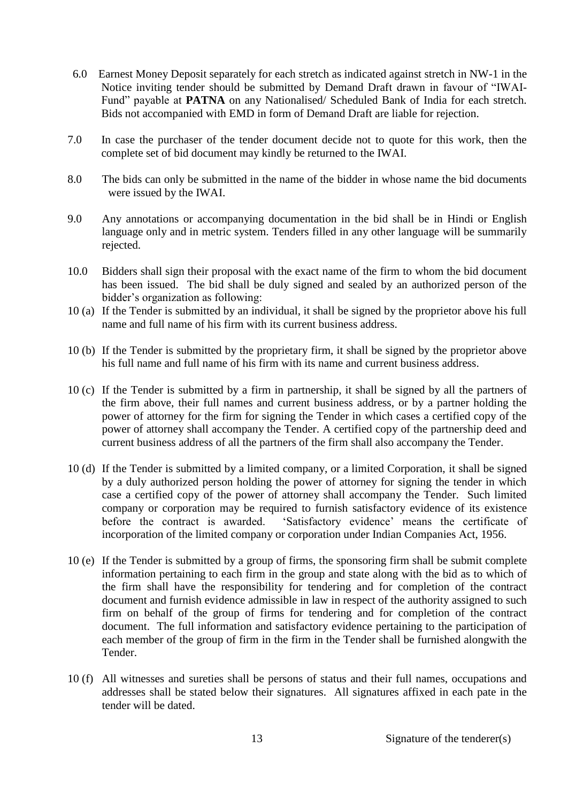- 6.0 Earnest Money Deposit separately for each stretch as indicated against stretch in NW-1 in the Notice inviting tender should be submitted by Demand Draft drawn in favour of "IWAI-Fund" payable at **PATNA** on any Nationalised/ Scheduled Bank of India for each stretch. Bids not accompanied with EMD in form of Demand Draft are liable for rejection.
- 7.0 In case the purchaser of the tender document decide not to quote for this work, then the complete set of bid document may kindly be returned to the IWAI.
- 8.0 The bids can only be submitted in the name of the bidder in whose name the bid documents were issued by the IWAI.
- 9.0 Any annotations or accompanying documentation in the bid shall be in Hindi or English language only and in metric system. Tenders filled in any other language will be summarily rejected.
- 10.0 Bidders shall sign their proposal with the exact name of the firm to whom the bid document has been issued. The bid shall be duly signed and sealed by an authorized person of the bidder's organization as following:
- 10 (a) If the Tender is submitted by an individual, it shall be signed by the proprietor above his full name and full name of his firm with its current business address.
- 10 (b) If the Tender is submitted by the proprietary firm, it shall be signed by the proprietor above his full name and full name of his firm with its name and current business address.
- 10 (c) If the Tender is submitted by a firm in partnership, it shall be signed by all the partners of the firm above, their full names and current business address, or by a partner holding the power of attorney for the firm for signing the Tender in which cases a certified copy of the power of attorney shall accompany the Tender. A certified copy of the partnership deed and current business address of all the partners of the firm shall also accompany the Tender.
- 10 (d) If the Tender is submitted by a limited company, or a limited Corporation, it shall be signed by a duly authorized person holding the power of attorney for signing the tender in which case a certified copy of the power of attorney shall accompany the Tender. Such limited company or corporation may be required to furnish satisfactory evidence of its existence before the contract is awarded. 'Satisfactory evidence' means the certificate of incorporation of the limited company or corporation under Indian Companies Act, 1956.
- 10 (e) If the Tender is submitted by a group of firms, the sponsoring firm shall be submit complete information pertaining to each firm in the group and state along with the bid as to which of the firm shall have the responsibility for tendering and for completion of the contract document and furnish evidence admissible in law in respect of the authority assigned to such firm on behalf of the group of firms for tendering and for completion of the contract document. The full information and satisfactory evidence pertaining to the participation of each member of the group of firm in the firm in the Tender shall be furnished alongwith the Tender.
- 10 (f) All witnesses and sureties shall be persons of status and their full names, occupations and addresses shall be stated below their signatures. All signatures affixed in each pate in the tender will be dated.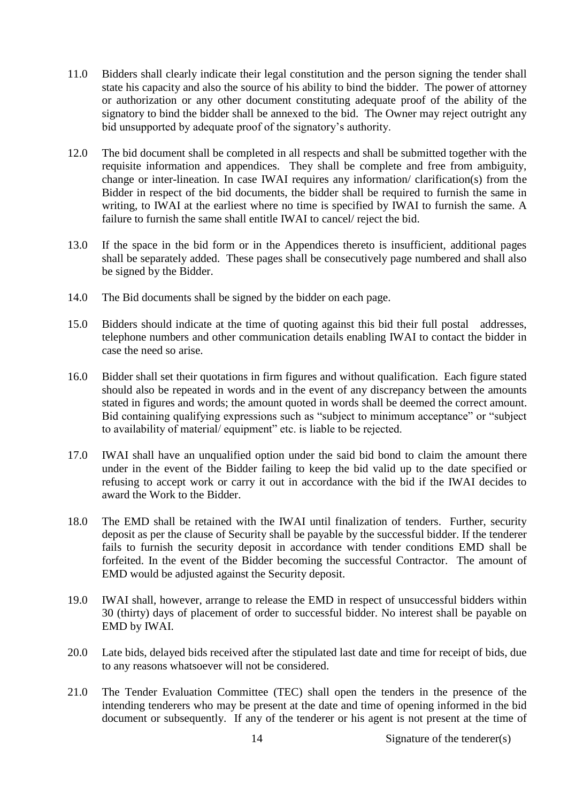- 11.0 Bidders shall clearly indicate their legal constitution and the person signing the tender shall state his capacity and also the source of his ability to bind the bidder. The power of attorney or authorization or any other document constituting adequate proof of the ability of the signatory to bind the bidder shall be annexed to the bid. The Owner may reject outright any bid unsupported by adequate proof of the signatory's authority.
- 12.0 The bid document shall be completed in all respects and shall be submitted together with the requisite information and appendices. They shall be complete and free from ambiguity, change or inter-lineation. In case IWAI requires any information/ clarification(s) from the Bidder in respect of the bid documents, the bidder shall be required to furnish the same in writing, to IWAI at the earliest where no time is specified by IWAI to furnish the same. A failure to furnish the same shall entitle IWAI to cancel/ reject the bid.
- 13.0 If the space in the bid form or in the Appendices thereto is insufficient, additional pages shall be separately added. These pages shall be consecutively page numbered and shall also be signed by the Bidder.
- 14.0 The Bid documents shall be signed by the bidder on each page.
- 15.0 Bidders should indicate at the time of quoting against this bid their full postal addresses, telephone numbers and other communication details enabling IWAI to contact the bidder in case the need so arise.
- 16.0 Bidder shall set their quotations in firm figures and without qualification. Each figure stated should also be repeated in words and in the event of any discrepancy between the amounts stated in figures and words; the amount quoted in words shall be deemed the correct amount. Bid containing qualifying expressions such as "subject to minimum acceptance" or "subject to availability of material/ equipment" etc. is liable to be rejected.
- 17.0 IWAI shall have an unqualified option under the said bid bond to claim the amount there under in the event of the Bidder failing to keep the bid valid up to the date specified or refusing to accept work or carry it out in accordance with the bid if the IWAI decides to award the Work to the Bidder.
- 18.0 The EMD shall be retained with the IWAI until finalization of tenders. Further, security deposit as per the clause of Security shall be payable by the successful bidder. If the tenderer fails to furnish the security deposit in accordance with tender conditions EMD shall be forfeited. In the event of the Bidder becoming the successful Contractor. The amount of EMD would be adjusted against the Security deposit.
- 19.0 IWAI shall, however, arrange to release the EMD in respect of unsuccessful bidders within 30 (thirty) days of placement of order to successful bidder. No interest shall be payable on EMD by IWAI.
- 20.0 Late bids, delayed bids received after the stipulated last date and time for receipt of bids, due to any reasons whatsoever will not be considered.
- 21.0 The Tender Evaluation Committee (TEC) shall open the tenders in the presence of the intending tenderers who may be present at the date and time of opening informed in the bid document or subsequently. If any of the tenderer or his agent is not present at the time of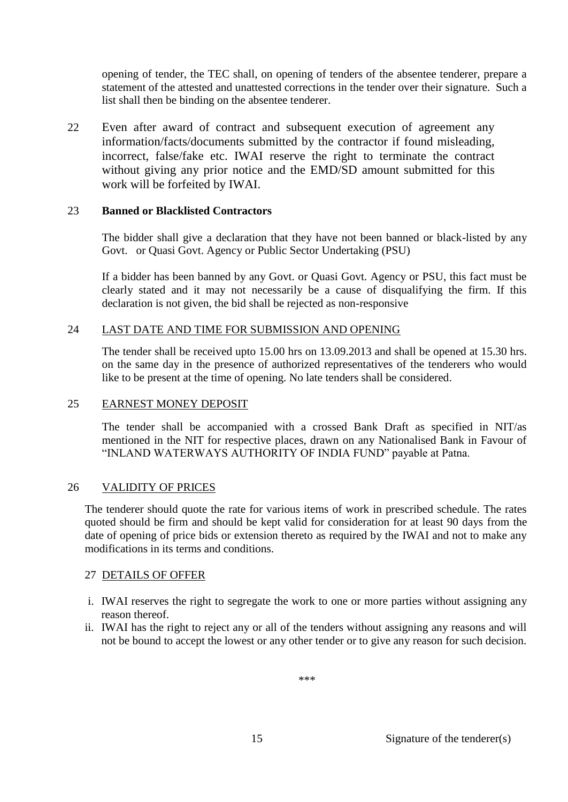opening of tender, the TEC shall, on opening of tenders of the absentee tenderer, prepare a statement of the attested and unattested corrections in the tender over their signature. Such a list shall then be binding on the absentee tenderer.

22 Even after award of contract and subsequent execution of agreement any information/facts/documents submitted by the contractor if found misleading, incorrect, false/fake etc. IWAI reserve the right to terminate the contract without giving any prior notice and the EMD/SD amount submitted for this work will be forfeited by IWAI.

#### 23 **Banned or Blacklisted Contractors**

The bidder shall give a declaration that they have not been banned or black-listed by any Govt. or Quasi Govt. Agency or Public Sector Undertaking (PSU)

If a bidder has been banned by any Govt. or Quasi Govt. Agency or PSU, this fact must be clearly stated and it may not necessarily be a cause of disqualifying the firm. If this declaration is not given, the bid shall be rejected as non-responsive

#### 24 LAST DATE AND TIME FOR SUBMISSION AND OPENING

The tender shall be received upto 15.00 hrs on 13.09.2013 and shall be opened at 15.30 hrs. on the same day in the presence of authorized representatives of the tenderers who would like to be present at the time of opening. No late tenders shall be considered.

#### 25 EARNEST MONEY DEPOSIT

The tender shall be accompanied with a crossed Bank Draft as specified in NIT/as mentioned in the NIT for respective places, drawn on any Nationalised Bank in Favour of "INLAND WATERWAYS AUTHORITY OF INDIA FUND" payable at Patna.

# 26 VALIDITY OF PRICES

The tenderer should quote the rate for various items of work in prescribed schedule. The rates quoted should be firm and should be kept valid for consideration for at least 90 days from the date of opening of price bids or extension thereto as required by the IWAI and not to make any modifications in its terms and conditions.

#### 27 DETAILS OF OFFER

- i. IWAI reserves the right to segregate the work to one or more parties without assigning any reason thereof.
- ii. IWAI has the right to reject any or all of the tenders without assigning any reasons and will not be bound to accept the lowest or any other tender or to give any reason for such decision.

\*\*\*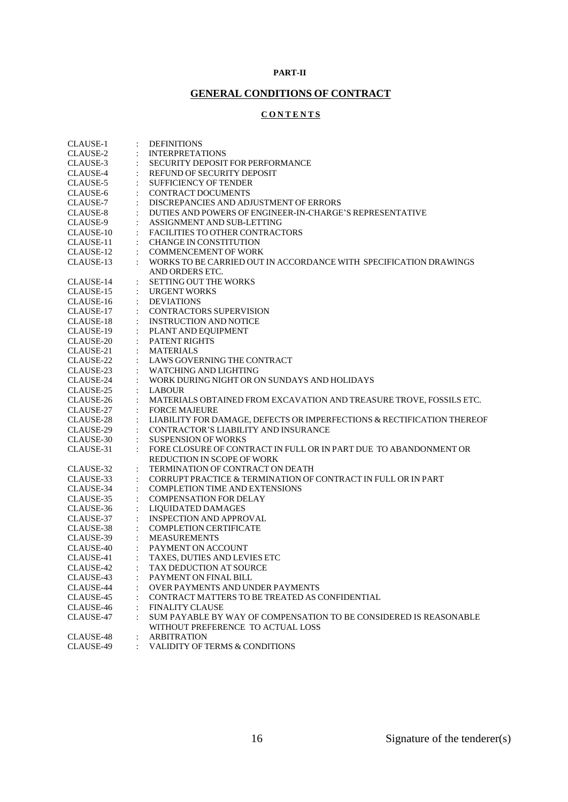#### **PART-II**

# **GENERAL CONDITIONS OF CONTRACT**

# **C O N T E N T S**

| CLAUSE-1                              | <b>DEFINITIONS</b>                                                     |
|---------------------------------------|------------------------------------------------------------------------|
| CLAUSE-2<br>$\ddot{\cdot}$            | <b>INTERPRETATIONS</b>                                                 |
| CLAUSE-3                              | <b>SECURITY DEPOSIT FOR PERFORMANCE</b>                                |
| CLAUSE-4                              | REFUND OF SECURITY DEPOSIT                                             |
| CLAUSE-5                              | <b>SUFFICIENCY OF TENDER</b>                                           |
| CLAUSE-6                              | <b>CONTRACT DOCUMENTS</b>                                              |
| CLAUSE-7                              | DISCREPANCIES AND ADJUSTMENT OF ERRORS                                 |
| CLAUSE-8                              | DUTIES AND POWERS OF ENGINEER-IN-CHARGE'S REPRESENTATIVE               |
| CLAUSE-9                              | ASSIGNMENT AND SUB-LETTING                                             |
| CLAUSE-10                             | <b>FACILITIES TO OTHER CONTRACTORS</b>                                 |
| CLAUSE-11                             | <b>CHANGE IN CONSTITUTION</b>                                          |
| CLAUSE-12                             | <b>COMMENCEMENT OF WORK</b>                                            |
| CLAUSE-13                             | WORKS TO BE CARRIED OUT IN ACCORDANCE WITH SPECIFICATION DRAWINGS      |
|                                       | AND ORDERS ETC.                                                        |
| CLAUSE-14                             | <b>SETTING OUT THE WORKS</b>                                           |
| CLAUSE-15                             | <b>URGENT WORKS</b>                                                    |
| CLAUSE-16                             | <b>DEVIATIONS</b>                                                      |
| CLAUSE-17                             | <b>CONTRACTORS SUPERVISION</b>                                         |
| CLAUSE-18                             | <b>INSTRUCTION AND NOTICE</b>                                          |
| CLAUSE-19                             | PLANT AND EQUIPMENT                                                    |
| CLAUSE-20                             | <b>PATENT RIGHTS</b>                                                   |
| CLAUSE-21                             | <b>MATERIALS</b>                                                       |
| CLAUSE-22                             | LAWS GOVERNING THE CONTRACT                                            |
| CLAUSE-23                             | <b>WATCHING AND LIGHTING</b>                                           |
| CLAUSE-24                             | WORK DURING NIGHT OR ON SUNDAYS AND HOLIDAYS                           |
| CLAUSE-25                             | <b>LABOUR</b>                                                          |
| CLAUSE-26                             | MATERIALS OBTAINED FROM EXCAVATION AND TREASURE TROVE, FOSSILS ETC.    |
| CLAUSE-27                             | <b>FORCE MAJEURE</b>                                                   |
| CLAUSE-28                             | LIABILITY FOR DAMAGE, DEFECTS OR IMPERFECTIONS & RECTIFICATION THEREOF |
| CLAUSE-29                             | CONTRACTOR'S LIABILITY AND INSURANCE                                   |
| CLAUSE-30                             | <b>SUSPENSION OF WORKS</b>                                             |
| CLAUSE-31                             | FORE CLOSURE OF CONTRACT IN FULL OR IN PART DUE TO ABANDONMENT OR      |
|                                       | REDUCTION IN SCOPE OF WORK                                             |
| CLAUSE-32<br>$\ddot{\cdot}$           | TERMINATION OF CONTRACT ON DEATH                                       |
| CLAUSE-33                             | CORRUPT PRACTICE & TERMINATION OF CONTRACT IN FULL OR IN PART          |
| CLAUSE-34                             | <b>COMPLETION TIME AND EXTENSIONS</b>                                  |
| CLAUSE-35                             | <b>COMPENSATION FOR DELAY</b>                                          |
| CLAUSE-36<br>$\ddot{\cdot}$           | LIOUIDATED DAMAGES                                                     |
| CLAUSE-37                             | <b>INSPECTION AND APPROVAL</b>                                         |
| CLAUSE-38                             | <b>COMPLETION CERTIFICATE</b>                                          |
| CLAUSE-39<br>$\ddot{\cdot}$           | <b>MEASUREMENTS</b>                                                    |
| CLAUSE-40                             | $:$ PAYMENT ON ACCOUNT                                                 |
| CLAUSE-41<br>$\ddot{\phantom{a}}$     | TAXES, DUTIES AND LEVIES ETC                                           |
| CLAUSE-42<br><b>Contract Contract</b> | TAX DEDUCTION AT SOURCE                                                |
| CLAUSE-43                             | PAYMENT ON FINAL BILL                                                  |
| CLAUSE-44                             | OVER PAYMENTS AND UNDER PAYMENTS                                       |
| CLAUSE-45                             | CONTRACT MATTERS TO BE TREATED AS CONFIDENTIAL                         |
| CLAUSE-46                             | <b>FINALITY CLAUSE</b>                                                 |
| CLAUSE-47                             | SUM PAYABLE BY WAY OF COMPENSATION TO BE CONSIDERED IS REASONABLE      |
|                                       | WITHOUT PREFERENCE TO ACTUAL LOSS                                      |
| CLAUSE-48                             | <b>ARBITRATION</b>                                                     |
| CLAUSE-49                             | VALIDITY OF TERMS & CONDITIONS                                         |
|                                       |                                                                        |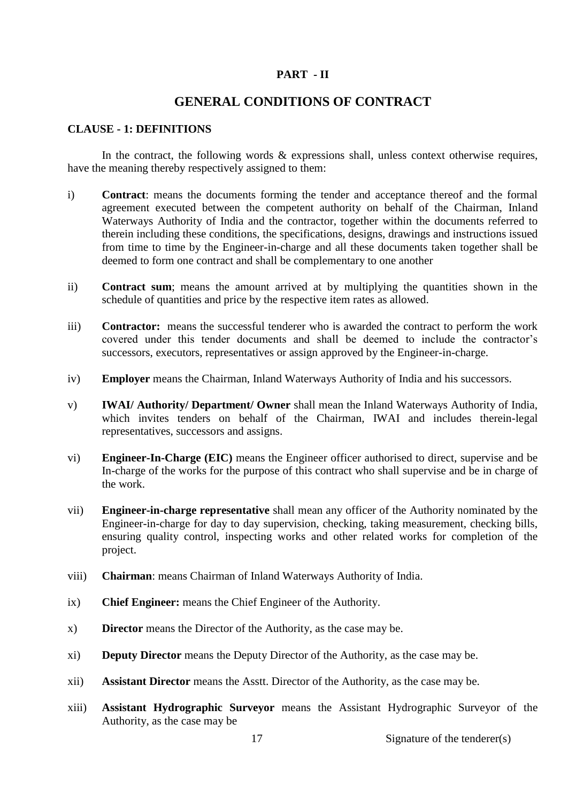#### **PART - II**

# **GENERAL CONDITIONS OF CONTRACT**

#### **CLAUSE - 1: DEFINITIONS**

In the contract, the following words  $\&$  expressions shall, unless context otherwise requires, have the meaning thereby respectively assigned to them:

- i) **Contract**: means the documents forming the tender and acceptance thereof and the formal agreement executed between the competent authority on behalf of the Chairman, Inland Waterways Authority of India and the contractor, together within the documents referred to therein including these conditions, the specifications, designs, drawings and instructions issued from time to time by the Engineer-in-charge and all these documents taken together shall be deemed to form one contract and shall be complementary to one another
- ii) **Contract sum**; means the amount arrived at by multiplying the quantities shown in the schedule of quantities and price by the respective item rates as allowed.
- iii) **Contractor:** means the successful tenderer who is awarded the contract to perform the work covered under this tender documents and shall be deemed to include the contractor's successors, executors, representatives or assign approved by the Engineer-in-charge.
- iv) **Employer** means the Chairman, Inland Waterways Authority of India and his successors.
- v) **IWAI/ Authority/ Department/ Owner** shall mean the Inland Waterways Authority of India, which invites tenders on behalf of the Chairman, IWAI and includes therein-legal representatives, successors and assigns.
- vi) **Engineer-In-Charge (EIC)** means the Engineer officer authorised to direct, supervise and be In-charge of the works for the purpose of this contract who shall supervise and be in charge of the work.
- vii) **Engineer-in-charge representative** shall mean any officer of the Authority nominated by the Engineer-in-charge for day to day supervision, checking, taking measurement, checking bills, ensuring quality control, inspecting works and other related works for completion of the project.
- viii) **Chairman**: means Chairman of Inland Waterways Authority of India.
- ix) **Chief Engineer:** means the Chief Engineer of the Authority.
- x) **Director** means the Director of the Authority, as the case may be.
- xi) **Deputy Director** means the Deputy Director of the Authority, as the case may be.
- xii) **Assistant Director** means the Asstt. Director of the Authority, as the case may be.
- xiii) **Assistant Hydrographic Surveyor** means the Assistant Hydrographic Surveyor of the Authority, as the case may be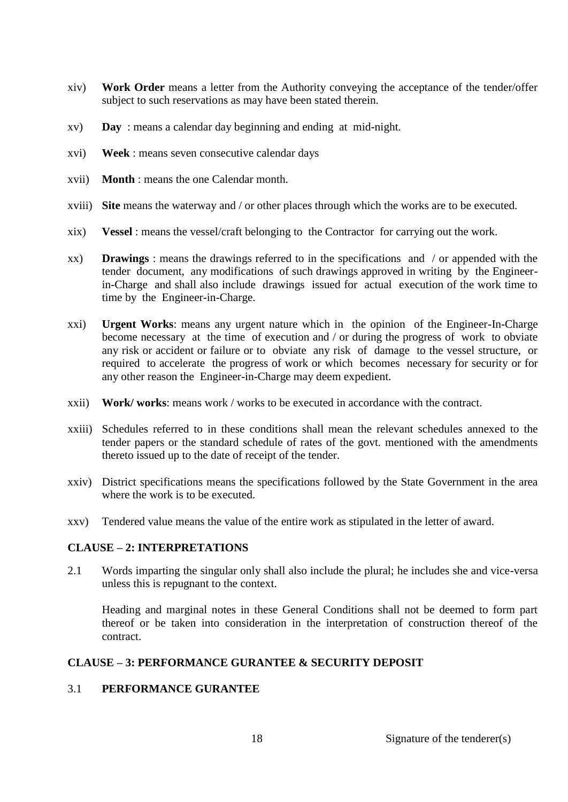- xiv) **Work Order** means a letter from the Authority conveying the acceptance of the tender/offer subject to such reservations as may have been stated therein.
- xv) **Day** : means a calendar day beginning and ending at mid-night.
- xvi) **Week** : means seven consecutive calendar days
- xvii) **Month** : means the one Calendar month.
- xviii) **Site** means the waterway and / or other places through which the works are to be executed.
- xix) **Vessel** : means the vessel/craft belonging to the Contractor for carrying out the work.
- xx) **Drawings** : means the drawings referred to in the specifications and / or appended with the tender document, any modifications of such drawings approved in writing by the Engineerin-Charge and shall also include drawings issued for actual execution of the work time to time by the Engineer-in-Charge.
- xxi) **Urgent Works**: means any urgent nature which in the opinion of the Engineer-In-Charge become necessary at the time of execution and / or during the progress of work to obviate any risk or accident or failure or to obviate any risk of damage to the vessel structure, or required to accelerate the progress of work or which becomes necessary for security or for any other reason the Engineer-in-Charge may deem expedient.
- xxii) **Work/ works**: means work / works to be executed in accordance with the contract.
- xxiii) Schedules referred to in these conditions shall mean the relevant schedules annexed to the tender papers or the standard schedule of rates of the govt. mentioned with the amendments thereto issued up to the date of receipt of the tender.
- xxiv) District specifications means the specifications followed by the State Government in the area where the work is to be executed.
- xxv) Tendered value means the value of the entire work as stipulated in the letter of award.

# **CLAUSE – 2: INTERPRETATIONS**

2.1 Words imparting the singular only shall also include the plural; he includes she and vice-versa unless this is repugnant to the context.

Heading and marginal notes in these General Conditions shall not be deemed to form part thereof or be taken into consideration in the interpretation of construction thereof of the contract.

#### **CLAUSE – 3: PERFORMANCE GURANTEE & SECURITY DEPOSIT**

#### 3.1 **PERFORMANCE GURANTEE**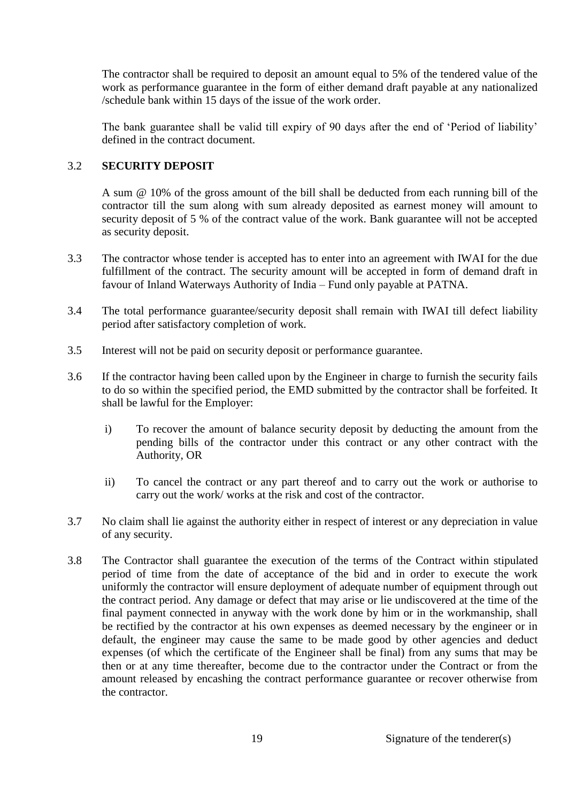The contractor shall be required to deposit an amount equal to 5% of the tendered value of the work as performance guarantee in the form of either demand draft payable at any nationalized /schedule bank within 15 days of the issue of the work order.

The bank guarantee shall be valid till expiry of 90 days after the end of 'Period of liability' defined in the contract document.

# 3.2 **SECURITY DEPOSIT**

A sum @ 10% of the gross amount of the bill shall be deducted from each running bill of the contractor till the sum along with sum already deposited as earnest money will amount to security deposit of 5 % of the contract value of the work. Bank guarantee will not be accepted as security deposit.

- 3.3 The contractor whose tender is accepted has to enter into an agreement with IWAI for the due fulfillment of the contract. The security amount will be accepted in form of demand draft in favour of Inland Waterways Authority of India – Fund only payable at PATNA.
- 3.4 The total performance guarantee/security deposit shall remain with IWAI till defect liability period after satisfactory completion of work.
- 3.5 Interest will not be paid on security deposit or performance guarantee.
- 3.6 If the contractor having been called upon by the Engineer in charge to furnish the security fails to do so within the specified period, the EMD submitted by the contractor shall be forfeited. It shall be lawful for the Employer:
	- i) To recover the amount of balance security deposit by deducting the amount from the pending bills of the contractor under this contract or any other contract with the Authority, OR
	- ii) To cancel the contract or any part thereof and to carry out the work or authorise to carry out the work/ works at the risk and cost of the contractor.
- 3.7 No claim shall lie against the authority either in respect of interest or any depreciation in value of any security.
- 3.8 The Contractor shall guarantee the execution of the terms of the Contract within stipulated period of time from the date of acceptance of the bid and in order to execute the work uniformly the contractor will ensure deployment of adequate number of equipment through out the contract period. Any damage or defect that may arise or lie undiscovered at the time of the final payment connected in anyway with the work done by him or in the workmanship, shall be rectified by the contractor at his own expenses as deemed necessary by the engineer or in default, the engineer may cause the same to be made good by other agencies and deduct expenses (of which the certificate of the Engineer shall be final) from any sums that may be then or at any time thereafter, become due to the contractor under the Contract or from the amount released by encashing the contract performance guarantee or recover otherwise from the contractor.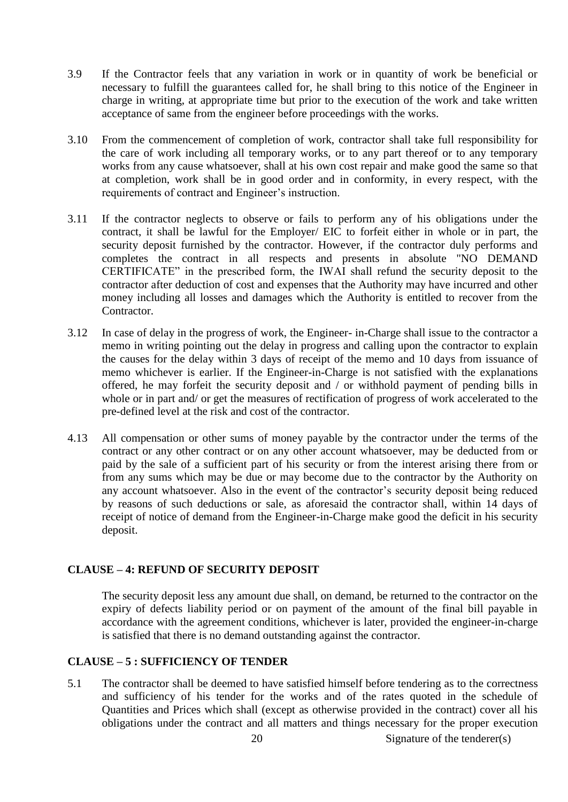- 3.9 If the Contractor feels that any variation in work or in quantity of work be beneficial or necessary to fulfill the guarantees called for, he shall bring to this notice of the Engineer in charge in writing, at appropriate time but prior to the execution of the work and take written acceptance of same from the engineer before proceedings with the works.
- 3.10 From the commencement of completion of work, contractor shall take full responsibility for the care of work including all temporary works, or to any part thereof or to any temporary works from any cause whatsoever, shall at his own cost repair and make good the same so that at completion, work shall be in good order and in conformity, in every respect, with the requirements of contract and Engineer's instruction.
- 3.11 If the contractor neglects to observe or fails to perform any of his obligations under the contract, it shall be lawful for the Employer/ EIC to forfeit either in whole or in part, the security deposit furnished by the contractor. However, if the contractor duly performs and completes the contract in all respects and presents in absolute "NO DEMAND CERTIFICATE" in the prescribed form, the IWAI shall refund the security deposit to the contractor after deduction of cost and expenses that the Authority may have incurred and other money including all losses and damages which the Authority is entitled to recover from the Contractor.
- 3.12 In case of delay in the progress of work, the Engineer- in-Charge shall issue to the contractor a memo in writing pointing out the delay in progress and calling upon the contractor to explain the causes for the delay within 3 days of receipt of the memo and 10 days from issuance of memo whichever is earlier. If the Engineer-in-Charge is not satisfied with the explanations offered, he may forfeit the security deposit and / or withhold payment of pending bills in whole or in part and/ or get the measures of rectification of progress of work accelerated to the pre-defined level at the risk and cost of the contractor.
- 4.13 All compensation or other sums of money payable by the contractor under the terms of the contract or any other contract or on any other account whatsoever, may be deducted from or paid by the sale of a sufficient part of his security or from the interest arising there from or from any sums which may be due or may become due to the contractor by the Authority on any account whatsoever. Also in the event of the contractor's security deposit being reduced by reasons of such deductions or sale, as aforesaid the contractor shall, within 14 days of receipt of notice of demand from the Engineer-in-Charge make good the deficit in his security deposit.

#### **CLAUSE – 4: REFUND OF SECURITY DEPOSIT**

The security deposit less any amount due shall, on demand, be returned to the contractor on the expiry of defects liability period or on payment of the amount of the final bill payable in accordance with the agreement conditions, whichever is later, provided the engineer-in-charge is satisfied that there is no demand outstanding against the contractor.

# **CLAUSE – 5 : SUFFICIENCY OF TENDER**

5.1 The contractor shall be deemed to have satisfied himself before tendering as to the correctness and sufficiency of his tender for the works and of the rates quoted in the schedule of Quantities and Prices which shall (except as otherwise provided in the contract) cover all his obligations under the contract and all matters and things necessary for the proper execution

20 Signature of the tenderer(s)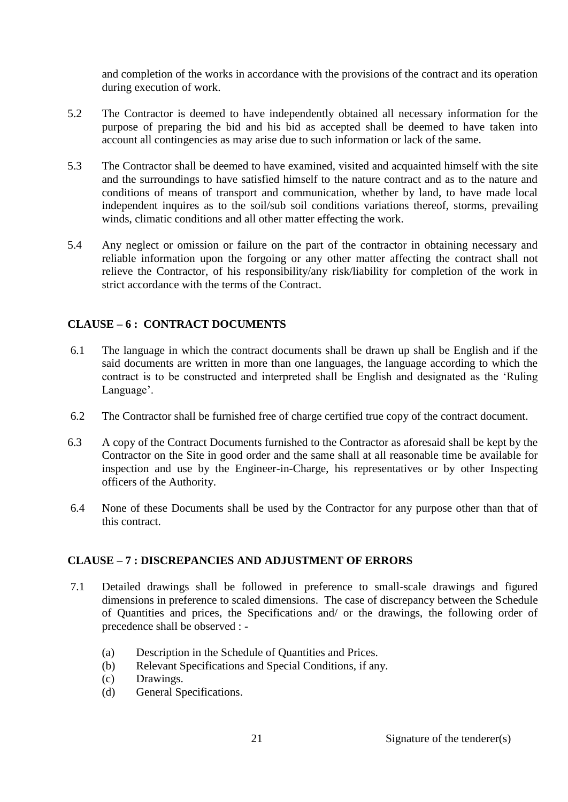and completion of the works in accordance with the provisions of the contract and its operation during execution of work.

- 5.2 The Contractor is deemed to have independently obtained all necessary information for the purpose of preparing the bid and his bid as accepted shall be deemed to have taken into account all contingencies as may arise due to such information or lack of the same.
- 5.3 The Contractor shall be deemed to have examined, visited and acquainted himself with the site and the surroundings to have satisfied himself to the nature contract and as to the nature and conditions of means of transport and communication, whether by land, to have made local independent inquires as to the soil/sub soil conditions variations thereof, storms, prevailing winds, climatic conditions and all other matter effecting the work.
- 5.4 Any neglect or omission or failure on the part of the contractor in obtaining necessary and reliable information upon the forgoing or any other matter affecting the contract shall not relieve the Contractor, of his responsibility/any risk/liability for completion of the work in strict accordance with the terms of the Contract.

# **CLAUSE – 6 : CONTRACT DOCUMENTS**

- 6.1 The language in which the contract documents shall be drawn up shall be English and if the said documents are written in more than one languages, the language according to which the contract is to be constructed and interpreted shall be English and designated as the 'Ruling Language'.
- 6.2 The Contractor shall be furnished free of charge certified true copy of the contract document.
- 6.3 A copy of the Contract Documents furnished to the Contractor as aforesaid shall be kept by the Contractor on the Site in good order and the same shall at all reasonable time be available for inspection and use by the Engineer-in-Charge, his representatives or by other Inspecting officers of the Authority.
- 6.4 None of these Documents shall be used by the Contractor for any purpose other than that of this contract.

# **CLAUSE – 7 : DISCREPANCIES AND ADJUSTMENT OF ERRORS**

- 7.1 Detailed drawings shall be followed in preference to small-scale drawings and figured dimensions in preference to scaled dimensions. The case of discrepancy between the Schedule of Quantities and prices, the Specifications and/ or the drawings, the following order of precedence shall be observed : -
	- (a) Description in the Schedule of Quantities and Prices.
	- (b) Relevant Specifications and Special Conditions, if any.
	- (c) Drawings.
	- (d) General Specifications.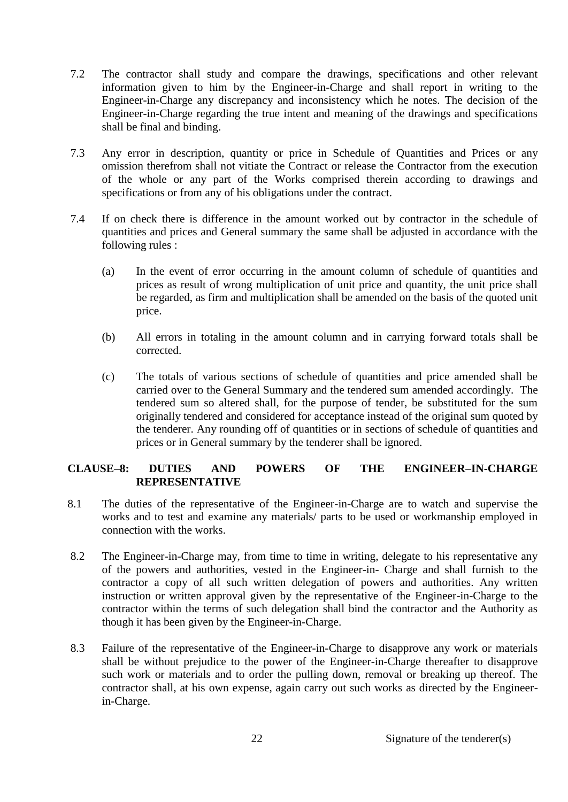- 7.2 The contractor shall study and compare the drawings, specifications and other relevant information given to him by the Engineer-in-Charge and shall report in writing to the Engineer-in-Charge any discrepancy and inconsistency which he notes. The decision of the Engineer-in-Charge regarding the true intent and meaning of the drawings and specifications shall be final and binding.
- 7.3 Any error in description, quantity or price in Schedule of Quantities and Prices or any omission therefrom shall not vitiate the Contract or release the Contractor from the execution of the whole or any part of the Works comprised therein according to drawings and specifications or from any of his obligations under the contract.
- 7.4 If on check there is difference in the amount worked out by contractor in the schedule of quantities and prices and General summary the same shall be adjusted in accordance with the following rules :
	- (a) In the event of error occurring in the amount column of schedule of quantities and prices as result of wrong multiplication of unit price and quantity, the unit price shall be regarded, as firm and multiplication shall be amended on the basis of the quoted unit price.
	- (b) All errors in totaling in the amount column and in carrying forward totals shall be corrected.
	- (c) The totals of various sections of schedule of quantities and price amended shall be carried over to the General Summary and the tendered sum amended accordingly. The tendered sum so altered shall, for the purpose of tender, be substituted for the sum originally tendered and considered for acceptance instead of the original sum quoted by the tenderer. Any rounding off of quantities or in sections of schedule of quantities and prices or in General summary by the tenderer shall be ignored.

#### **CLAUSE–8: DUTIES AND POWERS OF THE ENGINEER–IN-CHARGE REPRESENTATIVE**

- 8.1 The duties of the representative of the Engineer-in-Charge are to watch and supervise the works and to test and examine any materials/ parts to be used or workmanship employed in connection with the works.
- 8.2 The Engineer-in-Charge may, from time to time in writing, delegate to his representative any of the powers and authorities, vested in the Engineer-in- Charge and shall furnish to the contractor a copy of all such written delegation of powers and authorities. Any written instruction or written approval given by the representative of the Engineer-in-Charge to the contractor within the terms of such delegation shall bind the contractor and the Authority as though it has been given by the Engineer-in-Charge.
- 8.3 Failure of the representative of the Engineer-in-Charge to disapprove any work or materials shall be without prejudice to the power of the Engineer-in-Charge thereafter to disapprove such work or materials and to order the pulling down, removal or breaking up thereof. The contractor shall, at his own expense, again carry out such works as directed by the Engineerin-Charge.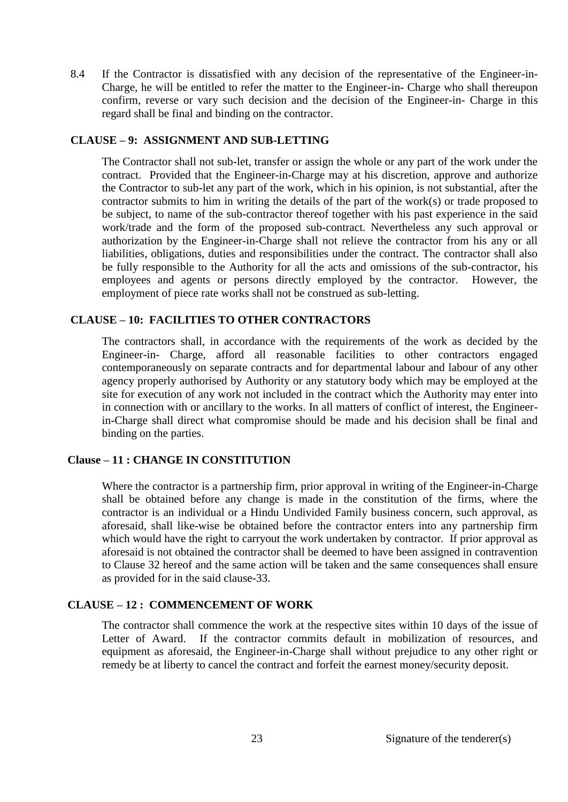8.4 If the Contractor is dissatisfied with any decision of the representative of the Engineer-in-Charge, he will be entitled to refer the matter to the Engineer-in- Charge who shall thereupon confirm, reverse or vary such decision and the decision of the Engineer-in- Charge in this regard shall be final and binding on the contractor.

#### **CLAUSE – 9: ASSIGNMENT AND SUB-LETTING**

The Contractor shall not sub-let, transfer or assign the whole or any part of the work under the contract. Provided that the Engineer-in-Charge may at his discretion, approve and authorize the Contractor to sub-let any part of the work, which in his opinion, is not substantial, after the contractor submits to him in writing the details of the part of the work(s) or trade proposed to be subject, to name of the sub-contractor thereof together with his past experience in the said work/trade and the form of the proposed sub-contract. Nevertheless any such approval or authorization by the Engineer-in-Charge shall not relieve the contractor from his any or all liabilities, obligations, duties and responsibilities under the contract. The contractor shall also be fully responsible to the Authority for all the acts and omissions of the sub-contractor, his employees and agents or persons directly employed by the contractor. However, the employment of piece rate works shall not be construed as sub-letting.

# **CLAUSE – 10: FACILITIES TO OTHER CONTRACTORS**

The contractors shall, in accordance with the requirements of the work as decided by the Engineer-in- Charge, afford all reasonable facilities to other contractors engaged contemporaneously on separate contracts and for departmental labour and labour of any other agency properly authorised by Authority or any statutory body which may be employed at the site for execution of any work not included in the contract which the Authority may enter into in connection with or ancillary to the works. In all matters of conflict of interest, the Engineerin-Charge shall direct what compromise should be made and his decision shall be final and binding on the parties.

#### **Clause – 11 : CHANGE IN CONSTITUTION**

Where the contractor is a partnership firm, prior approval in writing of the Engineer-in-Charge shall be obtained before any change is made in the constitution of the firms, where the contractor is an individual or a Hindu Undivided Family business concern, such approval, as aforesaid, shall like-wise be obtained before the contractor enters into any partnership firm which would have the right to carryout the work undertaken by contractor. If prior approval as aforesaid is not obtained the contractor shall be deemed to have been assigned in contravention to Clause 32 hereof and the same action will be taken and the same consequences shall ensure as provided for in the said clause-33.

#### **CLAUSE – 12 : COMMENCEMENT OF WORK**

The contractor shall commence the work at the respective sites within 10 days of the issue of Letter of Award. If the contractor commits default in mobilization of resources, and equipment as aforesaid, the Engineer-in-Charge shall without prejudice to any other right or remedy be at liberty to cancel the contract and forfeit the earnest money/security deposit.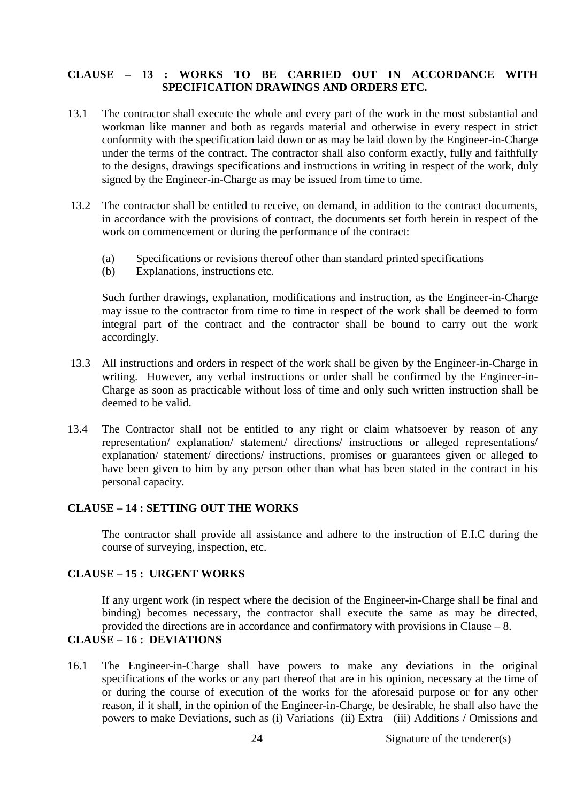# **CLAUSE – 13 : WORKS TO BE CARRIED OUT IN ACCORDANCE WITH SPECIFICATION DRAWINGS AND ORDERS ETC.**

- 13.1 The contractor shall execute the whole and every part of the work in the most substantial and workman like manner and both as regards material and otherwise in every respect in strict conformity with the specification laid down or as may be laid down by the Engineer-in-Charge under the terms of the contract. The contractor shall also conform exactly, fully and faithfully to the designs, drawings specifications and instructions in writing in respect of the work, duly signed by the Engineer-in-Charge as may be issued from time to time.
- 13.2 The contractor shall be entitled to receive, on demand, in addition to the contract documents, in accordance with the provisions of contract, the documents set forth herein in respect of the work on commencement or during the performance of the contract:
	- (a) Specifications or revisions thereof other than standard printed specifications
	- (b) Explanations, instructions etc.

Such further drawings, explanation, modifications and instruction, as the Engineer-in-Charge may issue to the contractor from time to time in respect of the work shall be deemed to form integral part of the contract and the contractor shall be bound to carry out the work accordingly.

- 13.3 All instructions and orders in respect of the work shall be given by the Engineer-in-Charge in writing. However, any verbal instructions or order shall be confirmed by the Engineer-in-Charge as soon as practicable without loss of time and only such written instruction shall be deemed to be valid.
- 13.4 The Contractor shall not be entitled to any right or claim whatsoever by reason of any representation/ explanation/ statement/ directions/ instructions or alleged representations/ explanation/ statement/ directions/ instructions, promises or guarantees given or alleged to have been given to him by any person other than what has been stated in the contract in his personal capacity.

#### **CLAUSE – 14 : SETTING OUT THE WORKS**

The contractor shall provide all assistance and adhere to the instruction of E.I.C during the course of surveying, inspection, etc.

#### **CLAUSE – 15 : URGENT WORKS**

If any urgent work (in respect where the decision of the Engineer-in-Charge shall be final and binding) becomes necessary, the contractor shall execute the same as may be directed, provided the directions are in accordance and confirmatory with provisions in Clause – 8.

## **CLAUSE – 16 : DEVIATIONS**

16.1 The Engineer-in-Charge shall have powers to make any deviations in the original specifications of the works or any part thereof that are in his opinion, necessary at the time of or during the course of execution of the works for the aforesaid purpose or for any other reason, if it shall, in the opinion of the Engineer-in-Charge, be desirable, he shall also have the powers to make Deviations, such as (i) Variations (ii) Extra (iii) Additions / Omissions and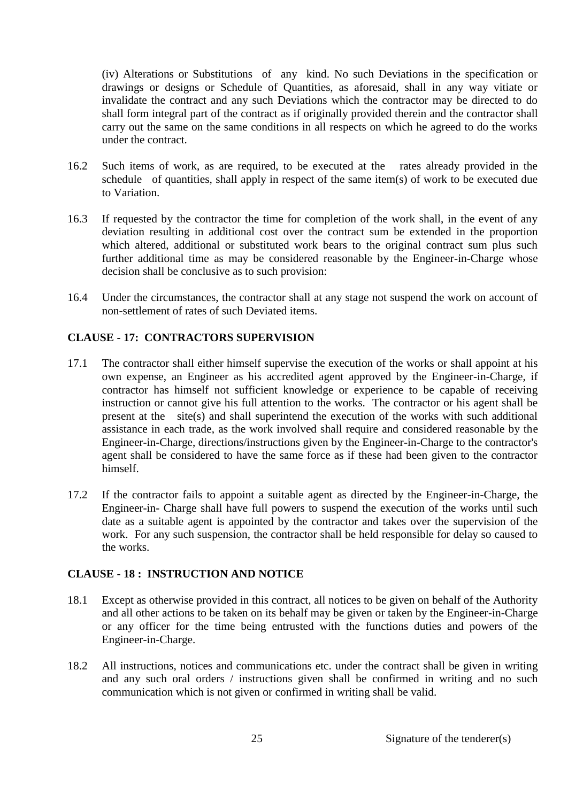(iv) Alterations or Substitutions of any kind. No such Deviations in the specification or drawings or designs or Schedule of Quantities, as aforesaid, shall in any way vitiate or invalidate the contract and any such Deviations which the contractor may be directed to do shall form integral part of the contract as if originally provided therein and the contractor shall carry out the same on the same conditions in all respects on which he agreed to do the works under the contract.

- 16.2 Such items of work, as are required, to be executed at the rates already provided in the schedule of quantities, shall apply in respect of the same item(s) of work to be executed due to Variation.
- 16.3 If requested by the contractor the time for completion of the work shall, in the event of any deviation resulting in additional cost over the contract sum be extended in the proportion which altered, additional or substituted work bears to the original contract sum plus such further additional time as may be considered reasonable by the Engineer-in-Charge whose decision shall be conclusive as to such provision:
- 16.4 Under the circumstances, the contractor shall at any stage not suspend the work on account of non-settlement of rates of such Deviated items.

# **CLAUSE - 17: CONTRACTORS SUPERVISION**

- 17.1 The contractor shall either himself supervise the execution of the works or shall appoint at his own expense, an Engineer as his accredited agent approved by the Engineer-in-Charge, if contractor has himself not sufficient knowledge or experience to be capable of receiving instruction or cannot give his full attention to the works. The contractor or his agent shall be present at the site(s) and shall superintend the execution of the works with such additional assistance in each trade, as the work involved shall require and considered reasonable by the Engineer-in-Charge, directions/instructions given by the Engineer-in-Charge to the contractor's agent shall be considered to have the same force as if these had been given to the contractor himself.
- 17.2 If the contractor fails to appoint a suitable agent as directed by the Engineer-in-Charge, the Engineer-in- Charge shall have full powers to suspend the execution of the works until such date as a suitable agent is appointed by the contractor and takes over the supervision of the work. For any such suspension, the contractor shall be held responsible for delay so caused to the works.

#### **CLAUSE - 18 : INSTRUCTION AND NOTICE**

- 18.1 Except as otherwise provided in this contract, all notices to be given on behalf of the Authority and all other actions to be taken on its behalf may be given or taken by the Engineer-in-Charge or any officer for the time being entrusted with the functions duties and powers of the Engineer-in-Charge.
- 18.2 All instructions, notices and communications etc. under the contract shall be given in writing and any such oral orders / instructions given shall be confirmed in writing and no such communication which is not given or confirmed in writing shall be valid.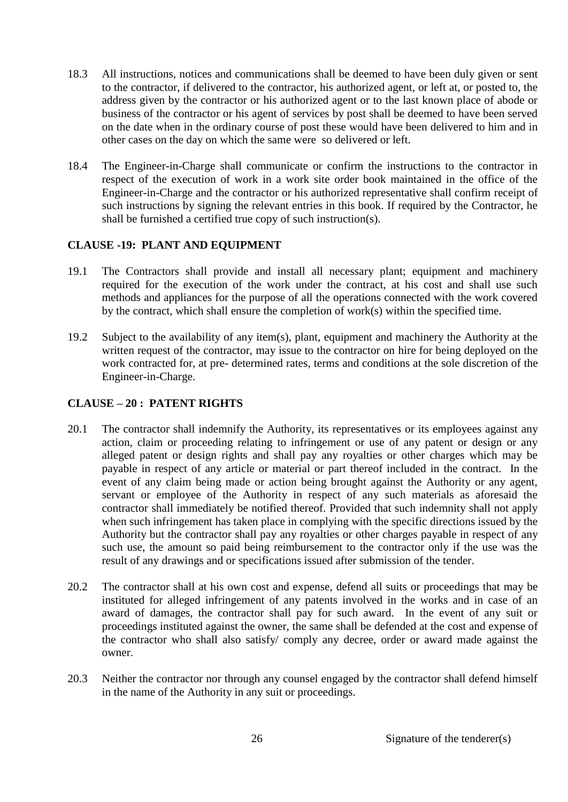- 18.3 All instructions, notices and communications shall be deemed to have been duly given or sent to the contractor, if delivered to the contractor, his authorized agent, or left at, or posted to, the address given by the contractor or his authorized agent or to the last known place of abode or business of the contractor or his agent of services by post shall be deemed to have been served on the date when in the ordinary course of post these would have been delivered to him and in other cases on the day on which the same were so delivered or left.
- 18.4 The Engineer-in-Charge shall communicate or confirm the instructions to the contractor in respect of the execution of work in a work site order book maintained in the office of the Engineer-in-Charge and the contractor or his authorized representative shall confirm receipt of such instructions by signing the relevant entries in this book. If required by the Contractor, he shall be furnished a certified true copy of such instruction(s).

# **CLAUSE -19: PLANT AND EQUIPMENT**

- 19.1 The Contractors shall provide and install all necessary plant; equipment and machinery required for the execution of the work under the contract, at his cost and shall use such methods and appliances for the purpose of all the operations connected with the work covered by the contract, which shall ensure the completion of work(s) within the specified time.
- 19.2 Subject to the availability of any item(s), plant, equipment and machinery the Authority at the written request of the contractor, may issue to the contractor on hire for being deployed on the work contracted for, at pre- determined rates, terms and conditions at the sole discretion of the Engineer-in-Charge.

# **CLAUSE – 20 : PATENT RIGHTS**

- 20.1 The contractor shall indemnify the Authority, its representatives or its employees against any action, claim or proceeding relating to infringement or use of any patent or design or any alleged patent or design rights and shall pay any royalties or other charges which may be payable in respect of any article or material or part thereof included in the contract. In the event of any claim being made or action being brought against the Authority or any agent, servant or employee of the Authority in respect of any such materials as aforesaid the contractor shall immediately be notified thereof. Provided that such indemnity shall not apply when such infringement has taken place in complying with the specific directions issued by the Authority but the contractor shall pay any royalties or other charges payable in respect of any such use, the amount so paid being reimbursement to the contractor only if the use was the result of any drawings and or specifications issued after submission of the tender.
- 20.2 The contractor shall at his own cost and expense, defend all suits or proceedings that may be instituted for alleged infringement of any patents involved in the works and in case of an award of damages, the contractor shall pay for such award. In the event of any suit or proceedings instituted against the owner, the same shall be defended at the cost and expense of the contractor who shall also satisfy/ comply any decree, order or award made against the owner.
- 20.3 Neither the contractor nor through any counsel engaged by the contractor shall defend himself in the name of the Authority in any suit or proceedings.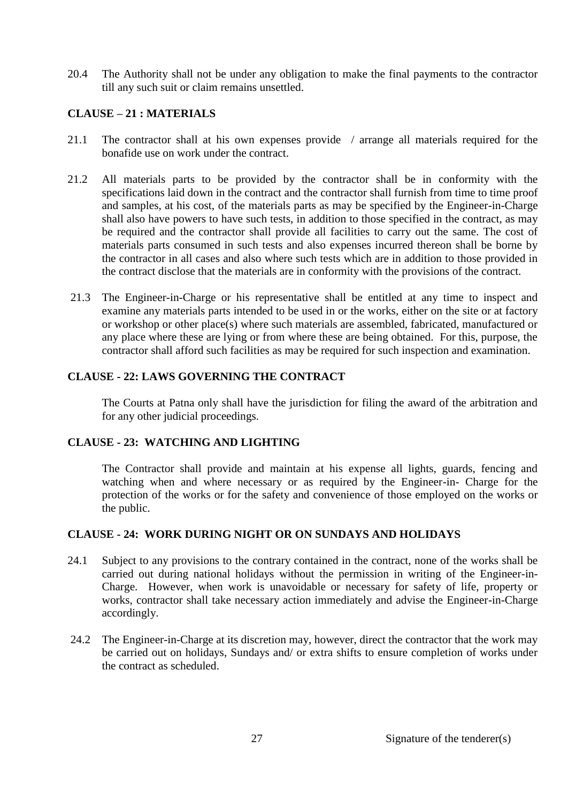20.4 The Authority shall not be under any obligation to make the final payments to the contractor till any such suit or claim remains unsettled.

# **CLAUSE – 21 : MATERIALS**

- 21.1 The contractor shall at his own expenses provide / arrange all materials required for the bonafide use on work under the contract.
- 21.2 All materials parts to be provided by the contractor shall be in conformity with the specifications laid down in the contract and the contractor shall furnish from time to time proof and samples, at his cost, of the materials parts as may be specified by the Engineer-in-Charge shall also have powers to have such tests, in addition to those specified in the contract, as may be required and the contractor shall provide all facilities to carry out the same. The cost of materials parts consumed in such tests and also expenses incurred thereon shall be borne by the contractor in all cases and also where such tests which are in addition to those provided in the contract disclose that the materials are in conformity with the provisions of the contract.
- 21.3 The Engineer-in-Charge or his representative shall be entitled at any time to inspect and examine any materials parts intended to be used in or the works, either on the site or at factory or workshop or other place(s) where such materials are assembled, fabricated, manufactured or any place where these are lying or from where these are being obtained. For this, purpose, the contractor shall afford such facilities as may be required for such inspection and examination.

# **CLAUSE - 22: LAWS GOVERNING THE CONTRACT**

The Courts at Patna only shall have the jurisdiction for filing the award of the arbitration and for any other judicial proceedings.

# **CLAUSE - 23: WATCHING AND LIGHTING**

The Contractor shall provide and maintain at his expense all lights, guards, fencing and watching when and where necessary or as required by the Engineer-in- Charge for the protection of the works or for the safety and convenience of those employed on the works or the public.

# **CLAUSE - 24: WORK DURING NIGHT OR ON SUNDAYS AND HOLIDAYS**

- 24.1 Subject to any provisions to the contrary contained in the contract, none of the works shall be carried out during national holidays without the permission in writing of the Engineer-in-Charge. However, when work is unavoidable or necessary for safety of life, property or works, contractor shall take necessary action immediately and advise the Engineer-in-Charge accordingly.
- 24.2 The Engineer-in-Charge at its discretion may, however, direct the contractor that the work may be carried out on holidays, Sundays and/ or extra shifts to ensure completion of works under the contract as scheduled.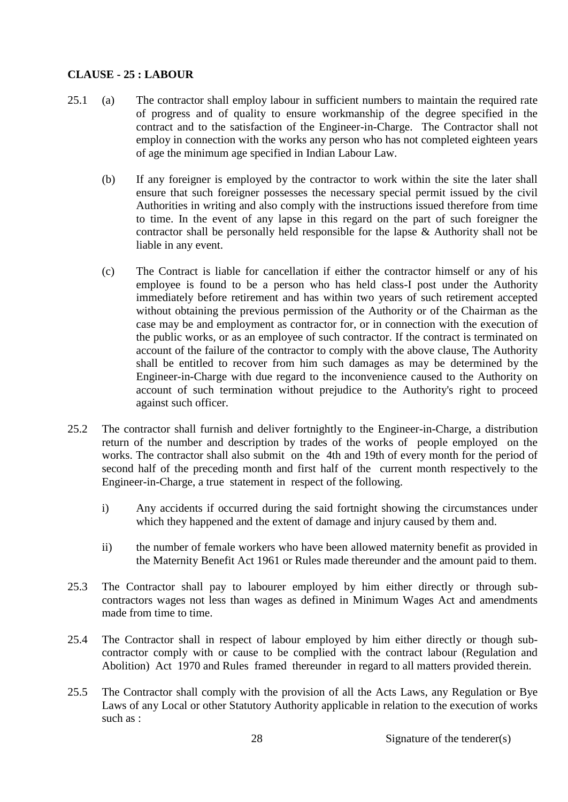# **CLAUSE - 25 : LABOUR**

- 25.1 (a) The contractor shall employ labour in sufficient numbers to maintain the required rate of progress and of quality to ensure workmanship of the degree specified in the contract and to the satisfaction of the Engineer-in-Charge. The Contractor shall not employ in connection with the works any person who has not completed eighteen years of age the minimum age specified in Indian Labour Law.
	- (b) If any foreigner is employed by the contractor to work within the site the later shall ensure that such foreigner possesses the necessary special permit issued by the civil Authorities in writing and also comply with the instructions issued therefore from time to time. In the event of any lapse in this regard on the part of such foreigner the contractor shall be personally held responsible for the lapse & Authority shall not be liable in any event.
	- (c) The Contract is liable for cancellation if either the contractor himself or any of his employee is found to be a person who has held class-I post under the Authority immediately before retirement and has within two years of such retirement accepted without obtaining the previous permission of the Authority or of the Chairman as the case may be and employment as contractor for, or in connection with the execution of the public works, or as an employee of such contractor. If the contract is terminated on account of the failure of the contractor to comply with the above clause, The Authority shall be entitled to recover from him such damages as may be determined by the Engineer-in-Charge with due regard to the inconvenience caused to the Authority on account of such termination without prejudice to the Authority's right to proceed against such officer.
- 25.2 The contractor shall furnish and deliver fortnightly to the Engineer-in-Charge, a distribution return of the number and description by trades of the works of people employed on the works. The contractor shall also submit on the 4th and 19th of every month for the period of second half of the preceding month and first half of the current month respectively to the Engineer-in-Charge, a true statement in respect of the following.
	- i) Any accidents if occurred during the said fortnight showing the circumstances under which they happened and the extent of damage and injury caused by them and.
	- ii) the number of female workers who have been allowed maternity benefit as provided in the Maternity Benefit Act 1961 or Rules made thereunder and the amount paid to them.
- 25.3 The Contractor shall pay to labourer employed by him either directly or through subcontractors wages not less than wages as defined in Minimum Wages Act and amendments made from time to time.
- 25.4 The Contractor shall in respect of labour employed by him either directly or though subcontractor comply with or cause to be complied with the contract labour (Regulation and Abolition) Act 1970 and Rules framed thereunder in regard to all matters provided therein.
- 25.5 The Contractor shall comply with the provision of all the Acts Laws, any Regulation or Bye Laws of any Local or other Statutory Authority applicable in relation to the execution of works such as :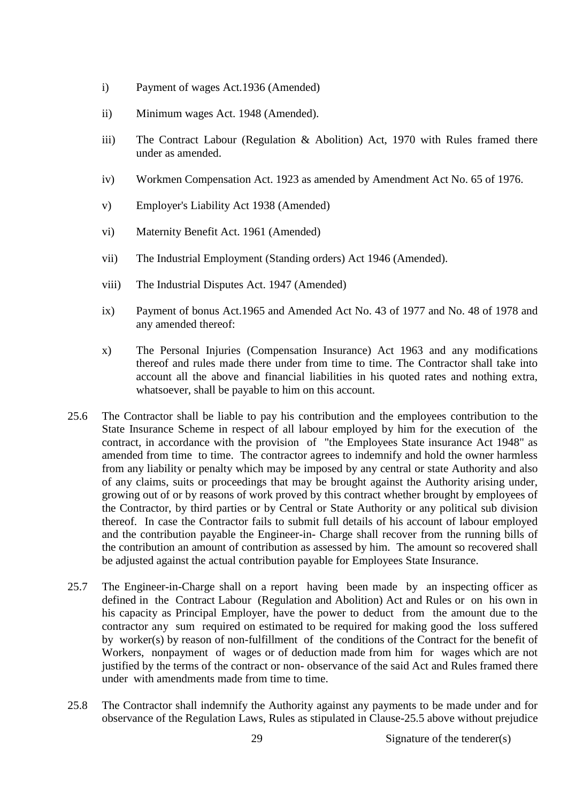- i) Payment of wages Act.1936 (Amended)
- ii) Minimum wages Act. 1948 (Amended).
- iii) The Contract Labour (Regulation & Abolition) Act, 1970 with Rules framed there under as amended.
- iv) Workmen Compensation Act. 1923 as amended by Amendment Act No. 65 of 1976.
- v) Employer's Liability Act 1938 (Amended)
- vi) Maternity Benefit Act. 1961 (Amended)
- vii) The Industrial Employment (Standing orders) Act 1946 (Amended).
- viii) The Industrial Disputes Act. 1947 (Amended)
- ix) Payment of bonus Act.1965 and Amended Act No. 43 of 1977 and No. 48 of 1978 and any amended thereof:
- x) The Personal Injuries (Compensation Insurance) Act 1963 and any modifications thereof and rules made there under from time to time. The Contractor shall take into account all the above and financial liabilities in his quoted rates and nothing extra, whatsoever, shall be payable to him on this account.
- 25.6 The Contractor shall be liable to pay his contribution and the employees contribution to the State Insurance Scheme in respect of all labour employed by him for the execution of the contract, in accordance with the provision of "the Employees State insurance Act 1948" as amended from time to time. The contractor agrees to indemnify and hold the owner harmless from any liability or penalty which may be imposed by any central or state Authority and also of any claims, suits or proceedings that may be brought against the Authority arising under, growing out of or by reasons of work proved by this contract whether brought by employees of the Contractor, by third parties or by Central or State Authority or any political sub division thereof. In case the Contractor fails to submit full details of his account of labour employed and the contribution payable the Engineer-in- Charge shall recover from the running bills of the contribution an amount of contribution as assessed by him. The amount so recovered shall be adjusted against the actual contribution payable for Employees State Insurance.
- 25.7 The Engineer-in-Charge shall on a report having been made by an inspecting officer as defined in the Contract Labour (Regulation and Abolition) Act and Rules or on his own in his capacity as Principal Employer, have the power to deduct from the amount due to the contractor any sum required on estimated to be required for making good the loss suffered by worker(s) by reason of non-fulfillment of the conditions of the Contract for the benefit of Workers, nonpayment of wages or of deduction made from him for wages which are not justified by the terms of the contract or non- observance of the said Act and Rules framed there under with amendments made from time to time.
- 25.8 The Contractor shall indemnify the Authority against any payments to be made under and for observance of the Regulation Laws, Rules as stipulated in Clause-25.5 above without prejudice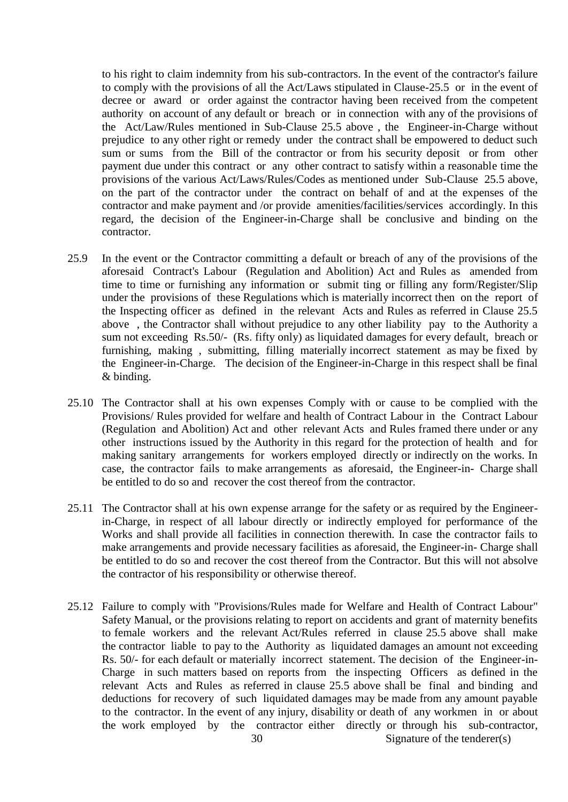to his right to claim indemnity from his sub-contractors. In the event of the contractor's failure to comply with the provisions of all the Act/Laws stipulated in Clause-25.5 or in the event of decree or award or order against the contractor having been received from the competent authority on account of any default or breach or in connection with any of the provisions of the Act/Law/Rules mentioned in Sub-Clause 25.5 above , the Engineer-in-Charge without prejudice to any other right or remedy under the contract shall be empowered to deduct such sum or sums from the Bill of the contractor or from his security deposit or from other payment due under this contract or any other contract to satisfy within a reasonable time the provisions of the various Act/Laws/Rules/Codes as mentioned under Sub-Clause 25.5 above, on the part of the contractor under the contract on behalf of and at the expenses of the contractor and make payment and /or provide amenities/facilities/services accordingly. In this regard, the decision of the Engineer-in-Charge shall be conclusive and binding on the contractor.

- 25.9 In the event or the Contractor committing a default or breach of any of the provisions of the aforesaid Contract's Labour (Regulation and Abolition) Act and Rules as amended from time to time or furnishing any information or submit ting or filling any form/Register/Slip under the provisions of these Regulations which is materially incorrect then on the report of the Inspecting officer as defined in the relevant Acts and Rules as referred in Clause 25.5 above , the Contractor shall without prejudice to any other liability pay to the Authority a sum not exceeding Rs.50/- (Rs. fifty only) as liquidated damages for every default, breach or furnishing, making , submitting, filling materially incorrect statement as may be fixed by the Engineer-in-Charge. The decision of the Engineer-in-Charge in this respect shall be final & binding.
- 25.10 The Contractor shall at his own expenses Comply with or cause to be complied with the Provisions/ Rules provided for welfare and health of Contract Labour in the Contract Labour (Regulation and Abolition) Act and other relevant Acts and Rules framed there under or any other instructions issued by the Authority in this regard for the protection of health and for making sanitary arrangements for workers employed directly or indirectly on the works. In case, the contractor fails to make arrangements as aforesaid, the Engineer-in- Charge shall be entitled to do so and recover the cost thereof from the contractor.
- 25.11 The Contractor shall at his own expense arrange for the safety or as required by the Engineerin-Charge, in respect of all labour directly or indirectly employed for performance of the Works and shall provide all facilities in connection therewith. In case the contractor fails to make arrangements and provide necessary facilities as aforesaid, the Engineer-in- Charge shall be entitled to do so and recover the cost thereof from the Contractor. But this will not absolve the contractor of his responsibility or otherwise thereof.
- 25.12 Failure to comply with "Provisions/Rules made for Welfare and Health of Contract Labour" Safety Manual, or the provisions relating to report on accidents and grant of maternity benefits to female workers and the relevant Act/Rules referred in clause 25.5 above shall make the contractor liable to pay to the Authority as liquidated damages an amount not exceeding Rs. 50/- for each default or materially incorrect statement. The decision of the Engineer-in-Charge in such matters based on reports from the inspecting Officers as defined in the relevant Acts and Rules as referred in clause 25.5 above shall be final and binding and deductions for recovery of such liquidated damages may be made from any amount payable to the contractor. In the event of any injury, disability or death of any workmen in or about the work employed by the contractor either directly or through his sub-contractor,

30 Signature of the tenderer(s)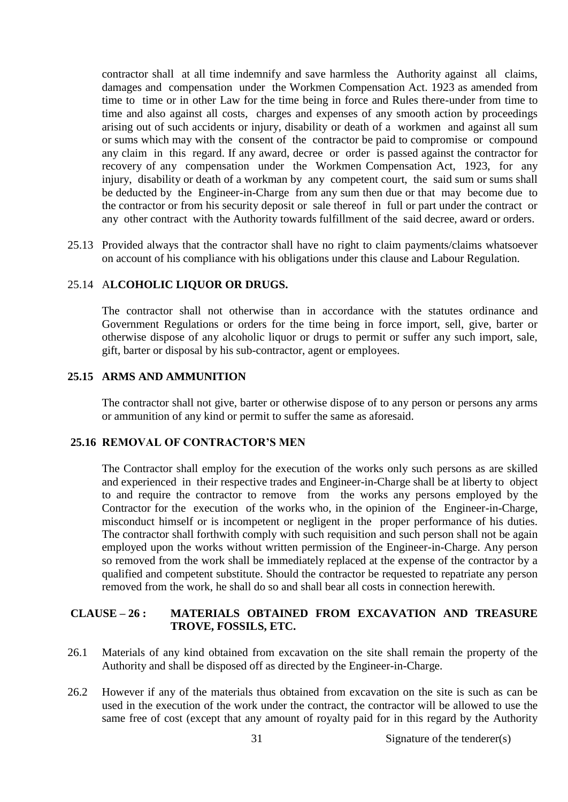contractor shall at all time indemnify and save harmless the Authority against all claims, damages and compensation under the Workmen Compensation Act. 1923 as amended from time to time or in other Law for the time being in force and Rules there-under from time to time and also against all costs, charges and expenses of any smooth action by proceedings arising out of such accidents or injury, disability or death of a workmen and against all sum or sums which may with the consent of the contractor be paid to compromise or compound any claim in this regard. If any award, decree or order is passed against the contractor for recovery of any compensation under the Workmen Compensation Act, 1923, for any injury, disability or death of a workman by any competent court, the said sum or sums shall be deducted by the Engineer-in-Charge from any sum then due or that may become due to the contractor or from his security deposit or sale thereof in full or part under the contract or any other contract with the Authority towards fulfillment of the said decree, award or orders.

25.13 Provided always that the contractor shall have no right to claim payments/claims whatsoever on account of his compliance with his obligations under this clause and Labour Regulation.

#### 25.14 A**LCOHOLIC LIQUOR OR DRUGS.**

The contractor shall not otherwise than in accordance with the statutes ordinance and Government Regulations or orders for the time being in force import, sell, give, barter or otherwise dispose of any alcoholic liquor or drugs to permit or suffer any such import, sale, gift, barter or disposal by his sub-contractor, agent or employees.

#### **25.15 ARMS AND AMMUNITION**

The contractor shall not give, barter or otherwise dispose of to any person or persons any arms or ammunition of any kind or permit to suffer the same as aforesaid.

#### **25.16 REMOVAL OF CONTRACTOR'S MEN**

The Contractor shall employ for the execution of the works only such persons as are skilled and experienced in their respective trades and Engineer-in-Charge shall be at liberty to object to and require the contractor to remove from the works any persons employed by the Contractor for the execution of the works who, in the opinion of the Engineer-in-Charge, misconduct himself or is incompetent or negligent in the proper performance of his duties. The contractor shall forthwith comply with such requisition and such person shall not be again employed upon the works without written permission of the Engineer-in-Charge. Any person so removed from the work shall be immediately replaced at the expense of the contractor by a qualified and competent substitute. Should the contractor be requested to repatriate any person removed from the work, he shall do so and shall bear all costs in connection herewith.

# **CLAUSE – 26 : MATERIALS OBTAINED FROM EXCAVATION AND TREASURE TROVE, FOSSILS, ETC.**

- 26.1 Materials of any kind obtained from excavation on the site shall remain the property of the Authority and shall be disposed off as directed by the Engineer-in-Charge.
- 26.2 However if any of the materials thus obtained from excavation on the site is such as can be used in the execution of the work under the contract, the contractor will be allowed to use the same free of cost (except that any amount of royalty paid for in this regard by the Authority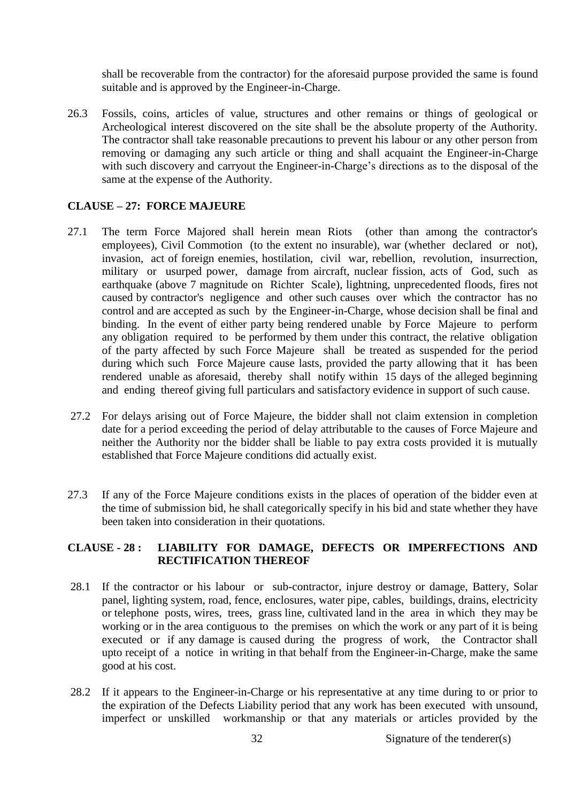shall be recoverable from the contractor) for the aforesaid purpose provided the same is found suitable and is approved by the Engineer-in-Charge.

26.3 Fossils, coins, articles of value, structures and other remains or things of geological or Archeological interest discovered on the site shall be the absolute property of the Authority. The contractor shall take reasonable precautions to prevent his labour or any other person from removing or damaging any such article or thing and shall acquaint the Engineer-in-Charge with such discovery and carryout the Engineer-in-Charge's directions as to the disposal of the same at the expense of the Authority.

#### **CLAUSE – 27: FORCE MAJEURE**

- 27.1 The term Force Majored shall herein mean Riots (other than among the contractor's employees), Civil Commotion (to the extent no insurable), war (whether declared or not), invasion, act of foreign enemies, hostilation, civil war, rebellion, revolution, insurrection, military or usurped power, damage from aircraft, nuclear fission, acts of God, such as earthquake (above 7 magnitude on Richter Scale), lightning, unprecedented floods, fires not caused by contractor's negligence and other such causes over which the contractor has no control and are accepted as such by the Engineer-in-Charge, whose decision shall be final and binding. In the event of either party being rendered unable by Force Majeure to perform any obligation required to be performed by them under this contract, the relative obligation of the party affected by such Force Majeure shall be treated as suspended for the period during which such Force Majeure cause lasts, provided the party allowing that it has been rendered unable as aforesaid, thereby shall notify within 15 days of the alleged beginning and ending thereof giving full particulars and satisfactory evidence in support of such cause.
- 27.2 For delays arising out of Force Majeure, the bidder shall not claim extension in completion date for a period exceeding the period of delay attributable to the causes of Force Majeure and neither the Authority nor the bidder shall be liable to pay extra costs provided it is mutually established that Force Majeure conditions did actually exist.
- 27.3 If any of the Force Majeure conditions exists in the places of operation of the bidder even at the time of submission bid, he shall categorically specify in his bid and state whether they have been taken into consideration in their quotations.

# **CLAUSE - 28 : LIABILITY FOR DAMAGE, DEFECTS OR IMPERFECTIONS AND RECTIFICATION THEREOF**

- 28.1 If the contractor or his labour or sub-contractor, injure destroy or damage, Battery, Solar panel, lighting system, road, fence, enclosures, water pipe, cables, buildings, drains, electricity or telephone posts, wires, trees, grass line, cultivated land in the area in which they may be working or in the area contiguous to the premises on which the work or any part of it is being executed or if any damage is caused during the progress of work, the Contractor shall upto receipt of a notice in writing in that behalf from the Engineer-in-Charge, make the same good at his cost.
- 28.2 If it appears to the Engineer-in-Charge or his representative at any time during to or prior to the expiration of the Defects Liability period that any work has been executed with unsound, imperfect or unskilled workmanship or that any materials or articles provided by the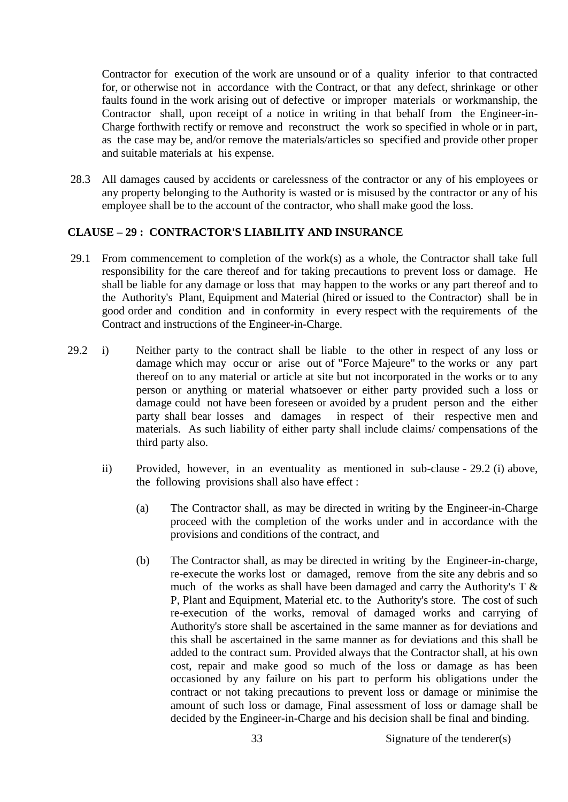Contractor for execution of the work are unsound or of a quality inferior to that contracted for, or otherwise not in accordance with the Contract, or that any defect, shrinkage or other faults found in the work arising out of defective or improper materials or workmanship, the Contractor shall, upon receipt of a notice in writing in that behalf from the Engineer-in-Charge forthwith rectify or remove and reconstruct the work so specified in whole or in part, as the case may be, and/or remove the materials/articles so specified and provide other proper and suitable materials at his expense.

28.3 All damages caused by accidents or carelessness of the contractor or any of his employees or any property belonging to the Authority is wasted or is misused by the contractor or any of his employee shall be to the account of the contractor, who shall make good the loss.

# **CLAUSE – 29 : CONTRACTOR'S LIABILITY AND INSURANCE**

- 29.1 From commencement to completion of the work(s) as a whole, the Contractor shall take full responsibility for the care thereof and for taking precautions to prevent loss or damage. He shall be liable for any damage or loss that may happen to the works or any part thereof and to the Authority's Plant, Equipment and Material (hired or issued to the Contractor) shall be in good order and condition and in conformity in every respect with the requirements of the Contract and instructions of the Engineer-in-Charge.
- 29.2 i) Neither party to the contract shall be liable to the other in respect of any loss or damage which may occur or arise out of "Force Majeure" to the works or any part thereof on to any material or article at site but not incorporated in the works or to any person or anything or material whatsoever or either party provided such a loss or damage could not have been foreseen or avoided by a prudent person and the either party shall bear losses and damages in respect of their respective men and materials. As such liability of either party shall include claims/ compensations of the third party also.
	- ii) Provided, however, in an eventuality as mentioned in sub-clause 29.2 (i) above, the following provisions shall also have effect :
		- (a) The Contractor shall, as may be directed in writing by the Engineer-in-Charge proceed with the completion of the works under and in accordance with the provisions and conditions of the contract, and
		- (b) The Contractor shall, as may be directed in writing by the Engineer-in-charge, re-execute the works lost or damaged, remove from the site any debris and so much of the works as shall have been damaged and carry the Authority's  $T \&$ P, Plant and Equipment, Material etc. to the Authority's store. The cost of such re-execution of the works, removal of damaged works and carrying of Authority's store shall be ascertained in the same manner as for deviations and this shall be ascertained in the same manner as for deviations and this shall be added to the contract sum. Provided always that the Contractor shall, at his own cost, repair and make good so much of the loss or damage as has been occasioned by any failure on his part to perform his obligations under the contract or not taking precautions to prevent loss or damage or minimise the amount of such loss or damage, Final assessment of loss or damage shall be decided by the Engineer-in-Charge and his decision shall be final and binding.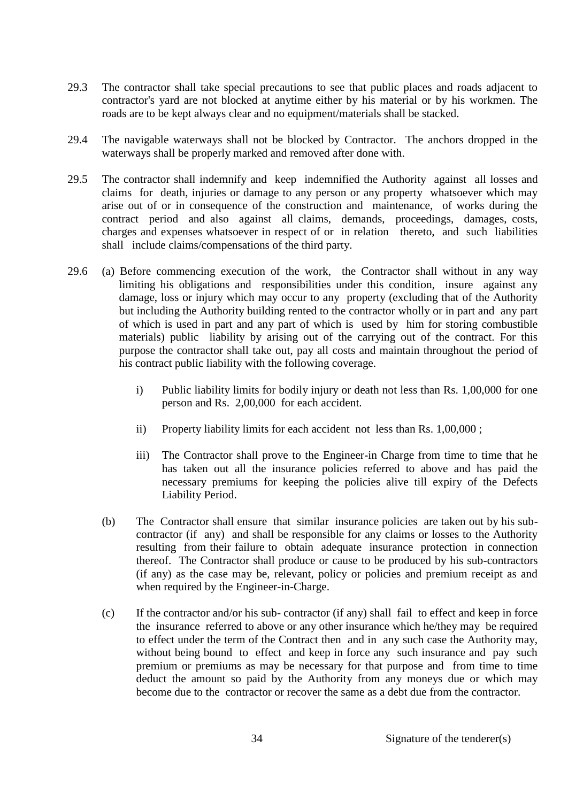- 29.3 The contractor shall take special precautions to see that public places and roads adjacent to contractor's yard are not blocked at anytime either by his material or by his workmen. The roads are to be kept always clear and no equipment/materials shall be stacked.
- 29.4 The navigable waterways shall not be blocked by Contractor. The anchors dropped in the waterways shall be properly marked and removed after done with.
- 29.5 The contractor shall indemnify and keep indemnified the Authority against all losses and claims for death, injuries or damage to any person or any property whatsoever which may arise out of or in consequence of the construction and maintenance, of works during the contract period and also against all claims, demands, proceedings, damages, costs, charges and expenses whatsoever in respect of or in relation thereto, and such liabilities shall include claims/compensations of the third party.
- 29.6 (a) Before commencing execution of the work, the Contractor shall without in any way limiting his obligations and responsibilities under this condition, insure against any damage, loss or injury which may occur to any property (excluding that of the Authority but including the Authority building rented to the contractor wholly or in part and any part of which is used in part and any part of which is used by him for storing combustible materials) public liability by arising out of the carrying out of the contract. For this purpose the contractor shall take out, pay all costs and maintain throughout the period of his contract public liability with the following coverage.
	- i) Public liability limits for bodily injury or death not less than Rs. 1,00,000 for one person and Rs. 2,00,000 for each accident.
	- ii) Property liability limits for each accident not less than Rs. 1,00,000 ;
	- iii) The Contractor shall prove to the Engineer-in Charge from time to time that he has taken out all the insurance policies referred to above and has paid the necessary premiums for keeping the policies alive till expiry of the Defects Liability Period.
	- (b) The Contractor shall ensure that similar insurance policies are taken out by his subcontractor (if any) and shall be responsible for any claims or losses to the Authority resulting from their failure to obtain adequate insurance protection in connection thereof. The Contractor shall produce or cause to be produced by his sub-contractors (if any) as the case may be, relevant, policy or policies and premium receipt as and when required by the Engineer-in-Charge.
	- (c) If the contractor and/or his sub- contractor (if any) shall fail to effect and keep in force the insurance referred to above or any other insurance which he/they may be required to effect under the term of the Contract then and in any such case the Authority may, without being bound to effect and keep in force any such insurance and pay such premium or premiums as may be necessary for that purpose and from time to time deduct the amount so paid by the Authority from any moneys due or which may become due to the contractor or recover the same as a debt due from the contractor.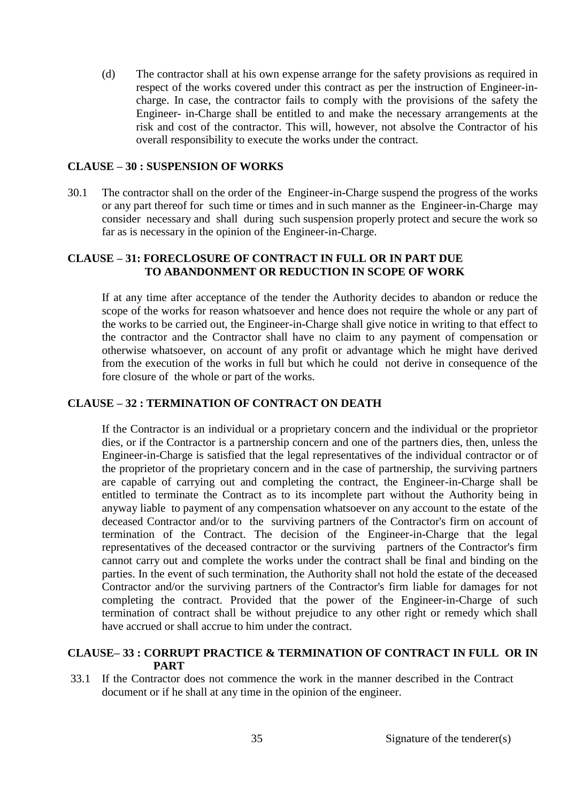(d) The contractor shall at his own expense arrange for the safety provisions as required in respect of the works covered under this contract as per the instruction of Engineer-incharge. In case, the contractor fails to comply with the provisions of the safety the Engineer- in-Charge shall be entitled to and make the necessary arrangements at the risk and cost of the contractor. This will, however, not absolve the Contractor of his overall responsibility to execute the works under the contract.

#### **CLAUSE – 30 : SUSPENSION OF WORKS**

30.1 The contractor shall on the order of the Engineer-in-Charge suspend the progress of the works or any part thereof for such time or times and in such manner as the Engineer-in-Charge may consider necessary and shall during such suspension properly protect and secure the work so far as is necessary in the opinion of the Engineer-in-Charge.

#### **CLAUSE – 31: FORECLOSURE OF CONTRACT IN FULL OR IN PART DUE TO ABANDONMENT OR REDUCTION IN SCOPE OF WORK**

If at any time after acceptance of the tender the Authority decides to abandon or reduce the scope of the works for reason whatsoever and hence does not require the whole or any part of the works to be carried out, the Engineer-in-Charge shall give notice in writing to that effect to the contractor and the Contractor shall have no claim to any payment of compensation or otherwise whatsoever, on account of any profit or advantage which he might have derived from the execution of the works in full but which he could not derive in consequence of the fore closure of the whole or part of the works.

# **CLAUSE – 32 : TERMINATION OF CONTRACT ON DEATH**

If the Contractor is an individual or a proprietary concern and the individual or the proprietor dies, or if the Contractor is a partnership concern and one of the partners dies, then, unless the Engineer-in-Charge is satisfied that the legal representatives of the individual contractor or of the proprietor of the proprietary concern and in the case of partnership, the surviving partners are capable of carrying out and completing the contract, the Engineer-in-Charge shall be entitled to terminate the Contract as to its incomplete part without the Authority being in anyway liable to payment of any compensation whatsoever on any account to the estate of the deceased Contractor and/or to the surviving partners of the Contractor's firm on account of termination of the Contract. The decision of the Engineer-in-Charge that the legal representatives of the deceased contractor or the surviving partners of the Contractor's firm cannot carry out and complete the works under the contract shall be final and binding on the parties. In the event of such termination, the Authority shall not hold the estate of the deceased Contractor and/or the surviving partners of the Contractor's firm liable for damages for not completing the contract. Provided that the power of the Engineer-in-Charge of such termination of contract shall be without prejudice to any other right or remedy which shall have accrued or shall accrue to him under the contract.

#### **CLAUSE– 33 : CORRUPT PRACTICE & TERMINATION OF CONTRACT IN FULL OR IN PART**

33.1 If the Contractor does not commence the work in the manner described in the Contract document or if he shall at any time in the opinion of the engineer.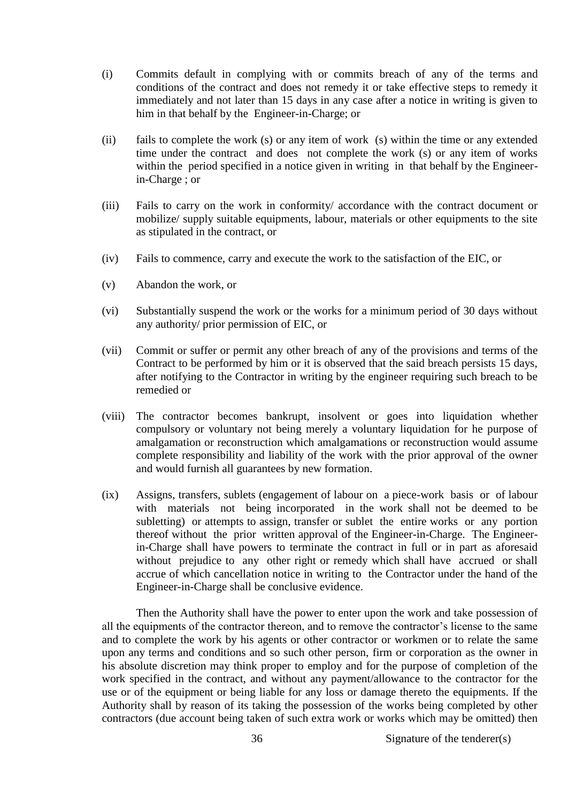- (i) Commits default in complying with or commits breach of any of the terms and conditions of the contract and does not remedy it or take effective steps to remedy it immediately and not later than 15 days in any case after a notice in writing is given to him in that behalf by the Engineer-in-Charge; or
- (ii) fails to complete the work (s) or any item of work (s) within the time or any extended time under the contract and does not complete the work (s) or any item of works within the period specified in a notice given in writing in that behalf by the Engineerin-Charge ; or
- (iii) Fails to carry on the work in conformity/ accordance with the contract document or mobilize/ supply suitable equipments, labour, materials or other equipments to the site as stipulated in the contract, or
- (iv) Fails to commence, carry and execute the work to the satisfaction of the EIC, or
- (v) Abandon the work, or
- (vi) Substantially suspend the work or the works for a minimum period of 30 days without any authority/ prior permission of EIC, or
- (vii) Commit or suffer or permit any other breach of any of the provisions and terms of the Contract to be performed by him or it is observed that the said breach persists 15 days, after notifying to the Contractor in writing by the engineer requiring such breach to be remedied or
- (viii) The contractor becomes bankrupt, insolvent or goes into liquidation whether compulsory or voluntary not being merely a voluntary liquidation for he purpose of amalgamation or reconstruction which amalgamations or reconstruction would assume complete responsibility and liability of the work with the prior approval of the owner and would furnish all guarantees by new formation.
- (ix) Assigns, transfers, sublets (engagement of labour on a piece-work basis or of labour with materials not being incorporated in the work shall not be deemed to be subletting) or attempts to assign, transfer or sublet the entire works or any portion thereof without the prior written approval of the Engineer-in-Charge. The Engineerin-Charge shall have powers to terminate the contract in full or in part as aforesaid without prejudice to any other right or remedy which shall have accrued or shall accrue of which cancellation notice in writing to the Contractor under the hand of the Engineer-in-Charge shall be conclusive evidence.

Then the Authority shall have the power to enter upon the work and take possession of all the equipments of the contractor thereon, and to remove the contractor's license to the same and to complete the work by his agents or other contractor or workmen or to relate the same upon any terms and conditions and so such other person, firm or corporation as the owner in his absolute discretion may think proper to employ and for the purpose of completion of the work specified in the contract, and without any payment/allowance to the contractor for the use or of the equipment or being liable for any loss or damage thereto the equipments. If the Authority shall by reason of its taking the possession of the works being completed by other contractors (due account being taken of such extra work or works which may be omitted) then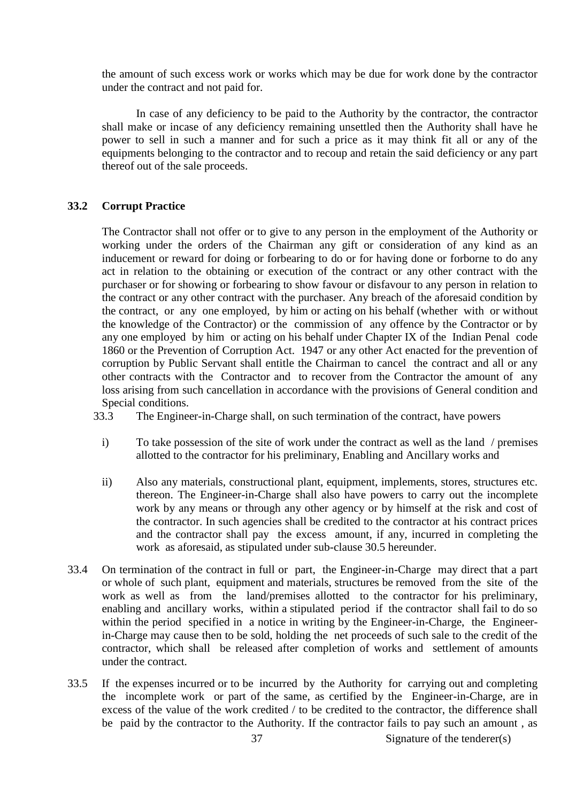the amount of such excess work or works which may be due for work done by the contractor under the contract and not paid for.

In case of any deficiency to be paid to the Authority by the contractor, the contractor shall make or incase of any deficiency remaining unsettled then the Authority shall have he power to sell in such a manner and for such a price as it may think fit all or any of the equipments belonging to the contractor and to recoup and retain the said deficiency or any part thereof out of the sale proceeds.

## **33.2 Corrupt Practice**

The Contractor shall not offer or to give to any person in the employment of the Authority or working under the orders of the Chairman any gift or consideration of any kind as an inducement or reward for doing or forbearing to do or for having done or forborne to do any act in relation to the obtaining or execution of the contract or any other contract with the purchaser or for showing or forbearing to show favour or disfavour to any person in relation to the contract or any other contract with the purchaser. Any breach of the aforesaid condition by the contract, or any one employed, by him or acting on his behalf (whether with or without the knowledge of the Contractor) or the commission of any offence by the Contractor or by any one employed by him or acting on his behalf under Chapter IX of the Indian Penal code 1860 or the Prevention of Corruption Act. 1947 or any other Act enacted for the prevention of corruption by Public Servant shall entitle the Chairman to cancel the contract and all or any other contracts with the Contractor and to recover from the Contractor the amount of any loss arising from such cancellation in accordance with the provisions of General condition and Special conditions.

- 33.3 The Engineer-in-Charge shall, on such termination of the contract, have powers
	- i) To take possession of the site of work under the contract as well as the land / premises allotted to the contractor for his preliminary, Enabling and Ancillary works and
	- ii) Also any materials, constructional plant, equipment, implements, stores, structures etc. thereon. The Engineer-in-Charge shall also have powers to carry out the incomplete work by any means or through any other agency or by himself at the risk and cost of the contractor. In such agencies shall be credited to the contractor at his contract prices and the contractor shall pay the excess amount, if any, incurred in completing the work as aforesaid, as stipulated under sub-clause 30.5 hereunder.
- 33.4 On termination of the contract in full or part, the Engineer-in-Charge may direct that a part or whole of such plant, equipment and materials, structures be removed from the site of the work as well as from the land/premises allotted to the contractor for his preliminary, enabling and ancillary works, within a stipulated period if the contractor shall fail to do so within the period specified in a notice in writing by the Engineer-in-Charge, the Engineerin-Charge may cause then to be sold, holding the net proceeds of such sale to the credit of the contractor, which shall be released after completion of works and settlement of amounts under the contract.
- 33.5 If the expenses incurred or to be incurred by the Authority for carrying out and completing the incomplete work or part of the same, as certified by the Engineer-in-Charge, are in excess of the value of the work credited / to be credited to the contractor, the difference shall be paid by the contractor to the Authority. If the contractor fails to pay such an amount , as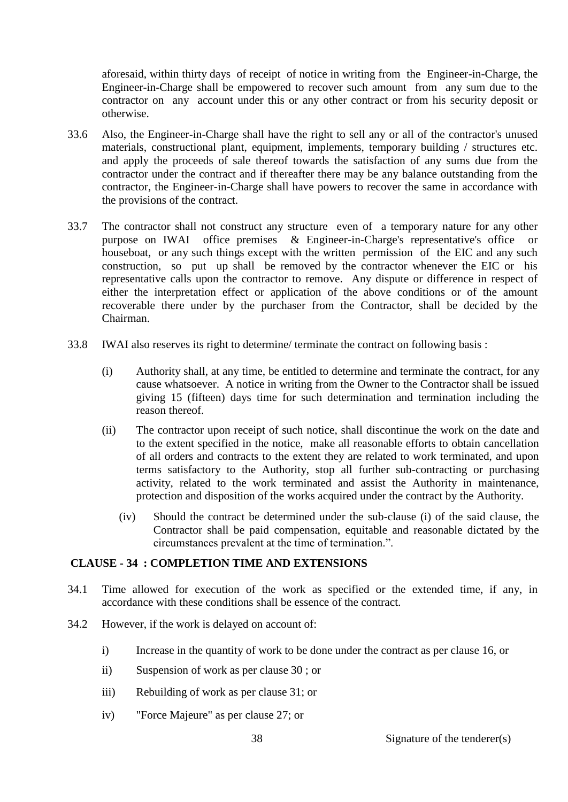aforesaid, within thirty days of receipt of notice in writing from the Engineer-in-Charge, the Engineer-in-Charge shall be empowered to recover such amount from any sum due to the contractor on any account under this or any other contract or from his security deposit or otherwise.

- 33.6 Also, the Engineer-in-Charge shall have the right to sell any or all of the contractor's unused materials, constructional plant, equipment, implements, temporary building / structures etc. and apply the proceeds of sale thereof towards the satisfaction of any sums due from the contractor under the contract and if thereafter there may be any balance outstanding from the contractor, the Engineer-in-Charge shall have powers to recover the same in accordance with the provisions of the contract.
- 33.7 The contractor shall not construct any structure even of a temporary nature for any other purpose on IWAI office premises & Engineer-in-Charge's representative's office or houseboat, or any such things except with the written permission of the EIC and any such construction, so put up shall be removed by the contractor whenever the EIC or his representative calls upon the contractor to remove. Any dispute or difference in respect of either the interpretation effect or application of the above conditions or of the amount recoverable there under by the purchaser from the Contractor, shall be decided by the Chairman.
- 33.8 IWAI also reserves its right to determine/ terminate the contract on following basis :
	- (i) Authority shall, at any time, be entitled to determine and terminate the contract, for any cause whatsoever. A notice in writing from the Owner to the Contractor shall be issued giving 15 (fifteen) days time for such determination and termination including the reason thereof.
	- (ii) The contractor upon receipt of such notice, shall discontinue the work on the date and to the extent specified in the notice, make all reasonable efforts to obtain cancellation of all orders and contracts to the extent they are related to work terminated, and upon terms satisfactory to the Authority, stop all further sub-contracting or purchasing activity, related to the work terminated and assist the Authority in maintenance, protection and disposition of the works acquired under the contract by the Authority.
		- (iv) Should the contract be determined under the sub-clause (i) of the said clause, the Contractor shall be paid compensation, equitable and reasonable dictated by the circumstances prevalent at the time of termination.".

# **CLAUSE - 34 : COMPLETION TIME AND EXTENSIONS**

- 34.1 Time allowed for execution of the work as specified or the extended time, if any, in accordance with these conditions shall be essence of the contract.
- 34.2 However, if the work is delayed on account of:
	- i) Increase in the quantity of work to be done under the contract as per clause 16, or
	- ii) Suspension of work as per clause 30 ; or
	- iii) Rebuilding of work as per clause 31; or
	- iv) "Force Majeure" as per clause 27; or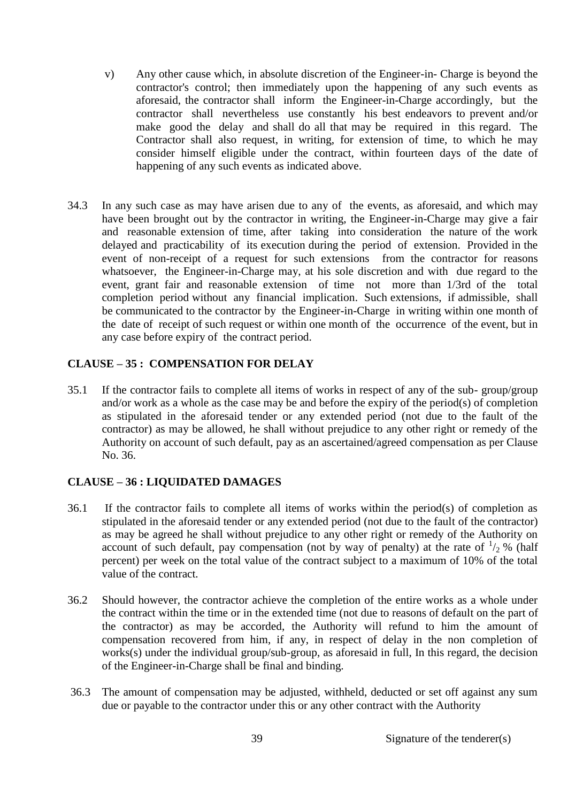- v) Any other cause which, in absolute discretion of the Engineer-in- Charge is beyond the contractor's control; then immediately upon the happening of any such events as aforesaid, the contractor shall inform the Engineer-in-Charge accordingly, but the contractor shall nevertheless use constantly his best endeavors to prevent and/or make good the delay and shall do all that may be required in this regard. The Contractor shall also request, in writing, for extension of time, to which he may consider himself eligible under the contract, within fourteen days of the date of happening of any such events as indicated above.
- 34.3 In any such case as may have arisen due to any of the events, as aforesaid, and which may have been brought out by the contractor in writing, the Engineer-in-Charge may give a fair and reasonable extension of time, after taking into consideration the nature of the work delayed and practicability of its execution during the period of extension. Provided in the event of non-receipt of a request for such extensions from the contractor for reasons whatsoever, the Engineer-in-Charge may, at his sole discretion and with due regard to the event, grant fair and reasonable extension of time not more than 1/3rd of the total completion period without any financial implication. Such extensions, if admissible, shall be communicated to the contractor by the Engineer-in-Charge in writing within one month of the date of receipt of such request or within one month of the occurrence of the event, but in any case before expiry of the contract period.

# **CLAUSE – 35 : COMPENSATION FOR DELAY**

35.1 If the contractor fails to complete all items of works in respect of any of the sub- group/group and/or work as a whole as the case may be and before the expiry of the period(s) of completion as stipulated in the aforesaid tender or any extended period (not due to the fault of the contractor) as may be allowed, he shall without prejudice to any other right or remedy of the Authority on account of such default, pay as an ascertained/agreed compensation as per Clause No. 36.

# **CLAUSE – 36 : LIQUIDATED DAMAGES**

- 36.1 If the contractor fails to complete all items of works within the period(s) of completion as stipulated in the aforesaid tender or any extended period (not due to the fault of the contractor) as may be agreed he shall without prejudice to any other right or remedy of the Authority on account of such default, pay compensation (not by way of penalty) at the rate of  $\frac{1}{2}$ % (half percent) per week on the total value of the contract subject to a maximum of 10% of the total value of the contract.
- 36.2 Should however, the contractor achieve the completion of the entire works as a whole under the contract within the time or in the extended time (not due to reasons of default on the part of the contractor) as may be accorded, the Authority will refund to him the amount of compensation recovered from him, if any, in respect of delay in the non completion of works(s) under the individual group/sub-group, as aforesaid in full, In this regard, the decision of the Engineer-in-Charge shall be final and binding.
- 36.3 The amount of compensation may be adjusted, withheld, deducted or set off against any sum due or payable to the contractor under this or any other contract with the Authority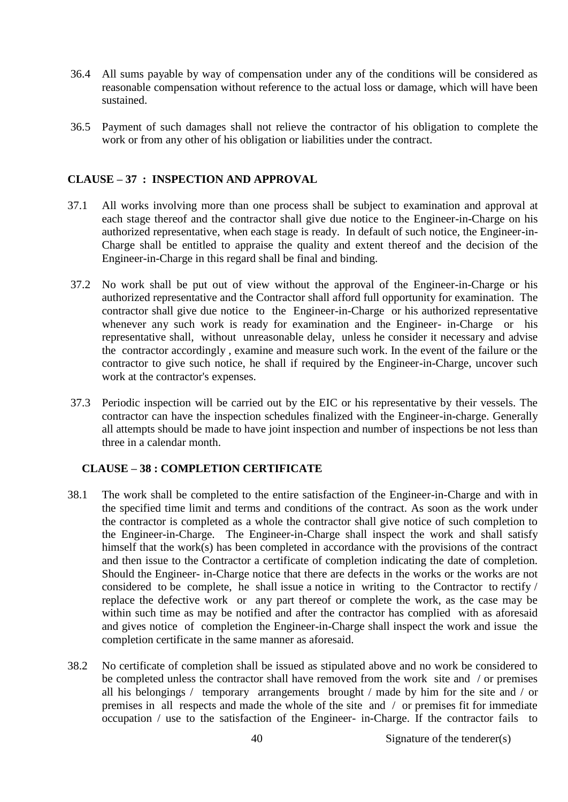- 36.4 All sums payable by way of compensation under any of the conditions will be considered as reasonable compensation without reference to the actual loss or damage, which will have been sustained.
- 36.5 Payment of such damages shall not relieve the contractor of his obligation to complete the work or from any other of his obligation or liabilities under the contract.

## **CLAUSE – 37 : INSPECTION AND APPROVAL**

- 37.1 All works involving more than one process shall be subject to examination and approval at each stage thereof and the contractor shall give due notice to the Engineer-in-Charge on his authorized representative, when each stage is ready. In default of such notice, the Engineer-in-Charge shall be entitled to appraise the quality and extent thereof and the decision of the Engineer-in-Charge in this regard shall be final and binding.
- 37.2 No work shall be put out of view without the approval of the Engineer-in-Charge or his authorized representative and the Contractor shall afford full opportunity for examination. The contractor shall give due notice to the Engineer-in-Charge or his authorized representative whenever any such work is ready for examination and the Engineer- in-Charge or his representative shall, without unreasonable delay, unless he consider it necessary and advise the contractor accordingly , examine and measure such work. In the event of the failure or the contractor to give such notice, he shall if required by the Engineer-in-Charge, uncover such work at the contractor's expenses.
- 37.3 Periodic inspection will be carried out by the EIC or his representative by their vessels. The contractor can have the inspection schedules finalized with the Engineer-in-charge. Generally all attempts should be made to have joint inspection and number of inspections be not less than three in a calendar month.

#### **CLAUSE – 38 : COMPLETION CERTIFICATE**

- 38.1 The work shall be completed to the entire satisfaction of the Engineer-in-Charge and with in the specified time limit and terms and conditions of the contract. As soon as the work under the contractor is completed as a whole the contractor shall give notice of such completion to the Engineer-in-Charge. The Engineer-in-Charge shall inspect the work and shall satisfy himself that the work(s) has been completed in accordance with the provisions of the contract and then issue to the Contractor a certificate of completion indicating the date of completion. Should the Engineer- in-Charge notice that there are defects in the works or the works are not considered to be complete, he shall issue a notice in writing to the Contractor to rectify / replace the defective work or any part thereof or complete the work, as the case may be within such time as may be notified and after the contractor has complied with as aforesaid and gives notice of completion the Engineer-in-Charge shall inspect the work and issue the completion certificate in the same manner as aforesaid.
- 38.2 No certificate of completion shall be issued as stipulated above and no work be considered to be completed unless the contractor shall have removed from the work site and / or premises all his belongings / temporary arrangements brought / made by him for the site and / or premises in all respects and made the whole of the site and / or premises fit for immediate occupation / use to the satisfaction of the Engineer- in-Charge. If the contractor fails to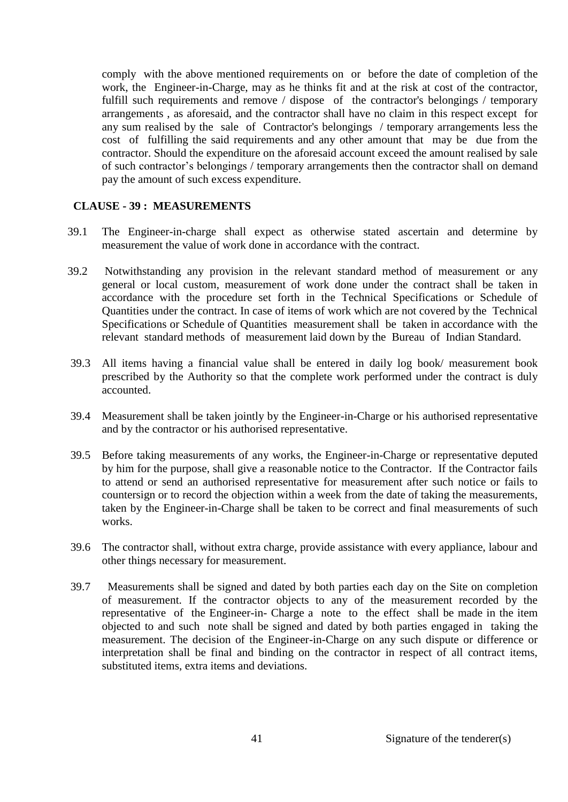comply with the above mentioned requirements on or before the date of completion of the work, the Engineer-in-Charge, may as he thinks fit and at the risk at cost of the contractor, fulfill such requirements and remove / dispose of the contractor's belongings / temporary arrangements , as aforesaid, and the contractor shall have no claim in this respect except for any sum realised by the sale of Contractor's belongings / temporary arrangements less the cost of fulfilling the said requirements and any other amount that may be due from the contractor. Should the expenditure on the aforesaid account exceed the amount realised by sale of such contractor's belongings / temporary arrangements then the contractor shall on demand pay the amount of such excess expenditure.

#### **CLAUSE - 39 : MEASUREMENTS**

- 39.1 The Engineer-in-charge shall expect as otherwise stated ascertain and determine by measurement the value of work done in accordance with the contract.
- 39.2 Notwithstanding any provision in the relevant standard method of measurement or any general or local custom, measurement of work done under the contract shall be taken in accordance with the procedure set forth in the Technical Specifications or Schedule of Quantities under the contract. In case of items of work which are not covered by the Technical Specifications or Schedule of Quantities measurement shall be taken in accordance with the relevant standard methods of measurement laid down by the Bureau of Indian Standard.
- 39.3 All items having a financial value shall be entered in daily log book/ measurement book prescribed by the Authority so that the complete work performed under the contract is duly accounted.
- 39.4 Measurement shall be taken jointly by the Engineer-in-Charge or his authorised representative and by the contractor or his authorised representative.
- 39.5 Before taking measurements of any works, the Engineer-in-Charge or representative deputed by him for the purpose, shall give a reasonable notice to the Contractor. If the Contractor fails to attend or send an authorised representative for measurement after such notice or fails to countersign or to record the objection within a week from the date of taking the measurements, taken by the Engineer-in-Charge shall be taken to be correct and final measurements of such works.
- 39.6 The contractor shall, without extra charge, provide assistance with every appliance, labour and other things necessary for measurement.
- 39.7 Measurements shall be signed and dated by both parties each day on the Site on completion of measurement. If the contractor objects to any of the measurement recorded by the representative of the Engineer-in- Charge a note to the effect shall be made in the item objected to and such note shall be signed and dated by both parties engaged in taking the measurement. The decision of the Engineer-in-Charge on any such dispute or difference or interpretation shall be final and binding on the contractor in respect of all contract items, substituted items, extra items and deviations.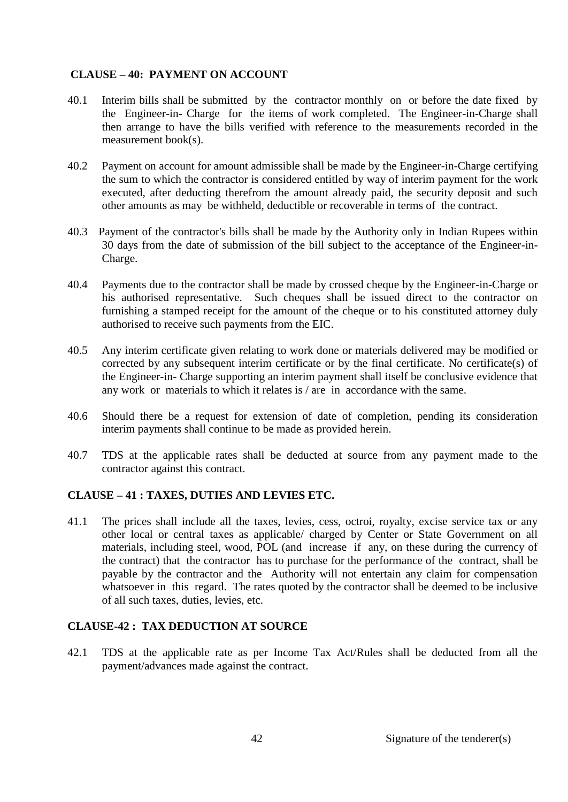# **CLAUSE – 40: PAYMENT ON ACCOUNT**

- 40.1 Interim bills shall be submitted by the contractor monthly on or before the date fixed by the Engineer-in- Charge for the items of work completed. The Engineer-in-Charge shall then arrange to have the bills verified with reference to the measurements recorded in the measurement book(s).
- 40.2 Payment on account for amount admissible shall be made by the Engineer-in-Charge certifying the sum to which the contractor is considered entitled by way of interim payment for the work executed, after deducting therefrom the amount already paid, the security deposit and such other amounts as may be withheld, deductible or recoverable in terms of the contract.
- 40.3 Payment of the contractor's bills shall be made by the Authority only in Indian Rupees within 30 days from the date of submission of the bill subject to the acceptance of the Engineer-in-Charge.
- 40.4 Payments due to the contractor shall be made by crossed cheque by the Engineer-in-Charge or his authorised representative. Such cheques shall be issued direct to the contractor on furnishing a stamped receipt for the amount of the cheque or to his constituted attorney duly authorised to receive such payments from the EIC.
- 40.5 Any interim certificate given relating to work done or materials delivered may be modified or corrected by any subsequent interim certificate or by the final certificate. No certificate(s) of the Engineer-in- Charge supporting an interim payment shall itself be conclusive evidence that any work or materials to which it relates is / are in accordance with the same.
- 40.6 Should there be a request for extension of date of completion, pending its consideration interim payments shall continue to be made as provided herein.
- 40.7 TDS at the applicable rates shall be deducted at source from any payment made to the contractor against this contract.

#### **CLAUSE – 41 : TAXES, DUTIES AND LEVIES ETC.**

41.1 The prices shall include all the taxes, levies, cess, octroi, royalty, excise service tax or any other local or central taxes as applicable/ charged by Center or State Government on all materials, including steel, wood, POL (and increase if any, on these during the currency of the contract) that the contractor has to purchase for the performance of the contract, shall be payable by the contractor and the Authority will not entertain any claim for compensation whatsoever in this regard. The rates quoted by the contractor shall be deemed to be inclusive of all such taxes, duties, levies, etc.

#### **CLAUSE-42 : TAX DEDUCTION AT SOURCE**

42.1 TDS at the applicable rate as per Income Tax Act/Rules shall be deducted from all the payment/advances made against the contract.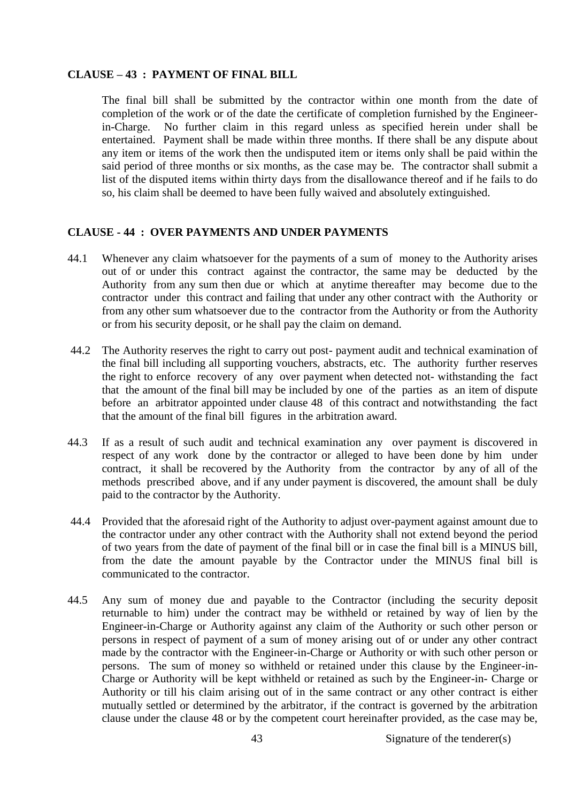#### **CLAUSE – 43 : PAYMENT OF FINAL BILL**

The final bill shall be submitted by the contractor within one month from the date of completion of the work or of the date the certificate of completion furnished by the Engineerin-Charge. No further claim in this regard unless as specified herein under shall be entertained. Payment shall be made within three months. If there shall be any dispute about any item or items of the work then the undisputed item or items only shall be paid within the said period of three months or six months, as the case may be. The contractor shall submit a list of the disputed items within thirty days from the disallowance thereof and if he fails to do so, his claim shall be deemed to have been fully waived and absolutely extinguished.

#### **CLAUSE - 44 : OVER PAYMENTS AND UNDER PAYMENTS**

- 44.1 Whenever any claim whatsoever for the payments of a sum of money to the Authority arises out of or under this contract against the contractor, the same may be deducted by the Authority from any sum then due or which at anytime thereafter may become due to the contractor under this contract and failing that under any other contract with the Authority or from any other sum whatsoever due to the contractor from the Authority or from the Authority or from his security deposit, or he shall pay the claim on demand.
- 44.2 The Authority reserves the right to carry out post- payment audit and technical examination of the final bill including all supporting vouchers, abstracts, etc. The authority further reserves the right to enforce recovery of any over payment when detected not- withstanding the fact that the amount of the final bill may be included by one of the parties as an item of dispute before an arbitrator appointed under clause 48 of this contract and notwithstanding the fact that the amount of the final bill figures in the arbitration award.
- 44.3 If as a result of such audit and technical examination any over payment is discovered in respect of any work done by the contractor or alleged to have been done by him under contract, it shall be recovered by the Authority from the contractor by any of all of the methods prescribed above, and if any under payment is discovered, the amount shall be duly paid to the contractor by the Authority.
- 44.4 Provided that the aforesaid right of the Authority to adjust over-payment against amount due to the contractor under any other contract with the Authority shall not extend beyond the period of two years from the date of payment of the final bill or in case the final bill is a MINUS bill, from the date the amount payable by the Contractor under the MINUS final bill is communicated to the contractor.
- 44.5 Any sum of money due and payable to the Contractor (including the security deposit returnable to him) under the contract may be withheld or retained by way of lien by the Engineer-in-Charge or Authority against any claim of the Authority or such other person or persons in respect of payment of a sum of money arising out of or under any other contract made by the contractor with the Engineer-in-Charge or Authority or with such other person or persons. The sum of money so withheld or retained under this clause by the Engineer-in-Charge or Authority will be kept withheld or retained as such by the Engineer-in- Charge or Authority or till his claim arising out of in the same contract or any other contract is either mutually settled or determined by the arbitrator, if the contract is governed by the arbitration clause under the clause 48 or by the competent court hereinafter provided, as the case may be,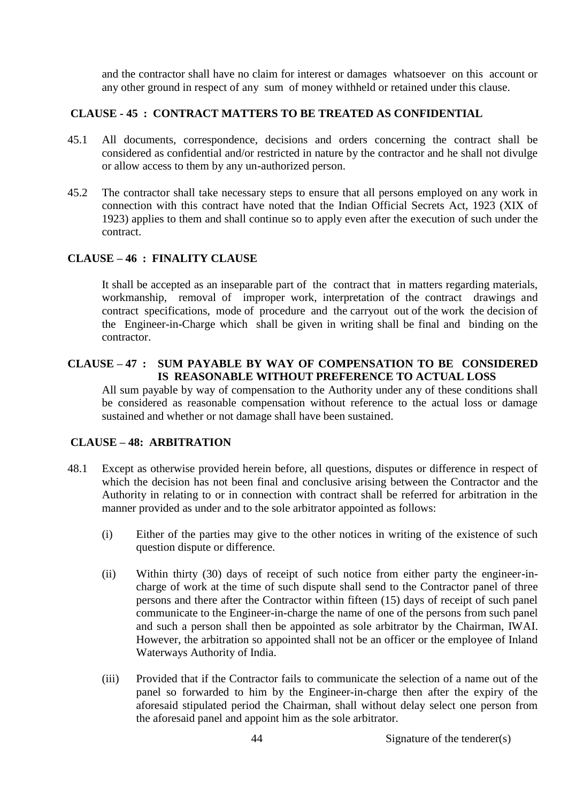and the contractor shall have no claim for interest or damages whatsoever on this account or any other ground in respect of any sum of money withheld or retained under this clause.

# **CLAUSE - 45 : CONTRACT MATTERS TO BE TREATED AS CONFIDENTIAL**

- 45.1 All documents, correspondence, decisions and orders concerning the contract shall be considered as confidential and/or restricted in nature by the contractor and he shall not divulge or allow access to them by any un-authorized person.
- 45.2 The contractor shall take necessary steps to ensure that all persons employed on any work in connection with this contract have noted that the Indian Official Secrets Act, 1923 (XIX of 1923) applies to them and shall continue so to apply even after the execution of such under the contract.

## **CLAUSE – 46 : FINALITY CLAUSE**

It shall be accepted as an inseparable part of the contract that in matters regarding materials, workmanship, removal of improper work, interpretation of the contract drawings and contract specifications, mode of procedure and the carryout out of the work the decision of the Engineer-in-Charge which shall be given in writing shall be final and binding on the contractor.

# **CLAUSE – 47 : SUM PAYABLE BY WAY OF COMPENSATION TO BE CONSIDERED IS REASONABLE WITHOUT PREFERENCE TO ACTUAL LOSS**

All sum payable by way of compensation to the Authority under any of these conditions shall be considered as reasonable compensation without reference to the actual loss or damage sustained and whether or not damage shall have been sustained.

#### **CLAUSE – 48: ARBITRATION**

- 48.1 Except as otherwise provided herein before, all questions, disputes or difference in respect of which the decision has not been final and conclusive arising between the Contractor and the Authority in relating to or in connection with contract shall be referred for arbitration in the manner provided as under and to the sole arbitrator appointed as follows:
	- (i) Either of the parties may give to the other notices in writing of the existence of such question dispute or difference.
	- (ii) Within thirty (30) days of receipt of such notice from either party the engineer-incharge of work at the time of such dispute shall send to the Contractor panel of three persons and there after the Contractor within fifteen (15) days of receipt of such panel communicate to the Engineer-in-charge the name of one of the persons from such panel and such a person shall then be appointed as sole arbitrator by the Chairman, IWAI. However, the arbitration so appointed shall not be an officer or the employee of Inland Waterways Authority of India.
	- (iii) Provided that if the Contractor fails to communicate the selection of a name out of the panel so forwarded to him by the Engineer-in-charge then after the expiry of the aforesaid stipulated period the Chairman, shall without delay select one person from the aforesaid panel and appoint him as the sole arbitrator.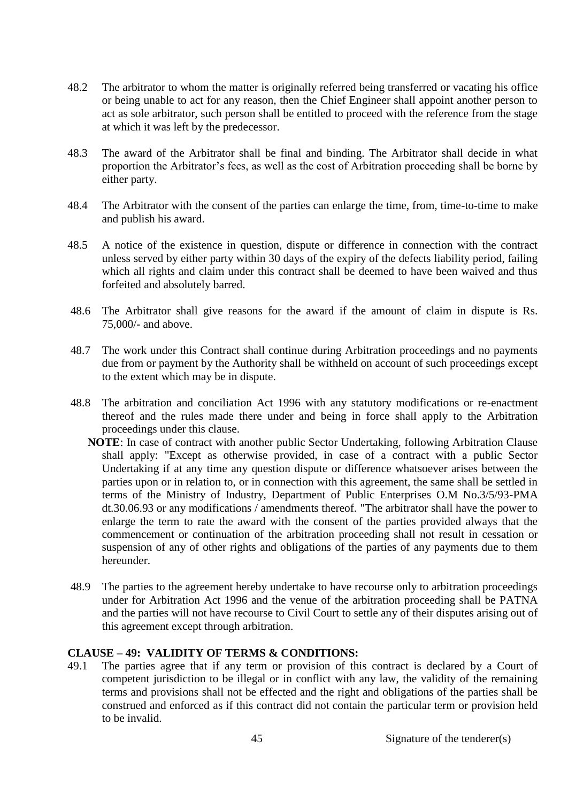- 48.2 The arbitrator to whom the matter is originally referred being transferred or vacating his office or being unable to act for any reason, then the Chief Engineer shall appoint another person to act as sole arbitrator, such person shall be entitled to proceed with the reference from the stage at which it was left by the predecessor.
- 48.3 The award of the Arbitrator shall be final and binding. The Arbitrator shall decide in what proportion the Arbitrator's fees, as well as the cost of Arbitration proceeding shall be borne by either party.
- 48.4 The Arbitrator with the consent of the parties can enlarge the time, from, time-to-time to make and publish his award.
- 48.5 A notice of the existence in question, dispute or difference in connection with the contract unless served by either party within 30 days of the expiry of the defects liability period, failing which all rights and claim under this contract shall be deemed to have been waived and thus forfeited and absolutely barred.
- 48.6 The Arbitrator shall give reasons for the award if the amount of claim in dispute is Rs. 75,000/- and above.
- 48.7 The work under this Contract shall continue during Arbitration proceedings and no payments due from or payment by the Authority shall be withheld on account of such proceedings except to the extent which may be in dispute.
- 48.8 The arbitration and conciliation Act 1996 with any statutory modifications or re-enactment thereof and the rules made there under and being in force shall apply to the Arbitration proceedings under this clause.
	- **NOTE**: In case of contract with another public Sector Undertaking, following Arbitration Clause shall apply: "Except as otherwise provided, in case of a contract with a public Sector Undertaking if at any time any question dispute or difference whatsoever arises between the parties upon or in relation to, or in connection with this agreement, the same shall be settled in terms of the Ministry of Industry, Department of Public Enterprises O.M No.3/5/93-PMA dt.30.06.93 or any modifications / amendments thereof. "The arbitrator shall have the power to enlarge the term to rate the award with the consent of the parties provided always that the commencement or continuation of the arbitration proceeding shall not result in cessation or suspension of any of other rights and obligations of the parties of any payments due to them hereunder.
- 48.9 The parties to the agreement hereby undertake to have recourse only to arbitration proceedings under for Arbitration Act 1996 and the venue of the arbitration proceeding shall be PATNA and the parties will not have recourse to Civil Court to settle any of their disputes arising out of this agreement except through arbitration.

#### **CLAUSE – 49: VALIDITY OF TERMS & CONDITIONS:**

49.1 The parties agree that if any term or provision of this contract is declared by a Court of competent jurisdiction to be illegal or in conflict with any law, the validity of the remaining terms and provisions shall not be effected and the right and obligations of the parties shall be construed and enforced as if this contract did not contain the particular term or provision held to be invalid.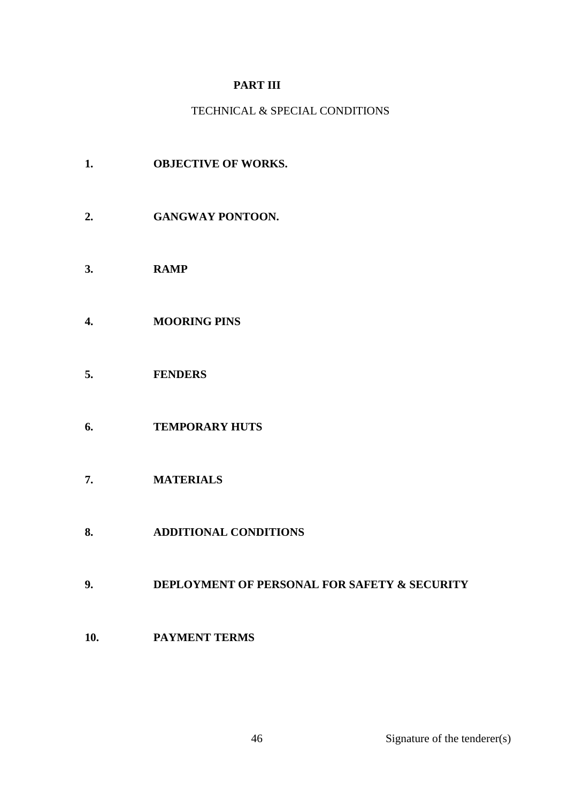# **PART III**

# TECHNICAL & SPECIAL CONDITIONS

- **1. OBJECTIVE OF WORKS.**
- **2. GANGWAY PONTOON.**
- **3. RAMP**
- **4. MOORING PINS**
- **5. FENDERS**
- **6. TEMPORARY HUTS**
- **7. MATERIALS**
- **8. ADDITIONAL CONDITIONS**
- **9. DEPLOYMENT OF PERSONAL FOR SAFETY & SECURITY**
- **10. PAYMENT TERMS**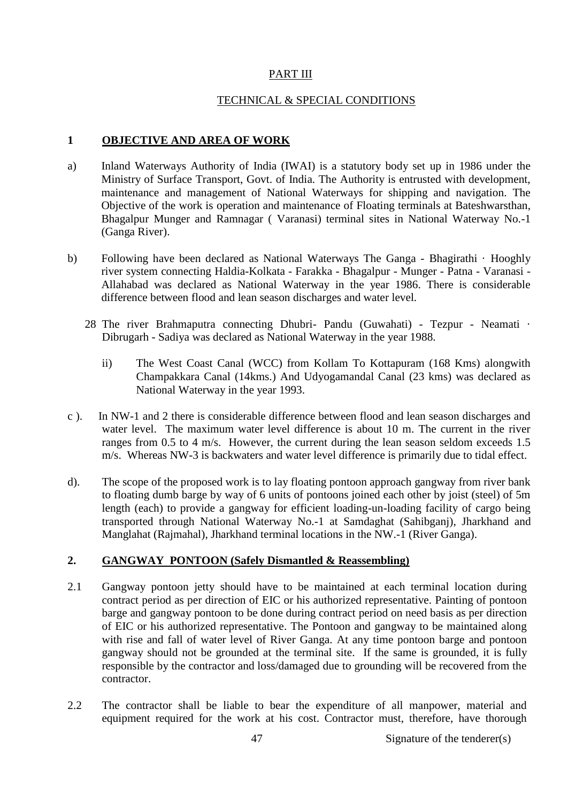# PART III

#### TECHNICAL & SPECIAL CONDITIONS

#### **1 OBJECTIVE AND AREA OF WORK**

- a) Inland Waterways Authority of India (IWAI) is a statutory body set up in 1986 under the Ministry of Surface Transport, Govt. of India. The Authority is entrusted with development, maintenance and management of National Waterways for shipping and navigation. The Objective of the work is operation and maintenance of Floating terminals at Bateshwarsthan, Bhagalpur Munger and Ramnagar ( Varanasi) terminal sites in National Waterway No.-1 (Ganga River).
- b) Following have been declared as National Waterways The Ganga Bhagirathi · Hooghly river system connecting Haldia-Kolkata - Farakka - Bhagalpur - Munger - Patna - Varanasi - Allahabad was declared as National Waterway in the year 1986. There is considerable difference between flood and lean season discharges and water level.
	- 28 The river Brahmaputra connecting Dhubri- Pandu (Guwahati) Tezpur Neamati · Dibrugarh - Sadiya was declared as National Waterway in the year 1988.
		- ii) The West Coast Canal (WCC) from Kollam To Kottapuram (168 Kms) alongwith Champakkara Canal (14kms.) And Udyogamandal Canal (23 kms) was declared as National Waterway in the year 1993.
- c ). In NW-1 and 2 there is considerable difference between flood and lean season discharges and water level. The maximum water level difference is about 10 m. The current in the river ranges from 0.5 to 4 m/s. However, the current during the lean season seldom exceeds 1.5 m/s. Whereas NW-3 is backwaters and water level difference is primarily due to tidal effect.
- d). The scope of the proposed work is to lay floating pontoon approach gangway from river bank to floating dumb barge by way of 6 units of pontoons joined each other by joist (steel) of 5m length (each) to provide a gangway for efficient loading-un-loading facility of cargo being transported through National Waterway No.-1 at Samdaghat (Sahibganj), Jharkhand and Manglahat (Rajmahal), Jharkhand terminal locations in the NW.-1 (River Ganga).

#### **2. GANGWAY PONTOON (Safely Dismantled & Reassembling)**

- 2.1 Gangway pontoon jetty should have to be maintained at each terminal location during contract period as per direction of EIC or his authorized representative. Painting of pontoon barge and gangway pontoon to be done during contract period on need basis as per direction of EIC or his authorized representative. The Pontoon and gangway to be maintained along with rise and fall of water level of River Ganga. At any time pontoon barge and pontoon gangway should not be grounded at the terminal site. If the same is grounded, it is fully responsible by the contractor and loss/damaged due to grounding will be recovered from the contractor.
- 2.2 The contractor shall be liable to bear the expenditure of all manpower, material and equipment required for the work at his cost. Contractor must, therefore, have thorough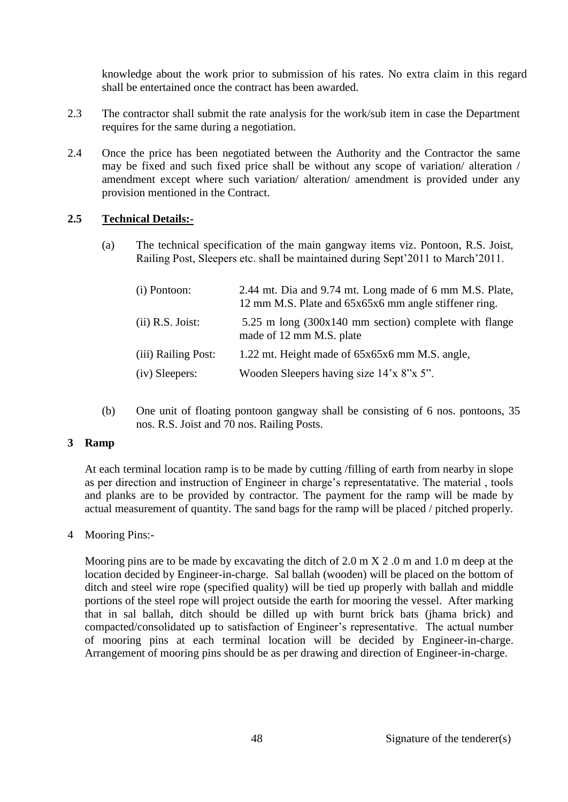knowledge about the work prior to submission of his rates. No extra claim in this regard shall be entertained once the contract has been awarded.

- 2.3 The contractor shall submit the rate analysis for the work/sub item in case the Department requires for the same during a negotiation.
- 2.4 Once the price has been negotiated between the Authority and the Contractor the same may be fixed and such fixed price shall be without any scope of variation/ alteration / amendment except where such variation/ alteration/ amendment is provided under any provision mentioned in the Contract.

## **2.5 Technical Details:-**

(a) The technical specification of the main gangway items viz. Pontoon, R.S. Joist, Railing Post, Sleepers etc. shall be maintained during Sept'2011 to March'2011.

| (i) Pontoon:        | 2.44 mt. Dia and 9.74 mt. Long made of 6 mm M.S. Plate,<br>12 mm M.S. Plate and 65x65x6 mm angle stiffener ring. |
|---------------------|------------------------------------------------------------------------------------------------------------------|
| $(ii)$ R.S. Joist:  | $5.25$ m long $(300x140$ mm section) complete with flange<br>made of 12 mm M.S. plate                            |
| (iii) Railing Post: | 1.22 mt. Height made of 65x65x6 mm M.S. angle,                                                                   |
| (iv) Sleepers:      | Wooden Sleepers having size 14'x 8"x 5".                                                                         |

(b) One unit of floating pontoon gangway shall be consisting of 6 nos. pontoons, 35 nos. R.S. Joist and 70 nos. Railing Posts.

#### **3 Ramp**

At each terminal location ramp is to be made by cutting /filling of earth from nearby in slope as per direction and instruction of Engineer in charge's representatative. The material , tools and planks are to be provided by contractor. The payment for the ramp will be made by actual measurement of quantity. The sand bags for the ramp will be placed / pitched properly.

# 4 Mooring Pins:-

Mooring pins are to be made by excavating the ditch of 2.0 m X 2.0 m and 1.0 m deep at the location decided by Engineer-in-charge. Sal ballah (wooden) will be placed on the bottom of ditch and steel wire rope (specified quality) will be tied up properly with ballah and middle portions of the steel rope will project outside the earth for mooring the vessel. After marking that in sal ballah, ditch should be dilled up with burnt brick bats (jhama brick) and compacted/consolidated up to satisfaction of Engineer's representative. The actual number of mooring pins at each terminal location will be decided by Engineer-in-charge. Arrangement of mooring pins should be as per drawing and direction of Engineer-in-charge.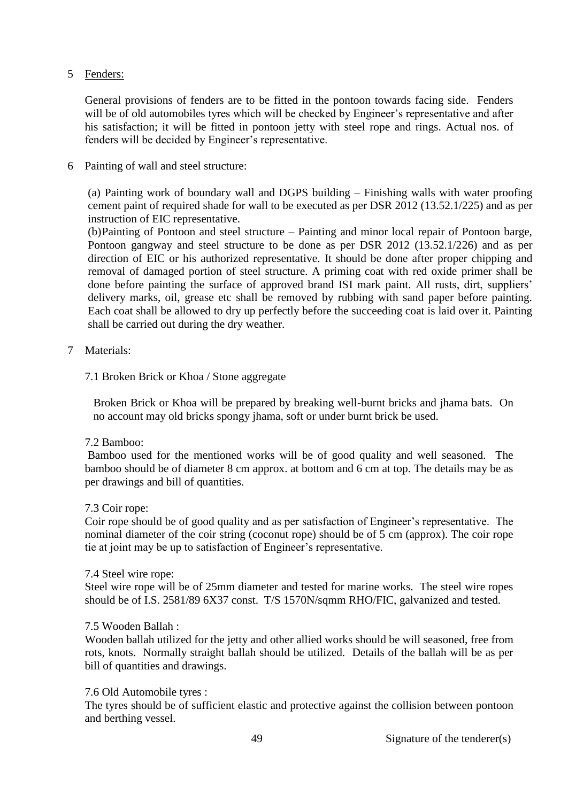## 5 Fenders:

General provisions of fenders are to be fitted in the pontoon towards facing side. Fenders will be of old automobiles tyres which will be checked by Engineer's representative and after his satisfaction; it will be fitted in pontoon jetty with steel rope and rings. Actual nos. of fenders will be decided by Engineer's representative.

# 6 Painting of wall and steel structure:

(a) Painting work of boundary wall and DGPS building – Finishing walls with water proofing cement paint of required shade for wall to be executed as per DSR 2012 (13.52.1/225) and as per instruction of EIC representative.

(b)Painting of Pontoon and steel structure – Painting and minor local repair of Pontoon barge, Pontoon gangway and steel structure to be done as per DSR 2012 (13.52.1/226) and as per direction of EIC or his authorized representative. It should be done after proper chipping and removal of damaged portion of steel structure. A priming coat with red oxide primer shall be done before painting the surface of approved brand ISI mark paint. All rusts, dirt, suppliers' delivery marks, oil, grease etc shall be removed by rubbing with sand paper before painting. Each coat shall be allowed to dry up perfectly before the succeeding coat is laid over it. Painting shall be carried out during the dry weather.

## 7 Materials:

## 7.1 Broken Brick or Khoa / Stone aggregate

Broken Brick or Khoa will be prepared by breaking well-burnt bricks and jhama bats. On no account may old bricks spongy jhama, soft or under burnt brick be used.

#### 7.2 Bamboo:

Bamboo used for the mentioned works will be of good quality and well seasoned. The bamboo should be of diameter 8 cm approx. at bottom and 6 cm at top. The details may be as per drawings and bill of quantities.

#### 7.3 Coir rope:

Coir rope should be of good quality and as per satisfaction of Engineer's representative. The nominal diameter of the coir string (coconut rope) should be of 5 cm (approx). The coir rope tie at joint may be up to satisfaction of Engineer's representative.

#### 7.4 Steel wire rope:

Steel wire rope will be of 25mm diameter and tested for marine works. The steel wire ropes should be of I.S. 2581/89 6X37 const. T/S 1570N/sqmm RHO/FIC, galvanized and tested.

#### 7.5 Wooden Ballah :

Wooden ballah utilized for the jetty and other allied works should be will seasoned, free from rots, knots. Normally straight ballah should be utilized. Details of the ballah will be as per bill of quantities and drawings.

#### 7.6 Old Automobile tyres :

The tyres should be of sufficient elastic and protective against the collision between pontoon and berthing vessel.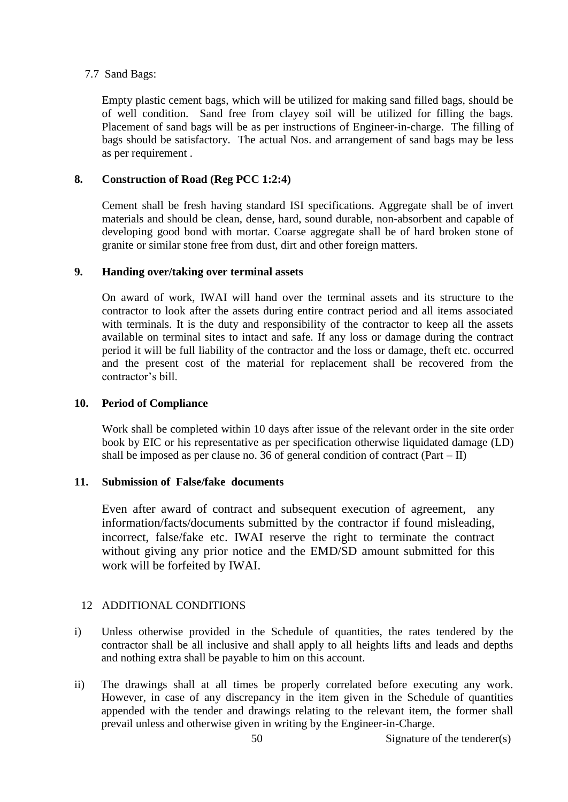## 7.7 Sand Bags:

Empty plastic cement bags, which will be utilized for making sand filled bags, should be of well condition. Sand free from clayey soil will be utilized for filling the bags. Placement of sand bags will be as per instructions of Engineer-in-charge. The filling of bags should be satisfactory. The actual Nos. and arrangement of sand bags may be less as per requirement .

# **8. Construction of Road (Reg PCC 1:2:4)**

Cement shall be fresh having standard ISI specifications. Aggregate shall be of invert materials and should be clean, dense, hard, sound durable, non-absorbent and capable of developing good bond with mortar. Coarse aggregate shall be of hard broken stone of granite or similar stone free from dust, dirt and other foreign matters.

#### **9. Handing over/taking over terminal assets**

On award of work, IWAI will hand over the terminal assets and its structure to the contractor to look after the assets during entire contract period and all items associated with terminals. It is the duty and responsibility of the contractor to keep all the assets available on terminal sites to intact and safe. If any loss or damage during the contract period it will be full liability of the contractor and the loss or damage, theft etc. occurred and the present cost of the material for replacement shall be recovered from the contractor's bill.

#### **10. Period of Compliance**

Work shall be completed within 10 days after issue of the relevant order in the site order book by EIC or his representative as per specification otherwise liquidated damage (LD) shall be imposed as per clause no. 36 of general condition of contract (Part – II)

#### **11. Submission of False/fake documents**

Even after award of contract and subsequent execution of agreement, any information/facts/documents submitted by the contractor if found misleading, incorrect, false/fake etc. IWAI reserve the right to terminate the contract without giving any prior notice and the EMD/SD amount submitted for this work will be forfeited by IWAI.

# 12 ADDITIONAL CONDITIONS

- i) Unless otherwise provided in the Schedule of quantities, the rates tendered by the contractor shall be all inclusive and shall apply to all heights lifts and leads and depths and nothing extra shall be payable to him on this account.
- ii) The drawings shall at all times be properly correlated before executing any work. However, in case of any discrepancy in the item given in the Schedule of quantities appended with the tender and drawings relating to the relevant item, the former shall prevail unless and otherwise given in writing by the Engineer-in-Charge.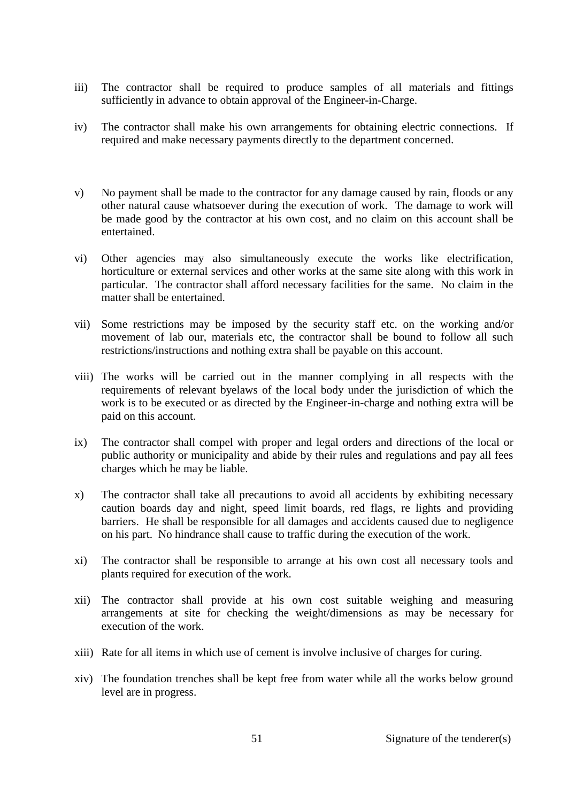- iii) The contractor shall be required to produce samples of all materials and fittings sufficiently in advance to obtain approval of the Engineer-in-Charge.
- iv) The contractor shall make his own arrangements for obtaining electric connections. If required and make necessary payments directly to the department concerned.
- v) No payment shall be made to the contractor for any damage caused by rain, floods or any other natural cause whatsoever during the execution of work. The damage to work will be made good by the contractor at his own cost, and no claim on this account shall be entertained.
- vi) Other agencies may also simultaneously execute the works like electrification, horticulture or external services and other works at the same site along with this work in particular. The contractor shall afford necessary facilities for the same. No claim in the matter shall be entertained.
- vii) Some restrictions may be imposed by the security staff etc. on the working and/or movement of lab our, materials etc, the contractor shall be bound to follow all such restrictions/instructions and nothing extra shall be payable on this account.
- viii) The works will be carried out in the manner complying in all respects with the requirements of relevant byelaws of the local body under the jurisdiction of which the work is to be executed or as directed by the Engineer-in-charge and nothing extra will be paid on this account.
- ix) The contractor shall compel with proper and legal orders and directions of the local or public authority or municipality and abide by their rules and regulations and pay all fees charges which he may be liable.
- x) The contractor shall take all precautions to avoid all accidents by exhibiting necessary caution boards day and night, speed limit boards, red flags, re lights and providing barriers. He shall be responsible for all damages and accidents caused due to negligence on his part. No hindrance shall cause to traffic during the execution of the work.
- xi) The contractor shall be responsible to arrange at his own cost all necessary tools and plants required for execution of the work.
- xii) The contractor shall provide at his own cost suitable weighing and measuring arrangements at site for checking the weight/dimensions as may be necessary for execution of the work.
- xiii) Rate for all items in which use of cement is involve inclusive of charges for curing.
- xiv) The foundation trenches shall be kept free from water while all the works below ground level are in progress.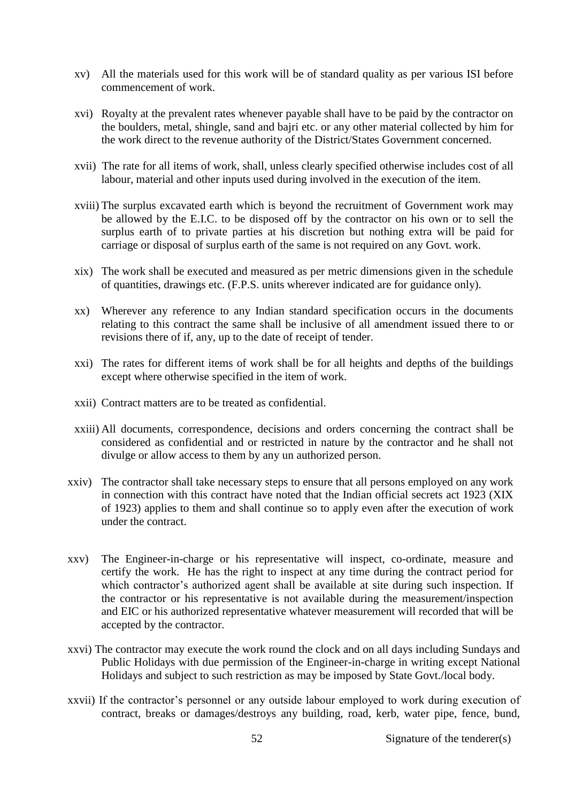- xv) All the materials used for this work will be of standard quality as per various ISI before commencement of work.
- xvi) Royalty at the prevalent rates whenever payable shall have to be paid by the contractor on the boulders, metal, shingle, sand and bajri etc. or any other material collected by him for the work direct to the revenue authority of the District/States Government concerned.
- xvii) The rate for all items of work, shall, unless clearly specified otherwise includes cost of all labour, material and other inputs used during involved in the execution of the item.
- xviii) The surplus excavated earth which is beyond the recruitment of Government work may be allowed by the E.I.C. to be disposed off by the contractor on his own or to sell the surplus earth of to private parties at his discretion but nothing extra will be paid for carriage or disposal of surplus earth of the same is not required on any Govt. work.
- xix) The work shall be executed and measured as per metric dimensions given in the schedule of quantities, drawings etc. (F.P.S. units wherever indicated are for guidance only).
- xx) Wherever any reference to any Indian standard specification occurs in the documents relating to this contract the same shall be inclusive of all amendment issued there to or revisions there of if, any, up to the date of receipt of tender.
- xxi) The rates for different items of work shall be for all heights and depths of the buildings except where otherwise specified in the item of work.
- xxii) Contract matters are to be treated as confidential.
- xxiii) All documents, correspondence, decisions and orders concerning the contract shall be considered as confidential and or restricted in nature by the contractor and he shall not divulge or allow access to them by any un authorized person.
- xxiv) The contractor shall take necessary steps to ensure that all persons employed on any work in connection with this contract have noted that the Indian official secrets act 1923 (XIX of 1923) applies to them and shall continue so to apply even after the execution of work under the contract.
- xxv) The Engineer-in-charge or his representative will inspect, co-ordinate, measure and certify the work. He has the right to inspect at any time during the contract period for which contractor's authorized agent shall be available at site during such inspection. If the contractor or his representative is not available during the measurement/inspection and EIC or his authorized representative whatever measurement will recorded that will be accepted by the contractor.
- xxvi) The contractor may execute the work round the clock and on all days including Sundays and Public Holidays with due permission of the Engineer-in-charge in writing except National Holidays and subject to such restriction as may be imposed by State Govt./local body.
- xxvii) If the contractor's personnel or any outside labour employed to work during execution of contract, breaks or damages/destroys any building, road, kerb, water pipe, fence, bund,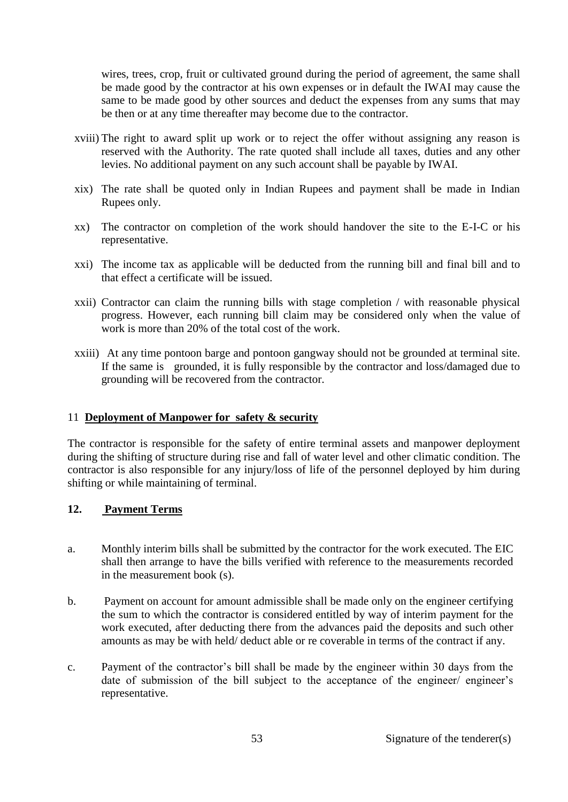wires, trees, crop, fruit or cultivated ground during the period of agreement, the same shall be made good by the contractor at his own expenses or in default the IWAI may cause the same to be made good by other sources and deduct the expenses from any sums that may be then or at any time thereafter may become due to the contractor.

- xviii) The right to award split up work or to reject the offer without assigning any reason is reserved with the Authority. The rate quoted shall include all taxes, duties and any other levies. No additional payment on any such account shall be payable by IWAI.
- xix) The rate shall be quoted only in Indian Rupees and payment shall be made in Indian Rupees only.
- xx) The contractor on completion of the work should handover the site to the E-I-C or his representative.
- xxi) The income tax as applicable will be deducted from the running bill and final bill and to that effect a certificate will be issued.
- xxii) Contractor can claim the running bills with stage completion / with reasonable physical progress. However, each running bill claim may be considered only when the value of work is more than 20% of the total cost of the work.
- xxiii) At any time pontoon barge and pontoon gangway should not be grounded at terminal site. If the same is grounded, it is fully responsible by the contractor and loss/damaged due to grounding will be recovered from the contractor.

#### 11 **Deployment of Manpower for safety & security**

The contractor is responsible for the safety of entire terminal assets and manpower deployment during the shifting of structure during rise and fall of water level and other climatic condition. The contractor is also responsible for any injury/loss of life of the personnel deployed by him during shifting or while maintaining of terminal.

# **12. Payment Terms**

- a. Monthly interim bills shall be submitted by the contractor for the work executed. The EIC shall then arrange to have the bills verified with reference to the measurements recorded in the measurement book (s).
- b. Payment on account for amount admissible shall be made only on the engineer certifying the sum to which the contractor is considered entitled by way of interim payment for the work executed, after deducting there from the advances paid the deposits and such other amounts as may be with held/ deduct able or re coverable in terms of the contract if any.
- c. Payment of the contractor's bill shall be made by the engineer within 30 days from the date of submission of the bill subject to the acceptance of the engineer/ engineer's representative.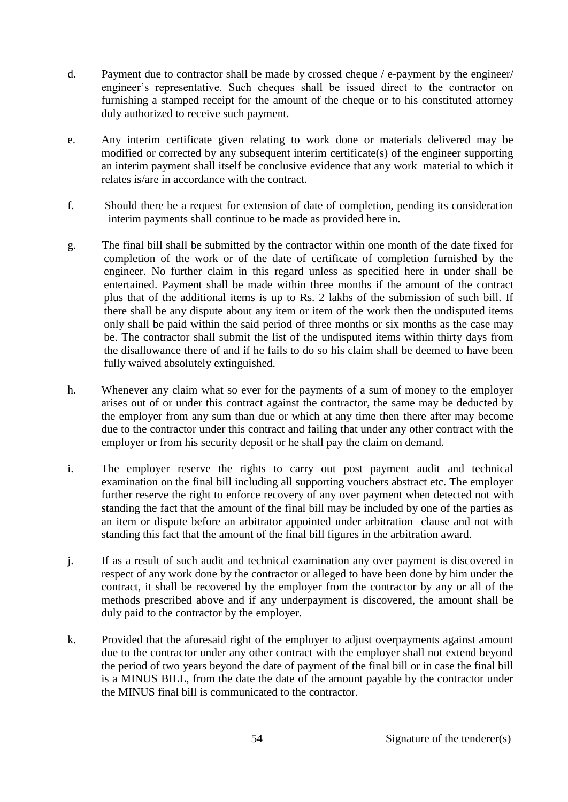- d. Payment due to contractor shall be made by crossed cheque / e-payment by the engineer/ engineer's representative. Such cheques shall be issued direct to the contractor on furnishing a stamped receipt for the amount of the cheque or to his constituted attorney duly authorized to receive such payment.
- e. Any interim certificate given relating to work done or materials delivered may be modified or corrected by any subsequent interim certificate(s) of the engineer supporting an interim payment shall itself be conclusive evidence that any work material to which it relates is/are in accordance with the contract.
- f. Should there be a request for extension of date of completion, pending its consideration interim payments shall continue to be made as provided here in.
- g. The final bill shall be submitted by the contractor within one month of the date fixed for completion of the work or of the date of certificate of completion furnished by the engineer. No further claim in this regard unless as specified here in under shall be entertained. Payment shall be made within three months if the amount of the contract plus that of the additional items is up to Rs. 2 lakhs of the submission of such bill. If there shall be any dispute about any item or item of the work then the undisputed items only shall be paid within the said period of three months or six months as the case may be. The contractor shall submit the list of the undisputed items within thirty days from the disallowance there of and if he fails to do so his claim shall be deemed to have been fully waived absolutely extinguished.
- h. Whenever any claim what so ever for the payments of a sum of money to the employer arises out of or under this contract against the contractor, the same may be deducted by the employer from any sum than due or which at any time then there after may become due to the contractor under this contract and failing that under any other contract with the employer or from his security deposit or he shall pay the claim on demand.
- i. The employer reserve the rights to carry out post payment audit and technical examination on the final bill including all supporting vouchers abstract etc. The employer further reserve the right to enforce recovery of any over payment when detected not with standing the fact that the amount of the final bill may be included by one of the parties as an item or dispute before an arbitrator appointed under arbitration clause and not with standing this fact that the amount of the final bill figures in the arbitration award.
- j. If as a result of such audit and technical examination any over payment is discovered in respect of any work done by the contractor or alleged to have been done by him under the contract, it shall be recovered by the employer from the contractor by any or all of the methods prescribed above and if any underpayment is discovered, the amount shall be duly paid to the contractor by the employer.
- k. Provided that the aforesaid right of the employer to adjust overpayments against amount due to the contractor under any other contract with the employer shall not extend beyond the period of two years beyond the date of payment of the final bill or in case the final bill is a MINUS BILL, from the date the date of the amount payable by the contractor under the MINUS final bill is communicated to the contractor.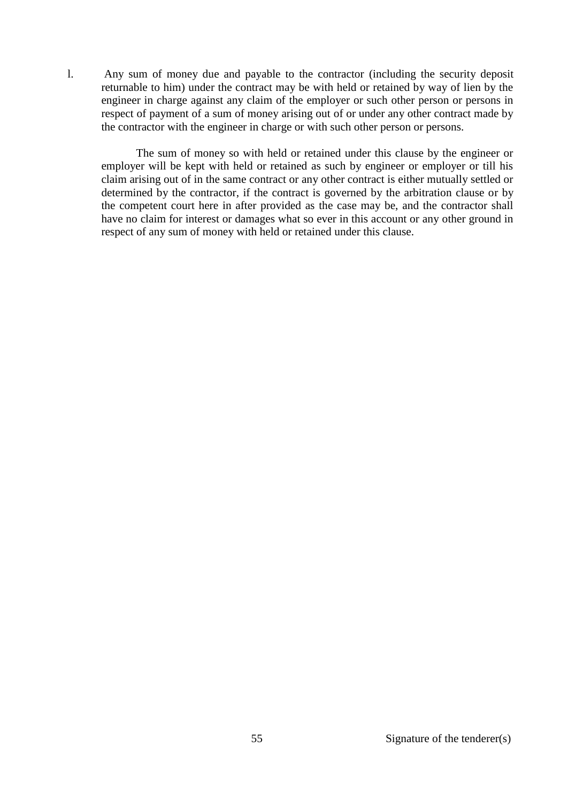l. Any sum of money due and payable to the contractor (including the security deposit returnable to him) under the contract may be with held or retained by way of lien by the engineer in charge against any claim of the employer or such other person or persons in respect of payment of a sum of money arising out of or under any other contract made by the contractor with the engineer in charge or with such other person or persons.

The sum of money so with held or retained under this clause by the engineer or employer will be kept with held or retained as such by engineer or employer or till his claim arising out of in the same contract or any other contract is either mutually settled or determined by the contractor, if the contract is governed by the arbitration clause or by the competent court here in after provided as the case may be, and the contractor shall have no claim for interest or damages what so ever in this account or any other ground in respect of any sum of money with held or retained under this clause.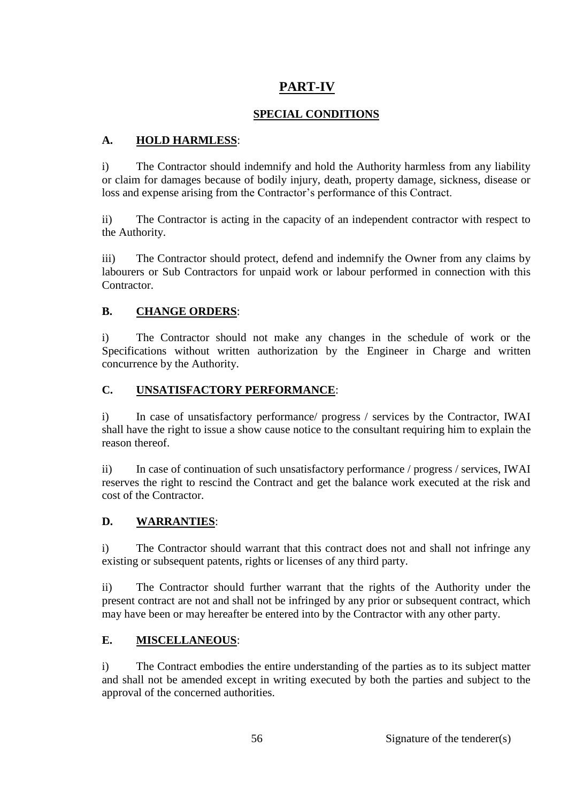# **PART-IV**

# **SPECIAL CONDITIONS**

# **A. HOLD HARMLESS**:

i) The Contractor should indemnify and hold the Authority harmless from any liability or claim for damages because of bodily injury, death, property damage, sickness, disease or loss and expense arising from the Contractor's performance of this Contract.

ii) The Contractor is acting in the capacity of an independent contractor with respect to the Authority.

iii) The Contractor should protect, defend and indemnify the Owner from any claims by labourers or Sub Contractors for unpaid work or labour performed in connection with this Contractor.

# **B. CHANGE ORDERS**:

i) The Contractor should not make any changes in the schedule of work or the Specifications without written authorization by the Engineer in Charge and written concurrence by the Authority.

# **C. UNSATISFACTORY PERFORMANCE**:

i) In case of unsatisfactory performance/ progress / services by the Contractor, IWAI shall have the right to issue a show cause notice to the consultant requiring him to explain the reason thereof.

ii) In case of continuation of such unsatisfactory performance / progress / services, IWAI reserves the right to rescind the Contract and get the balance work executed at the risk and cost of the Contractor.

# **D. WARRANTIES**:

i) The Contractor should warrant that this contract does not and shall not infringe any existing or subsequent patents, rights or licenses of any third party.

ii) The Contractor should further warrant that the rights of the Authority under the present contract are not and shall not be infringed by any prior or subsequent contract, which may have been or may hereafter be entered into by the Contractor with any other party.

# **E. MISCELLANEOUS**:

i) The Contract embodies the entire understanding of the parties as to its subject matter and shall not be amended except in writing executed by both the parties and subject to the approval of the concerned authorities.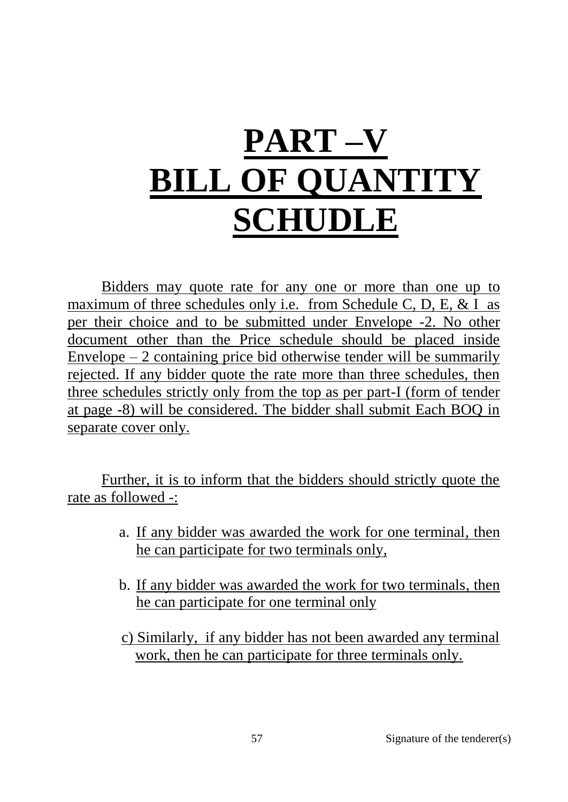# **PART –V BILL OF QUANTITY SCHUDLE**

Bidders may quote rate for any one or more than one up to maximum of three schedules only i.e. from Schedule C, D, E,  $&$  I as per their choice and to be submitted under Envelope -2. No other document other than the Price schedule should be placed inside Envelope  $-2$  containing price bid otherwise tender will be summarily rejected. If any bidder quote the rate more than three schedules, then three schedules strictly only from the top as per part-I (form of tender at page -8) will be considered. The bidder shall submit Each BOQ in separate cover only.

Further, it is to inform that the bidders should strictly quote the rate as followed -:

- a. If any bidder was awarded the work for one terminal, then he can participate for two terminals only,
- b. If any bidder was awarded the work for two terminals, then he can participate for one terminal only
- c) Similarly, if any bidder has not been awarded any terminal work, then he can participate for three terminals only.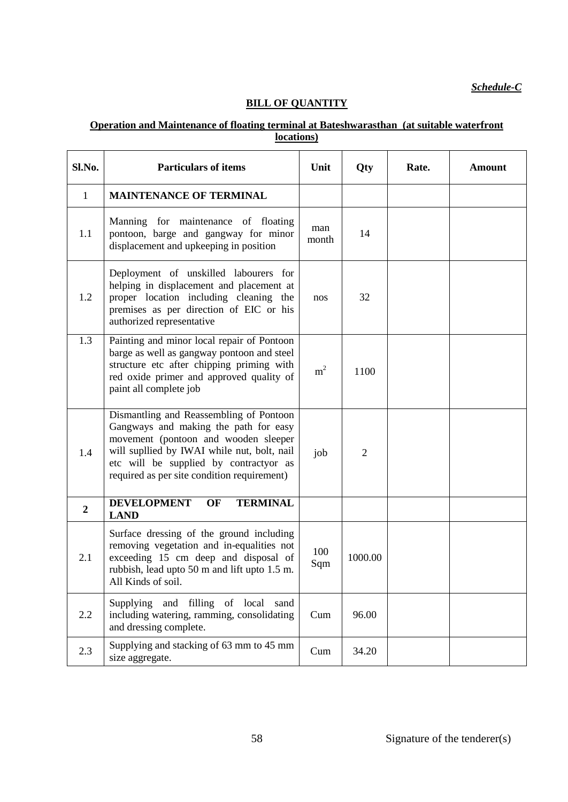*Schedule-C*

# **BILL OF QUANTITY**

## **Operation and Maintenance of floating terminal at Bateshwarasthan (at suitable waterfront locations)**

| Sl.No.         | <b>Particulars of items</b>                                                                                                                                                                                                                                      | Unit           | Qty            | Rate. | <b>Amount</b> |
|----------------|------------------------------------------------------------------------------------------------------------------------------------------------------------------------------------------------------------------------------------------------------------------|----------------|----------------|-------|---------------|
| $\mathbf{1}$   | <b>MAINTENANCE OF TERMINAL</b>                                                                                                                                                                                                                                   |                |                |       |               |
| 1.1            | Manning for maintenance of floating<br>pontoon, barge and gangway for minor<br>displacement and upkeeping in position                                                                                                                                            | man<br>month   | 14             |       |               |
| 1.2            | Deployment of unskilled labourers for<br>helping in displacement and placement at<br>proper location including cleaning the<br>premises as per direction of EIC or his<br>authorized representative                                                              | nos            | 32             |       |               |
| 1.3            | Painting and minor local repair of Pontoon<br>barge as well as gangway pontoon and steel<br>structure etc after chipping priming with<br>red oxide primer and approved quality of<br>paint all complete job                                                      | m <sup>2</sup> | 1100           |       |               |
| 1.4            | Dismantling and Reassembling of Pontoon<br>Gangways and making the path for easy<br>movement (pontoon and wooden sleeper<br>will supllied by IWAI while nut, bolt, nail<br>etc will be supplied by contractyor as<br>required as per site condition requirement) | job            | $\overline{2}$ |       |               |
| $\overline{2}$ | <b>DEVELOPMENT</b><br><b>TERMINAL</b><br>OF<br><b>LAND</b>                                                                                                                                                                                                       |                |                |       |               |
| 2.1            | Surface dressing of the ground including<br>removing vegetation and in-equalities not<br>exceeding 15 cm deep and disposal of<br>rubbish, lead upto 50 m and lift upto 1.5 m.<br>All Kinds of soil.                                                              | 100<br>Sqm     | 1000.00        |       |               |
| 2.2            | and filling of local<br>Supplying<br>sand<br>including watering, ramming, consolidating<br>and dressing complete.                                                                                                                                                | Cum            | 96.00          |       |               |
| 2.3            | Supplying and stacking of 63 mm to 45 mm<br>size aggregate.                                                                                                                                                                                                      | Cum            | 34.20          |       |               |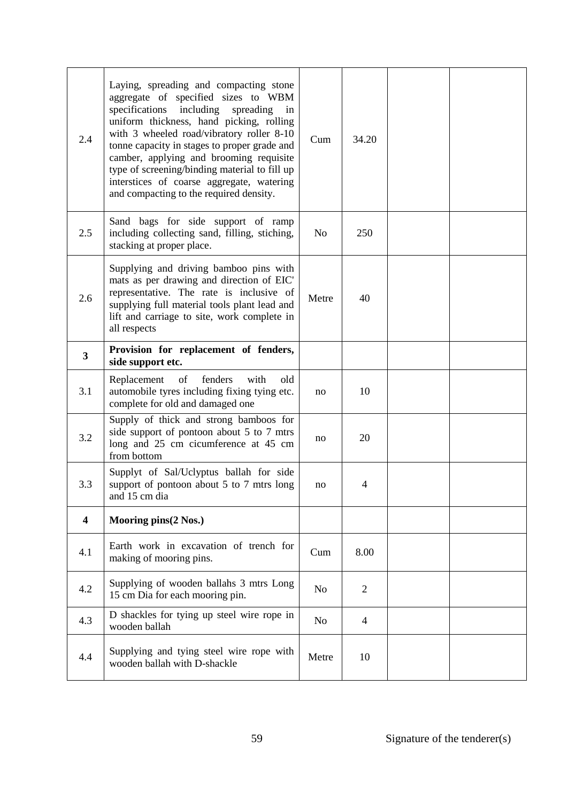| 2.4                     | Laying, spreading and compacting stone<br>aggregate of specified sizes to WBM<br>including<br>specifications<br>spreading<br>in<br>uniform thickness, hand picking, rolling<br>with 3 wheeled road/vibratory roller 8-10<br>tonne capacity in stages to proper grade and<br>camber, applying and brooming requisite<br>type of screening/binding material to fill up<br>interstices of coarse aggregate, watering<br>and compacting to the required density. | Cum            | 34.20          |  |
|-------------------------|--------------------------------------------------------------------------------------------------------------------------------------------------------------------------------------------------------------------------------------------------------------------------------------------------------------------------------------------------------------------------------------------------------------------------------------------------------------|----------------|----------------|--|
| 2.5                     | Sand bags for side support of ramp<br>including collecting sand, filling, stiching,<br>stacking at proper place.                                                                                                                                                                                                                                                                                                                                             | No             | 250            |  |
| 2.6                     | Supplying and driving bamboo pins with<br>mats as per drawing and direction of EIC'<br>representative. The rate is inclusive of<br>supplying full material tools plant lead and<br>lift and carriage to site, work complete in<br>all respects                                                                                                                                                                                                               | Metre          | 40             |  |
| $\overline{\mathbf{3}}$ | Provision for replacement of fenders,<br>side support etc.                                                                                                                                                                                                                                                                                                                                                                                                   |                |                |  |
| 3.1                     | fenders<br>Replacement<br>of<br>with<br>old<br>automobile tyres including fixing tying etc.<br>complete for old and damaged one                                                                                                                                                                                                                                                                                                                              | no             | 10             |  |
| 3.2                     | Supply of thick and strong bamboos for<br>side support of pontoon about 5 to 7 mtrs<br>long and 25 cm cicumference at 45 cm<br>from bottom                                                                                                                                                                                                                                                                                                                   | no             | 20             |  |
| 3.3                     | Supplyt of Sal/Uclyptus ballah for side<br>support of pontoon about 5 to 7 mtrs long<br>and 15 cm dia                                                                                                                                                                                                                                                                                                                                                        | no             | 4              |  |
| $\overline{\mathbf{4}}$ | Mooring pins(2 Nos.)                                                                                                                                                                                                                                                                                                                                                                                                                                         |                |                |  |
| 4.1                     | Earth work in excavation of trench for<br>making of mooring pins.                                                                                                                                                                                                                                                                                                                                                                                            | Cum            | 8.00           |  |
| 4.2                     | Supplying of wooden ballahs 3 mtrs Long<br>15 cm Dia for each mooring pin.                                                                                                                                                                                                                                                                                                                                                                                   | N <sub>o</sub> | $\overline{2}$ |  |
| 4.3                     | D shackles for tying up steel wire rope in<br>wooden ballah                                                                                                                                                                                                                                                                                                                                                                                                  | No.            | $\overline{4}$ |  |
| 4.4                     | Supplying and tying steel wire rope with<br>wooden ballah with D-shackle                                                                                                                                                                                                                                                                                                                                                                                     | Metre          | 10             |  |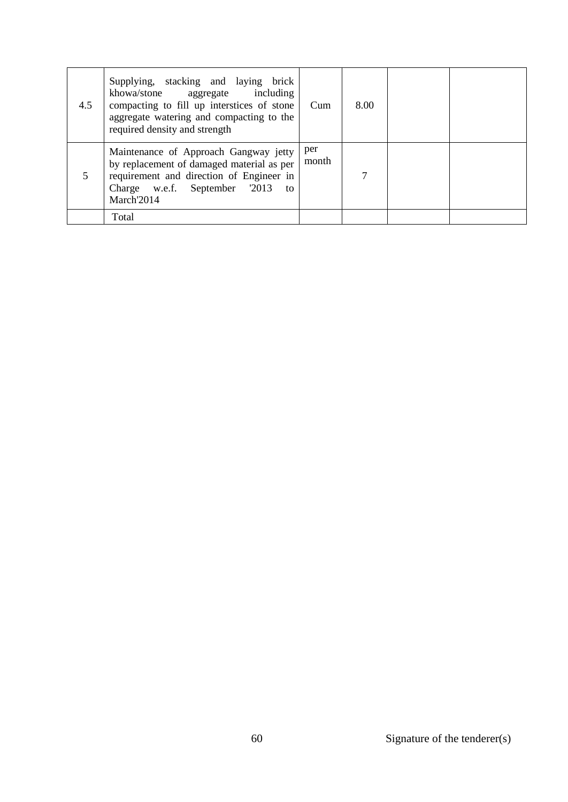| 4.5 | Supplying, stacking and laying brick<br>khowa/stone aggregate including<br>compacting to fill up interstices of stone<br>aggregate watering and compacting to the<br>required density and strength | Cum          | 8.00 |  |
|-----|----------------------------------------------------------------------------------------------------------------------------------------------------------------------------------------------------|--------------|------|--|
|     | Maintenance of Approach Gangway jetty<br>by replacement of damaged material as per<br>requirement and direction of Engineer in<br>Charge w.e.f. September 2013<br>to<br>March'2014                 | per<br>month | 7    |  |
|     | Total                                                                                                                                                                                              |              |      |  |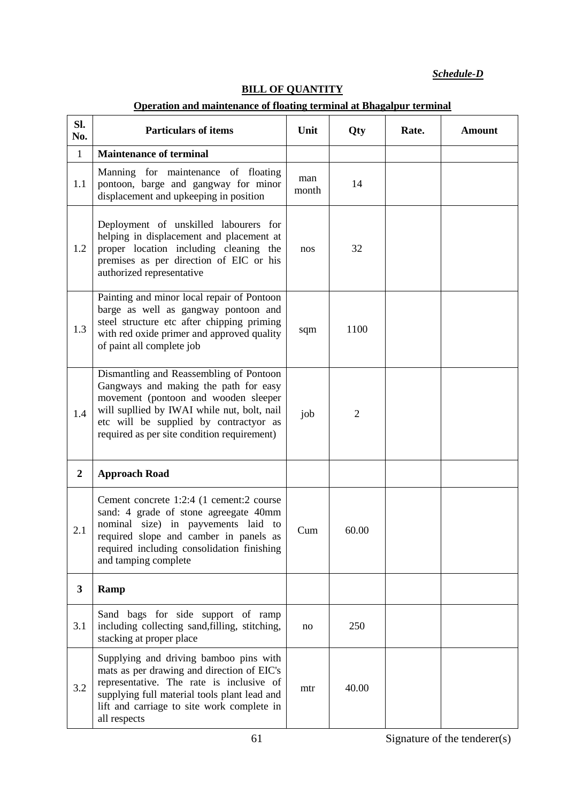*Schedule-D*

|                  | Operation and maintenance of floating terminal at Bhagalpur terminal                                                                                                                                                                                             |              |                |       |               |  |  |
|------------------|------------------------------------------------------------------------------------------------------------------------------------------------------------------------------------------------------------------------------------------------------------------|--------------|----------------|-------|---------------|--|--|
| Sl.<br>No.       | <b>Particulars of items</b>                                                                                                                                                                                                                                      | Unit         | Qty            | Rate. | <b>Amount</b> |  |  |
| $\mathbf{1}$     | <b>Maintenance of terminal</b>                                                                                                                                                                                                                                   |              |                |       |               |  |  |
| 1.1              | Manning for maintenance of floating<br>pontoon, barge and gangway for minor<br>displacement and upkeeping in position                                                                                                                                            | man<br>month | 14             |       |               |  |  |
| 1.2              | Deployment of unskilled labourers for<br>helping in displacement and placement at<br>proper location including cleaning the<br>premises as per direction of EIC or his<br>authorized representative                                                              | nos          | 32             |       |               |  |  |
| 1.3              | Painting and minor local repair of Pontoon<br>barge as well as gangway pontoon and<br>steel structure etc after chipping priming<br>with red oxide primer and approved quality<br>of paint all complete job                                                      | sqm          | 1100           |       |               |  |  |
| 1.4              | Dismantling and Reassembling of Pontoon<br>Gangways and making the path for easy<br>movement (pontoon and wooden sleeper<br>will supllied by IWAI while nut, bolt, nail<br>etc will be supplied by contractyor as<br>required as per site condition requirement) | job          | $\overline{2}$ |       |               |  |  |
| $\boldsymbol{2}$ | <b>Approach Road</b>                                                                                                                                                                                                                                             |              |                |       |               |  |  |
| 2.1              | Cement concrete 1:2:4 (1 cement:2 course<br>sand: 4 grade of stone agreegate 40mm<br>nominal size) in payvements laid to<br>required slope and camber in panels as<br>required including consolidation finishing<br>and tamping complete                         | Cum          | 60.00          |       |               |  |  |
| 3                | Ramp                                                                                                                                                                                                                                                             |              |                |       |               |  |  |
| 3.1              | Sand bags for side support of ramp<br>including collecting sand, filling, stitching,<br>stacking at proper place                                                                                                                                                 | no           | 250            |       |               |  |  |
| 3.2              | Supplying and driving bamboo pins with<br>mats as per drawing and direction of EIC's<br>representative. The rate is inclusive of<br>supplying full material tools plant lead and<br>lift and carriage to site work complete in<br>all respects                   | mtr          | 40.00          |       |               |  |  |

# **BILL OF QUANTITY**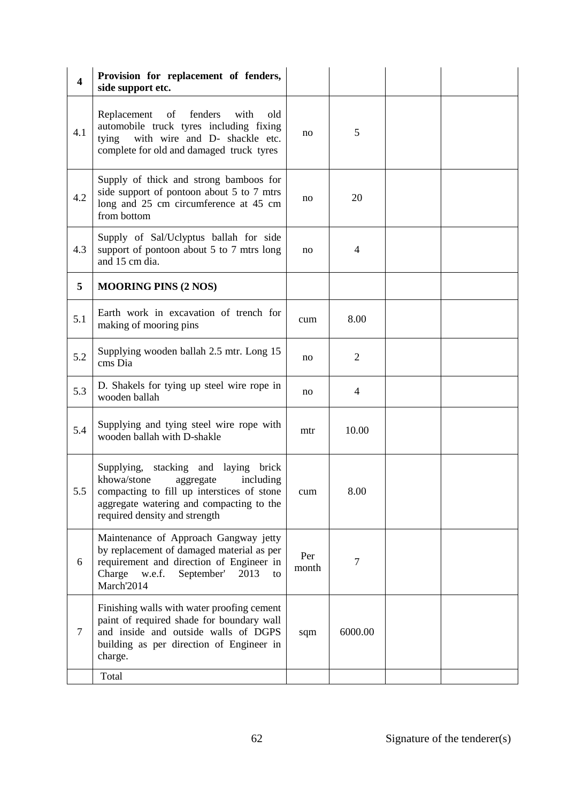| $\overline{\mathbf{4}}$ | Provision for replacement of fenders,<br>side support etc.                                                                                                                                               |              |                |  |
|-------------------------|----------------------------------------------------------------------------------------------------------------------------------------------------------------------------------------------------------|--------------|----------------|--|
| 4.1                     | fenders<br>Replacement<br>of<br>with<br>old<br>automobile truck tyres including fixing<br>with wire and D- shackle etc.<br>tying<br>complete for old and damaged truck tyres                             | no           | 5              |  |
| 4.2                     | Supply of thick and strong bamboos for<br>side support of pontoon about 5 to 7 mtrs<br>long and 25 cm circumference at 45 cm<br>from bottom                                                              | no           | 20             |  |
| 4.3                     | Supply of Sal/Uclyptus ballah for side<br>support of pontoon about 5 to 7 mtrs long<br>and 15 cm dia.                                                                                                    | no           | 4              |  |
| 5                       | <b>MOORING PINS (2 NOS)</b>                                                                                                                                                                              |              |                |  |
| 5.1                     | Earth work in excavation of trench for<br>making of mooring pins                                                                                                                                         | cum          | 8.00           |  |
| 5.2                     | Supplying wooden ballah 2.5 mtr. Long 15<br>cms Dia                                                                                                                                                      | no           | $\overline{2}$ |  |
| 5.3                     | D. Shakels for tying up steel wire rope in<br>wooden ballah                                                                                                                                              | no           | 4              |  |
| 5.4                     | Supplying and tying steel wire rope with<br>wooden ballah with D-shakle                                                                                                                                  | mtr          | 10.00          |  |
| 5.5                     | Supplying, stacking and laying brick<br>khowa/stone<br>including<br>aggregate<br>compacting to fill up interstices of stone<br>aggregate watering and compacting to the<br>required density and strength | cum          | 8.00           |  |
| 6                       | Maintenance of Approach Gangway jetty<br>by replacement of damaged material as per<br>requirement and direction of Engineer in<br>Charge<br>w.e.f.<br>September'<br>2013<br>to<br>March'2014             | Per<br>month | 7              |  |
| $\tau$                  | Finishing walls with water proofing cement<br>paint of required shade for boundary wall<br>and inside and outside walls of DGPS<br>building as per direction of Engineer in<br>charge.                   | sqm          | 6000.00        |  |
|                         | Total                                                                                                                                                                                                    |              |                |  |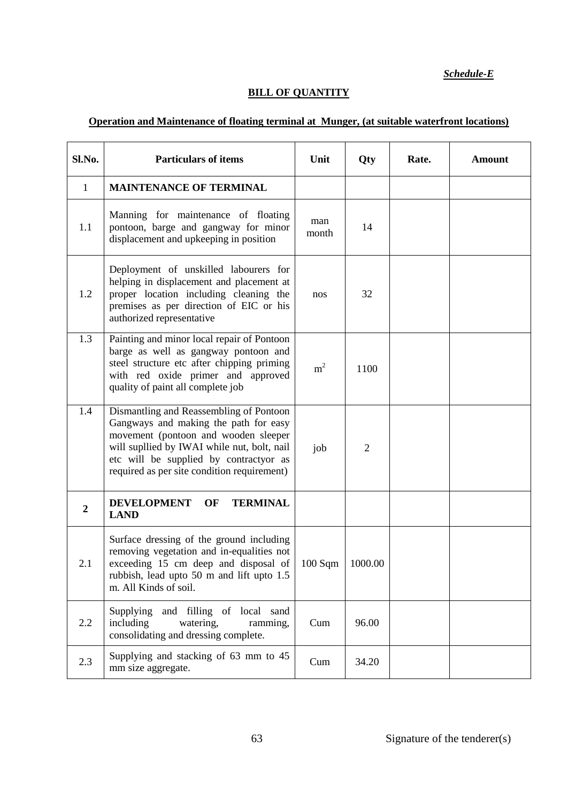*Schedule-E*

# **BILL OF QUANTITY**

# **Operation and Maintenance of floating terminal at Munger, (at suitable waterfront locations)**

| Sl.No.           | <b>Particulars of items</b>                                                                                                                                                                                                                                      | Unit           | Qty            | Rate. | <b>Amount</b> |
|------------------|------------------------------------------------------------------------------------------------------------------------------------------------------------------------------------------------------------------------------------------------------------------|----------------|----------------|-------|---------------|
| 1                | <b>MAINTENANCE OF TERMINAL</b>                                                                                                                                                                                                                                   |                |                |       |               |
| 1.1              | Manning for maintenance of floating<br>pontoon, barge and gangway for minor<br>displacement and upkeeping in position                                                                                                                                            | man<br>month   | 14             |       |               |
| 1.2              | Deployment of unskilled labourers for<br>helping in displacement and placement at<br>proper location including cleaning the<br>premises as per direction of EIC or his<br>authorized representative                                                              | nos            | 32             |       |               |
| 1.3              | Painting and minor local repair of Pontoon<br>barge as well as gangway pontoon and<br>steel structure etc after chipping priming<br>with red oxide primer and approved<br>quality of paint all complete job                                                      | m <sup>2</sup> | 1100           |       |               |
| 1.4              | Dismantling and Reassembling of Pontoon<br>Gangways and making the path for easy<br>movement (pontoon and wooden sleeper<br>will supllied by IWAI while nut, bolt, nail<br>etc will be supplied by contractyor as<br>required as per site condition requirement) | job            | $\overline{2}$ |       |               |
| $\boldsymbol{2}$ | <b>TERMINAL</b><br><b>DEVELOPMENT</b><br>OF<br><b>LAND</b>                                                                                                                                                                                                       |                |                |       |               |
| 2.1              | Surface dressing of the ground including<br>removing vegetation and in-equalities not<br>exceeding 15 cm deep and disposal of<br>rubbish, lead upto 50 m and lift upto 1.5<br>m. All Kinds of soil.                                                              | 100 Sqm        | 1000.00        |       |               |
| 2.2              | Supplying<br>and filling of local sand<br>including<br>watering,<br>ramming,<br>consolidating and dressing complete.                                                                                                                                             | Cum            | 96.00          |       |               |
| 2.3              | Supplying and stacking of 63 mm to 45<br>mm size aggregate.                                                                                                                                                                                                      | Cum            | 34.20          |       |               |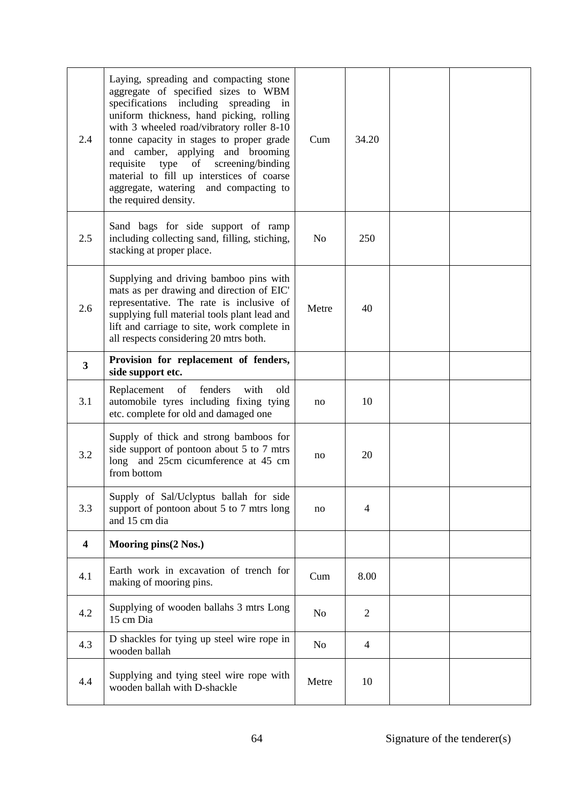| 2.4                     | Laying, spreading and compacting stone<br>aggregate of specified sizes to WBM<br>specifications including spreading in<br>uniform thickness, hand picking, rolling<br>with 3 wheeled road/vibratory roller 8-10<br>tonne capacity in stages to proper grade<br>and camber, applying and brooming<br>type of screening/binding<br>requisite<br>material to fill up interstices of coarse<br>aggregate, watering and compacting to<br>the required density. | Cum            | 34.20          |  |
|-------------------------|-----------------------------------------------------------------------------------------------------------------------------------------------------------------------------------------------------------------------------------------------------------------------------------------------------------------------------------------------------------------------------------------------------------------------------------------------------------|----------------|----------------|--|
| 2.5                     | Sand bags for side support of ramp<br>including collecting sand, filling, stiching,<br>stacking at proper place.                                                                                                                                                                                                                                                                                                                                          | N <sub>o</sub> | 250            |  |
| 2.6                     | Supplying and driving bamboo pins with<br>mats as per drawing and direction of EIC'<br>representative. The rate is inclusive of<br>supplying full material tools plant lead and<br>lift and carriage to site, work complete in<br>all respects considering 20 mtrs both.                                                                                                                                                                                  | Metre          | 40             |  |
| $\mathbf{3}$            | Provision for replacement of fenders,<br>side support etc.                                                                                                                                                                                                                                                                                                                                                                                                |                |                |  |
| 3.1                     | Replacement of fenders<br>with<br>old<br>automobile tyres including fixing tying<br>etc. complete for old and damaged one                                                                                                                                                                                                                                                                                                                                 | no             | 10             |  |
| 3.2                     | Supply of thick and strong bamboos for<br>side support of pontoon about 5 to 7 mtrs<br>long and 25cm cicumference at 45 cm<br>from bottom                                                                                                                                                                                                                                                                                                                 | no             | 20             |  |
| 3.3                     | Supply of Sal/Uclyptus ballah for side<br>support of pontoon about 5 to 7 mtrs long<br>and 15 cm dia                                                                                                                                                                                                                                                                                                                                                      | no             | $\overline{4}$ |  |
| $\overline{\mathbf{4}}$ | Mooring pins(2 Nos.)                                                                                                                                                                                                                                                                                                                                                                                                                                      |                |                |  |
| 4.1                     | Earth work in excavation of trench for<br>making of mooring pins.                                                                                                                                                                                                                                                                                                                                                                                         | Cum            | 8.00           |  |
| 4.2                     | Supplying of wooden ballahs 3 mtrs Long<br>15 cm Dia                                                                                                                                                                                                                                                                                                                                                                                                      | N <sub>o</sub> | $\overline{2}$ |  |
| 4.3                     | D shackles for tying up steel wire rope in<br>wooden ballah                                                                                                                                                                                                                                                                                                                                                                                               | No             | $\overline{4}$ |  |
| 4.4                     | Supplying and tying steel wire rope with<br>wooden ballah with D-shackle                                                                                                                                                                                                                                                                                                                                                                                  | Metre          | 10             |  |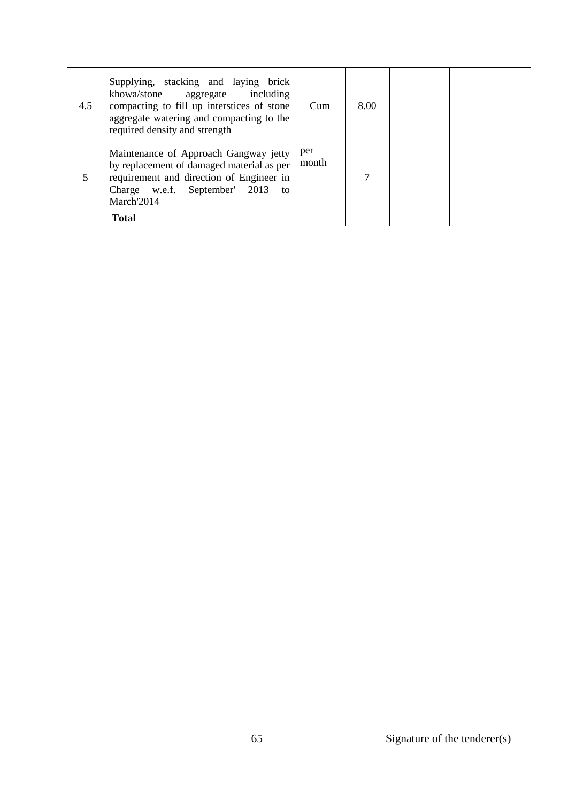| 4.5 | Supplying, stacking and laying brick<br>khowa/stone aggregate including<br>compacting to fill up interstices of stone<br>aggregate watering and compacting to the<br>required density and strength | Cum          | 8.00 |  |
|-----|----------------------------------------------------------------------------------------------------------------------------------------------------------------------------------------------------|--------------|------|--|
|     | Maintenance of Approach Gangway jetty<br>by replacement of damaged material as per<br>requirement and direction of Engineer in<br>Charge w.e.f. September' 2013<br>to<br>March'2014                | per<br>month | 7    |  |
|     | <b>Total</b>                                                                                                                                                                                       |              |      |  |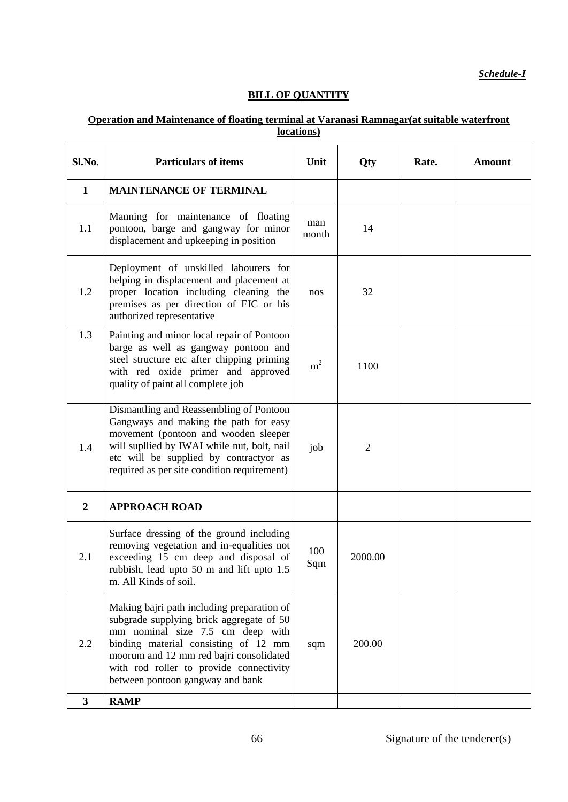*Schedule-I*

# **BILL OF QUANTITY**

## **Operation and Maintenance of floating terminal at Varanasi Ramnagar(at suitable waterfront locations)**

| Sl.No.           | <b>Particulars of items</b>                                                                                                                                                                                                                                                                  | Unit           | Qty            | Rate. | <b>Amount</b> |
|------------------|----------------------------------------------------------------------------------------------------------------------------------------------------------------------------------------------------------------------------------------------------------------------------------------------|----------------|----------------|-------|---------------|
| $\mathbf{1}$     | <b>MAINTENANCE OF TERMINAL</b>                                                                                                                                                                                                                                                               |                |                |       |               |
| 1.1              | Manning for maintenance of floating<br>pontoon, barge and gangway for minor<br>displacement and upkeeping in position                                                                                                                                                                        | man<br>month   | 14             |       |               |
| 1.2              | Deployment of unskilled labourers for<br>helping in displacement and placement at<br>proper location including cleaning the<br>premises as per direction of EIC or his<br>authorized representative                                                                                          | nos            | 32             |       |               |
| 1.3              | Painting and minor local repair of Pontoon<br>barge as well as gangway pontoon and<br>steel structure etc after chipping priming<br>with red oxide primer and approved<br>quality of paint all complete job                                                                                  | m <sup>2</sup> | 1100           |       |               |
| 1.4              | Dismantling and Reassembling of Pontoon<br>Gangways and making the path for easy<br>movement (pontoon and wooden sleeper<br>will supllied by IWAI while nut, bolt, nail<br>etc will be supplied by contractyor as<br>required as per site condition requirement)                             | job            | $\overline{2}$ |       |               |
| $\boldsymbol{2}$ | <b>APPROACH ROAD</b>                                                                                                                                                                                                                                                                         |                |                |       |               |
| 2.1              | Surface dressing of the ground including<br>removing vegetation and in-equalities not<br>exceeding 15 cm deep and disposal of<br>rubbish, lead upto 50 m and lift upto 1.5<br>m. All Kinds of soil.                                                                                          | 100<br>Sqm     | 2000.00        |       |               |
| 2.2              | Making bajri path including preparation of<br>subgrade supplying brick aggregate of 50<br>mm nominal size 7.5 cm deep with<br>binding material consisting of 12 mm<br>moorum and 12 mm red bajri consolidated<br>with rod roller to provide connectivity<br>between pontoon gangway and bank | sqm            | 200.00         |       |               |
| $\mathbf{3}$     | <b>RAMP</b>                                                                                                                                                                                                                                                                                  |                |                |       |               |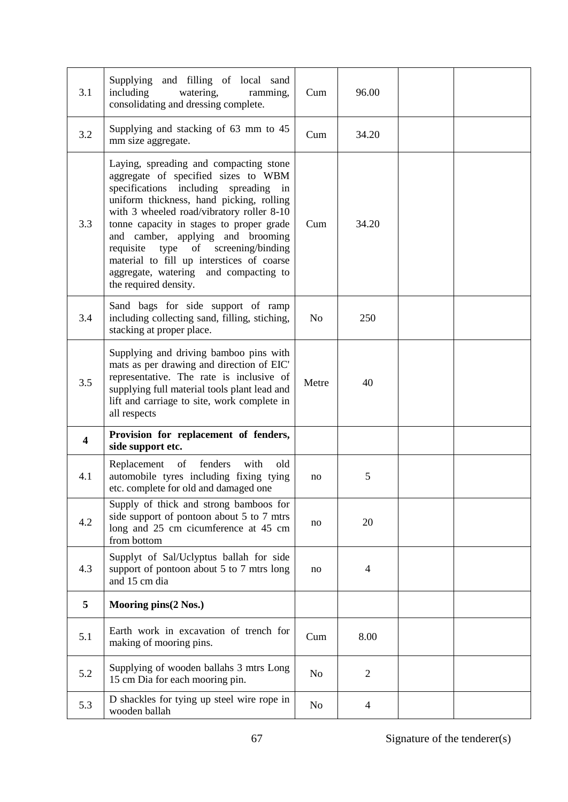| 3.1                     | Supplying and filling of local sand<br>including<br>watering,<br>ramming,<br>consolidating and dressing complete.                                                                                                                                                                                                                                                                                                                                      | Cum            | 96.00          |  |
|-------------------------|--------------------------------------------------------------------------------------------------------------------------------------------------------------------------------------------------------------------------------------------------------------------------------------------------------------------------------------------------------------------------------------------------------------------------------------------------------|----------------|----------------|--|
| 3.2                     | Supplying and stacking of 63 mm to 45<br>mm size aggregate.                                                                                                                                                                                                                                                                                                                                                                                            | Cum            | 34.20          |  |
| 3.3                     | Laying, spreading and compacting stone<br>aggregate of specified sizes to WBM<br>specifications including spreading in<br>uniform thickness, hand picking, rolling<br>with 3 wheeled road/vibratory roller 8-10<br>tonne capacity in stages to proper grade<br>and camber, applying and brooming<br>requisite type of screening/binding<br>material to fill up interstices of coarse<br>aggregate, watering and compacting to<br>the required density. | Cum            | 34.20          |  |
| 3.4                     | Sand bags for side support of ramp<br>including collecting sand, filling, stiching,<br>stacking at proper place.                                                                                                                                                                                                                                                                                                                                       | N <sub>0</sub> | 250            |  |
| 3.5                     | Supplying and driving bamboo pins with<br>mats as per drawing and direction of EIC'<br>representative. The rate is inclusive of<br>supplying full material tools plant lead and<br>lift and carriage to site, work complete in<br>all respects                                                                                                                                                                                                         | Metre          | 40             |  |
| $\overline{\mathbf{4}}$ | Provision for replacement of fenders,<br>side support etc.                                                                                                                                                                                                                                                                                                                                                                                             |                |                |  |
| 4.1                     | Replacement of<br>fenders<br>with<br>old<br>automobile tyres including fixing tying<br>etc. complete for old and damaged one                                                                                                                                                                                                                                                                                                                           | no             | 5              |  |
| 4.2                     | Supply of thick and strong bamboos for<br>side support of pontoon about 5 to 7 mtrs<br>long and 25 cm cicumference at 45 cm<br>from bottom                                                                                                                                                                                                                                                                                                             | no             | 20             |  |
| 4.3                     | Supplyt of Sal/Uclyptus ballah for side<br>support of pontoon about 5 to 7 mtrs long<br>and 15 cm dia                                                                                                                                                                                                                                                                                                                                                  | no             | $\overline{4}$ |  |
| 5                       | Mooring pins(2 Nos.)                                                                                                                                                                                                                                                                                                                                                                                                                                   |                |                |  |
| 5.1                     | Earth work in excavation of trench for<br>making of mooring pins.                                                                                                                                                                                                                                                                                                                                                                                      | Cum            | 8.00           |  |
|                         |                                                                                                                                                                                                                                                                                                                                                                                                                                                        |                |                |  |
| 5.2                     | Supplying of wooden ballahs 3 mtrs Long<br>15 cm Dia for each mooring pin.                                                                                                                                                                                                                                                                                                                                                                             | No             | $\overline{2}$ |  |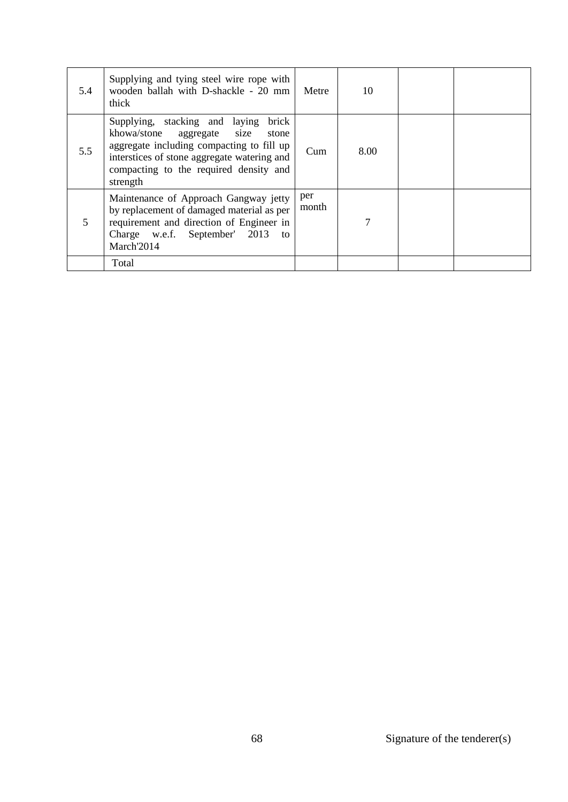| 5.4 | Supplying and tying steel wire rope with<br>wooden ballah with D-shackle - 20 mm<br>thick                                                                                                                                        | Metre        | 10   |  |
|-----|----------------------------------------------------------------------------------------------------------------------------------------------------------------------------------------------------------------------------------|--------------|------|--|
| 5.5 | Supplying, stacking and laying<br>brick<br>khowa/stone aggregate size<br>stone<br>aggregate including compacting to fill up<br>interstices of stone aggregate watering and<br>compacting to the required density and<br>strength | Cum          | 8.00 |  |
| 5   | Maintenance of Approach Gangway jetty<br>by replacement of damaged material as per<br>requirement and direction of Engineer in<br>Charge w.e.f. September' 2013<br>to<br>March'2014                                              | per<br>month | 7    |  |
|     | Total                                                                                                                                                                                                                            |              |      |  |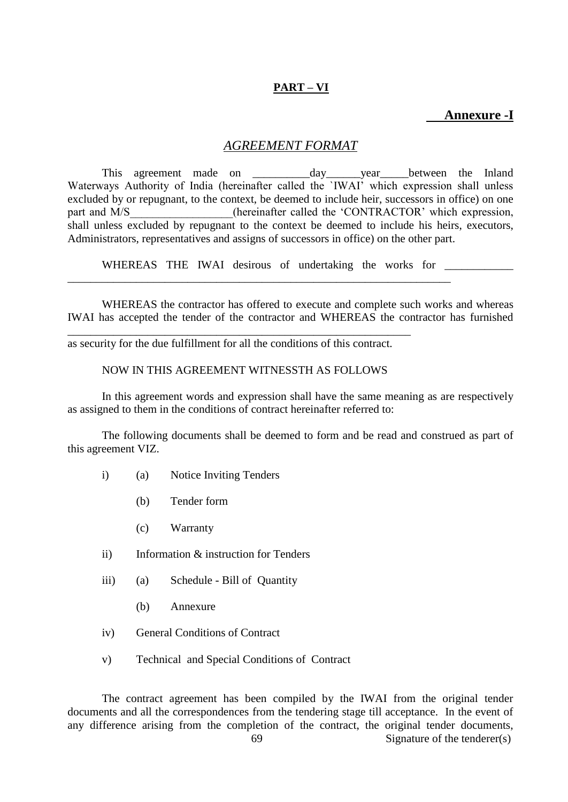# **PART – VI**

## **Annexure -I**

#### *AGREEMENT FORMAT*

This agreement made on the day wear between the Inland Waterways Authority of India (hereinafter called the `IWAI' which expression shall unless excluded by or repugnant, to the context, be deemed to include heir, successors in office) on one part and M/S (hereinafter called the 'CONTRACTOR' which expression, shall unless excluded by repugnant to the context be deemed to include his heirs, executors, Administrators, representatives and assigns of successors in office) on the other part.

WHEREAS THE IWAI desirous of undertaking the works for \_\_\_\_\_\_\_\_\_\_\_\_\_\_\_\_\_\_\_\_\_\_\_\_\_

\_\_\_\_\_\_\_\_\_\_\_\_\_\_\_\_\_\_\_\_\_\_\_\_\_\_\_\_\_\_\_\_\_\_\_\_\_\_\_\_\_\_\_\_\_\_\_\_\_\_\_\_\_\_\_\_\_\_\_\_\_\_\_\_\_\_\_

WHEREAS the contractor has offered to execute and complete such works and whereas IWAI has accepted the tender of the contractor and WHEREAS the contractor has furnished

as security for the due fulfillment for all the conditions of this contract.

\_\_\_\_\_\_\_\_\_\_\_\_\_\_\_\_\_\_\_\_\_\_\_\_\_\_\_\_\_\_\_\_\_\_\_\_\_\_\_\_\_\_\_\_\_\_\_\_\_\_\_\_\_\_\_\_\_\_\_\_

#### NOW IN THIS AGREEMENT WITNESSTH AS FOLLOWS

In this agreement words and expression shall have the same meaning as are respectively as assigned to them in the conditions of contract hereinafter referred to:

The following documents shall be deemed to form and be read and construed as part of this agreement VIZ.

- i) (a) Notice Inviting Tenders
	- (b) Tender form
	- (c) Warranty
- ii) Information & instruction for Tenders
- iii) (a) Schedule Bill of Quantity
	- (b) Annexure
- iv) General Conditions of Contract
- v) Technical and Special Conditions of Contract

The contract agreement has been compiled by the IWAI from the original tender documents and all the correspondences from the tendering stage till acceptance. In the event of any difference arising from the completion of the contract, the original tender documents,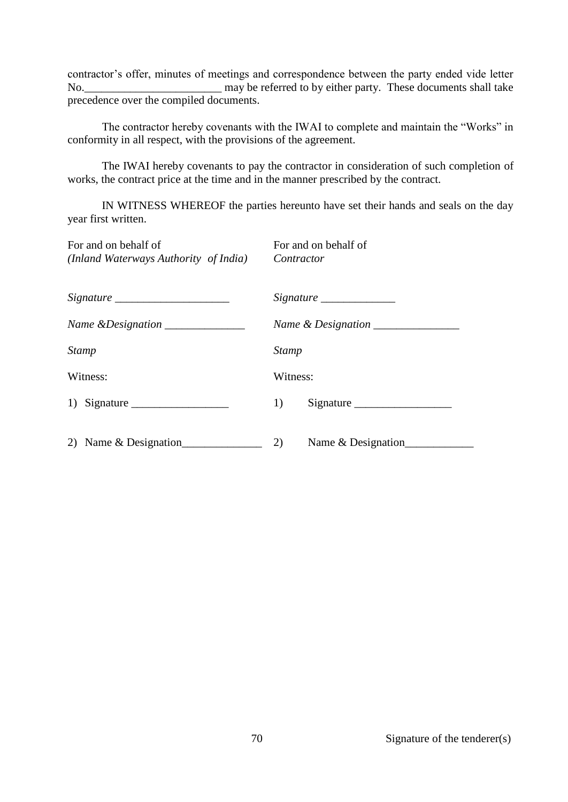contractor's offer, minutes of meetings and correspondence between the party ended vide letter No.\_\_\_\_\_\_\_\_\_\_\_\_\_\_\_\_\_\_\_\_\_\_\_\_ may be referred to by either party. These documents shall take precedence over the compiled documents.

The contractor hereby covenants with the IWAI to complete and maintain the "Works" in conformity in all respect, with the provisions of the agreement.

The IWAI hereby covenants to pay the contractor in consideration of such completion of works, the contract price at the time and in the manner prescribed by the contract.

IN WITNESS WHEREOF the parties hereunto have set their hands and seals on the day year first written.

| For and on behalf of<br>(Inland Waterways Authority of India)                                                                                                                                                                                                                                                                                                                                                                               | For and on behalf of<br>Contractor |
|---------------------------------------------------------------------------------------------------------------------------------------------------------------------------------------------------------------------------------------------------------------------------------------------------------------------------------------------------------------------------------------------------------------------------------------------|------------------------------------|
|                                                                                                                                                                                                                                                                                                                                                                                                                                             |                                    |
| Name & Designation _______________                                                                                                                                                                                                                                                                                                                                                                                                          |                                    |
| Stamp                                                                                                                                                                                                                                                                                                                                                                                                                                       | <b>Stamp</b>                       |
| Witness:                                                                                                                                                                                                                                                                                                                                                                                                                                    | Witness:                           |
| 1) Signature $\frac{1}{\sqrt{1-\frac{1}{2}} \cdot \frac{1}{\sqrt{1-\frac{1}{2}} \cdot \frac{1}{\sqrt{1-\frac{1}{2}} \cdot \frac{1}{\sqrt{1-\frac{1}{2}} \cdot \frac{1}{\sqrt{1-\frac{1}{2}} \cdot \frac{1}{\sqrt{1-\frac{1}{2}} \cdot \frac{1}{\sqrt{1-\frac{1}{2}} \cdot \frac{1}{\sqrt{1-\frac{1}{2}} \cdot \frac{1}{\sqrt{1-\frac{1}{2}} \cdot \frac{1}{\sqrt{1-\frac{1}{2}} \cdot \frac{1}{\sqrt{1-\frac{1}{2}} \cdot \frac{1}{\sqrt{1$ | 1)<br>Signature                    |
| 2) Name $\&$ Designation                                                                                                                                                                                                                                                                                                                                                                                                                    | 2)<br>Name $&$ Designation         |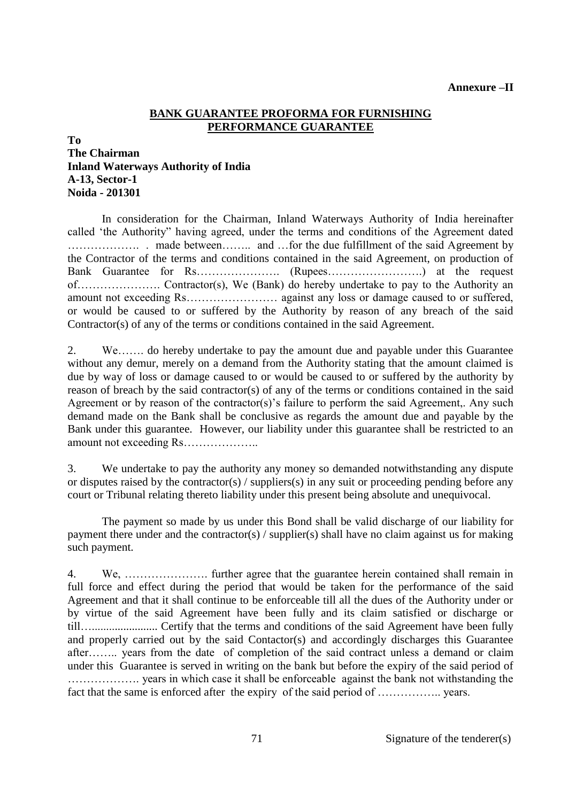#### **Annexure –II**

#### **BANK GUARANTEE PROFORMA FOR FURNISHING PERFORMANCE GUARANTEE**

#### **To**

# **The Chairman Inland Waterways Authority of India A-13, Sector-1 Noida - 201301**

In consideration for the Chairman, Inland Waterways Authority of India hereinafter called 'the Authority" having agreed, under the terms and conditions of the Agreement dated ………………. . made between…….. and …for the due fulfillment of the said Agreement by the Contractor of the terms and conditions contained in the said Agreement, on production of Bank Guarantee for Rs…………………. (Rupees…………………….) at the request of…………………. Contractor(s), We (Bank) do hereby undertake to pay to the Authority an amount not exceeding Rs…………………… against any loss or damage caused to or suffered, or would be caused to or suffered by the Authority by reason of any breach of the said Contractor(s) of any of the terms or conditions contained in the said Agreement.

2. We……. do hereby undertake to pay the amount due and payable under this Guarantee without any demur, merely on a demand from the Authority stating that the amount claimed is due by way of loss or damage caused to or would be caused to or suffered by the authority by reason of breach by the said contractor(s) of any of the terms or conditions contained in the said Agreement or by reason of the contractor(s)'s failure to perform the said Agreement,. Any such demand made on the Bank shall be conclusive as regards the amount due and payable by the Bank under this guarantee. However, our liability under this guarantee shall be restricted to an amount not exceeding Rs………………..

3. We undertake to pay the authority any money so demanded notwithstanding any dispute or disputes raised by the contractor(s) / suppliers(s) in any suit or proceeding pending before any court or Tribunal relating thereto liability under this present being absolute and unequivocal.

 The payment so made by us under this Bond shall be valid discharge of our liability for payment there under and the contractor(s) / supplier(s) shall have no claim against us for making such payment.

4. We, …………………. further agree that the guarantee herein contained shall remain in full force and effect during the period that would be taken for the performance of the said Agreement and that it shall continue to be enforceable till all the dues of the Authority under or by virtue of the said Agreement have been fully and its claim satisfied or discharge or till…....................... Certify that the terms and conditions of the said Agreement have been fully and properly carried out by the said Contactor(s) and accordingly discharges this Guarantee after…….. years from the date of completion of the said contract unless a demand or claim under this Guarantee is served in writing on the bank but before the expiry of the said period of ………………. years in which case it shall be enforceable against the bank not withstanding the fact that the same is enforced after the expiry of the said period of …………….. years.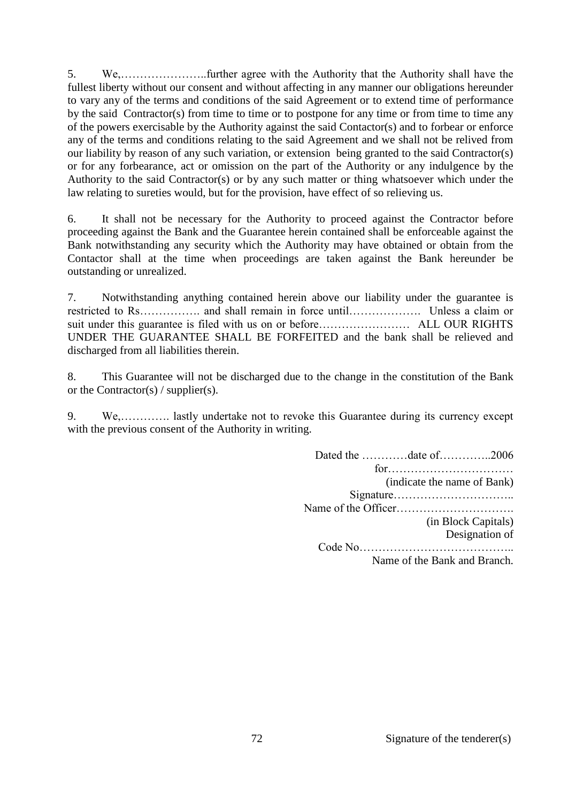5. We,…………………..further agree with the Authority that the Authority shall have the fullest liberty without our consent and without affecting in any manner our obligations hereunder to vary any of the terms and conditions of the said Agreement or to extend time of performance by the said Contractor(s) from time to time or to postpone for any time or from time to time any of the powers exercisable by the Authority against the said Contactor(s) and to forbear or enforce any of the terms and conditions relating to the said Agreement and we shall not be relived from our liability by reason of any such variation, or extension being granted to the said Contractor(s) or for any forbearance, act or omission on the part of the Authority or any indulgence by the Authority to the said Contractor(s) or by any such matter or thing whatsoever which under the law relating to sureties would, but for the provision, have effect of so relieving us.

6. It shall not be necessary for the Authority to proceed against the Contractor before proceeding against the Bank and the Guarantee herein contained shall be enforceable against the Bank notwithstanding any security which the Authority may have obtained or obtain from the Contactor shall at the time when proceedings are taken against the Bank hereunder be outstanding or unrealized.

7. Notwithstanding anything contained herein above our liability under the guarantee is restricted to Rs……………. and shall remain in force until………………. Unless a claim or suit under this guarantee is filed with us on or before………………………… ALL OUR RIGHTS UNDER THE GUARANTEE SHALL BE FORFEITED and the bank shall be relieved and discharged from all liabilities therein.

8. This Guarantee will not be discharged due to the change in the constitution of the Bank or the Contractor(s) / supplier(s).

9. We,…………. lastly undertake not to revoke this Guarantee during its currency except with the previous consent of the Authority in writing.

> Dated the …………date of…………..2006 for…………………………… (indicate the name of Bank) Signature………………………….. Name of the Officer…………………………. (in Block Capitals) Designation of Code No…………………………………..

Name of the Bank and Branch.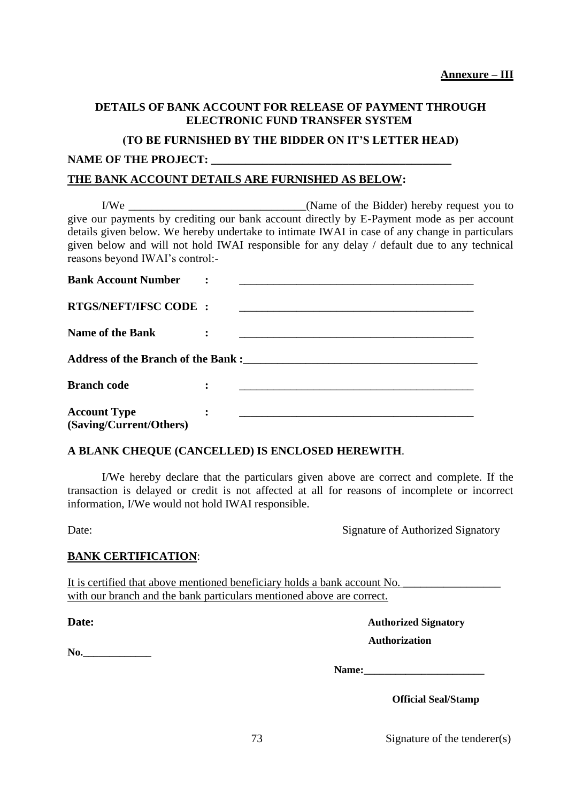## **DETAILS OF BANK ACCOUNT FOR RELEASE OF PAYMENT THROUGH ELECTRONIC FUND TRANSFER SYSTEM**

#### **(TO BE FURNISHED BY THE BIDDER ON IT'S LETTER HEAD)**

### NAME OF THE PROJECT:

### **THE BANK ACCOUNT DETAILS ARE FURNISHED AS BELOW:**

I/We \_\_\_\_\_\_\_\_\_\_\_\_\_\_\_\_\_\_\_\_\_\_\_\_\_\_\_\_\_\_\_(Name of the Bidder) hereby request you to give our payments by crediting our bank account directly by E-Payment mode as per account details given below. We hereby undertake to intimate IWAI in case of any change in particulars given below and will not hold IWAI responsible for any delay / default due to any technical reasons beyond IWAI's control:-

| <b>Bank Account Number</b>                     |                |  |
|------------------------------------------------|----------------|--|
| <b>RTGS/NEFT/IFSC CODE:</b>                    |                |  |
| <b>Name of the Bank</b>                        | $\ddot{\cdot}$ |  |
| Address of the Branch of the Bank :            |                |  |
| <b>Branch code</b>                             | $\ddot{\cdot}$ |  |
| <b>Account Type</b><br>(Saving/Current/Others) | $\ddot{\cdot}$ |  |

### **A BLANK CHEQUE (CANCELLED) IS ENCLOSED HEREWITH**.

I/We hereby declare that the particulars given above are correct and complete. If the transaction is delayed or credit is not affected at all for reasons of incomplete or incorrect information, I/We would not hold IWAI responsible.

Date: Signature of Authorized Signatory

### **BANK CERTIFICATION**:

It is certified that above mentioned beneficiary holds a bank account No. with our branch and the bank particulars mentioned above are correct.

**No.\_\_\_\_\_\_\_\_\_\_\_\_\_**

**Date: Authorized Signatory Authorization** 

Name:

 **Official Seal/Stamp**

73 Signature of the tenderer(s)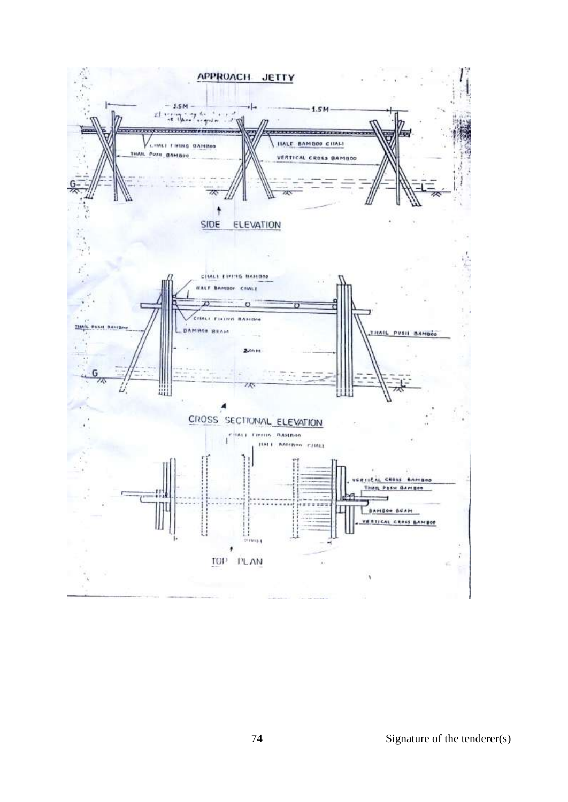